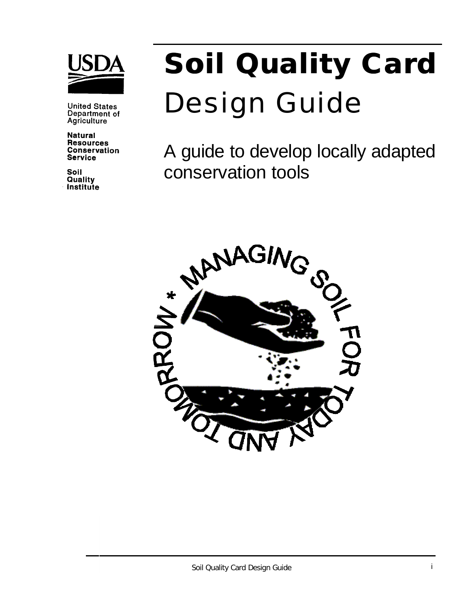

**United States** Department of Agriculture

**Natural Resources Conservation Service** 

Soil Quality Institute

# **Soil Quality Card** Design Guide

A guide to develop locally adapted conservation tools

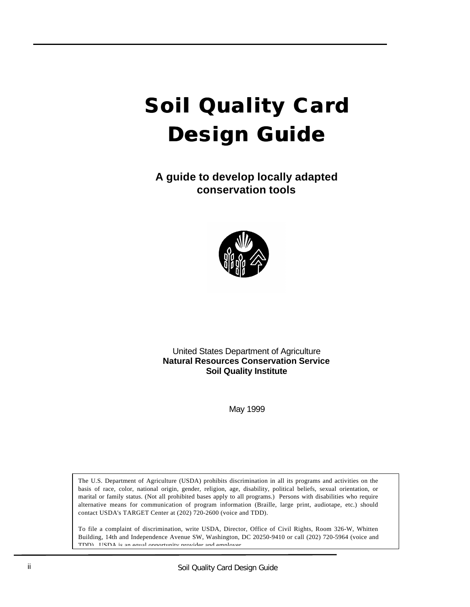## **Soil Quality Card Design Guide**

**A guide to develop locally adapted conservation tools**



United States Department of Agriculture **Natural Resources Conservation Service Soil Quality Institute**

May 1999

The U.S. Department of Agriculture (USDA) prohibits discrimination in all its programs and activities on the basis of race, color, national origin, gender, religion, age, disability, political beliefs, sexual orientation, or marital or family status. (Not all prohibited bases apply to all programs.) Persons with disabilities who require alternative means for communication of program information (Braille, large print, audiotape, etc.) should contact USDA's TARGET Center at (202) 720-2600 (voice and TDD).

To file a complaint of discrimination, write USDA, Director, Office of Civil Rights, Room 326-W, Whitten Building, 14th and Independence Avenue SW, Washington, DC 20250-9410 or call (202) 720-5964 (voice and TDD). USDA is an equal opportunity provider and employer.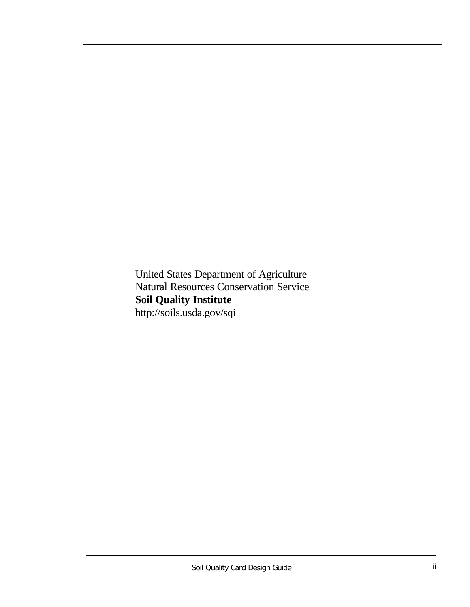United States Department of Agriculture Natural Resources Conservation Service **Soil Quality Institute** http://soils.usda.gov/sqi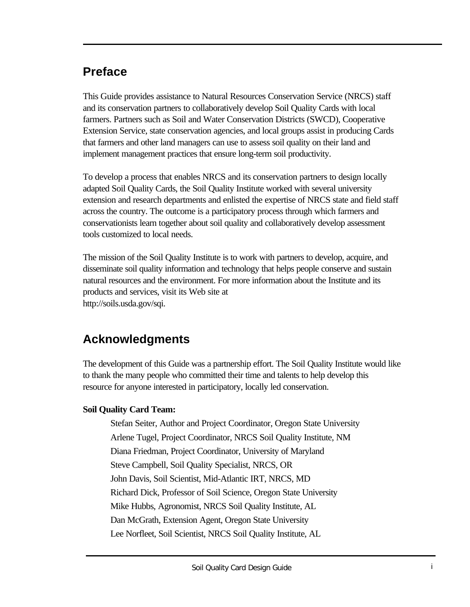## **Preface**

This Guide provides assistance to Natural Resources Conservation Service (NRCS) staff and its conservation partners to collaboratively develop Soil Quality Cards with local farmers. Partners such as Soil and Water Conservation Districts (SWCD), Cooperative Extension Service, state conservation agencies, and local groups assist in producing Cards that farmers and other land managers can use to assess soil quality on their land and implement management practices that ensure long-term soil productivity.

To develop a process that enables NRCS and its conservation partners to design locally adapted Soil Quality Cards, the Soil Quality Institute worked with several university extension and research departments and enlisted the expertise of NRCS state and field staff across the country. The outcome is a participatory process through which farmers and conservationists learn together about soil quality and collaboratively develop assessment tools customized to local needs.

The mission of the Soil Quality Institute is to work with partners to develop, acquire, and disseminate soil quality information and technology that helps people conserve and sustain natural resources and the environment. For more information about the Institute and its products and services, visit its Web site at http://soils.usda.gov/sqi.

## **Acknowledgments**

The development of this Guide was a partnership effort. The Soil Quality Institute would like to thank the many people who committed their time and talents to help develop this resource for anyone interested in participatory, locally led conservation.

#### **Soil Quality Card Team:**

Stefan Seiter, Author and Project Coordinator, Oregon State University Arlene Tugel, Project Coordinator, NRCS Soil Quality Institute, NM Diana Friedman, Project Coordinator, University of Maryland Steve Campbell, Soil Quality Specialist, NRCS, OR John Davis, Soil Scientist, Mid-Atlantic IRT, NRCS, MD Richard Dick, Professor of Soil Science, Oregon State University Mike Hubbs, Agronomist, NRCS Soil Quality Institute, AL Dan McGrath, Extension Agent, Oregon State University Lee Norfleet, Soil Scientist, NRCS Soil Quality Institute, AL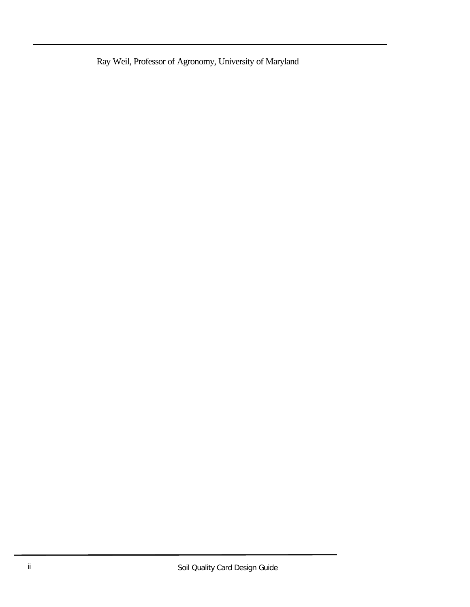Ray Weil, Professor of Agronomy, University of Maryland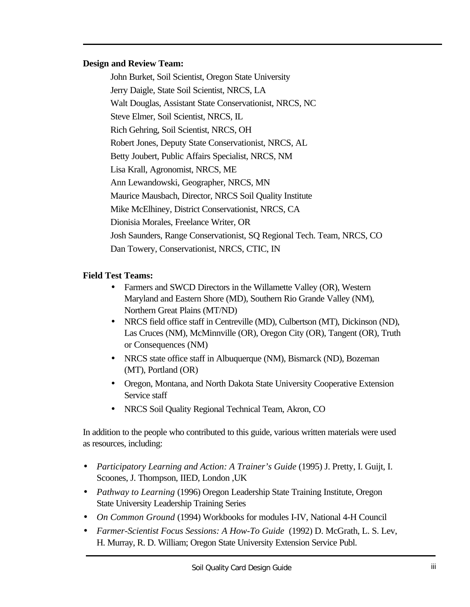#### **Design and Review Team:**

John Burket, Soil Scientist, Oregon State University Jerry Daigle, State Soil Scientist, NRCS, LA Walt Douglas, Assistant State Conservationist, NRCS, NC Steve Elmer, Soil Scientist, NRCS, IL Rich Gehring, Soil Scientist, NRCS, OH Robert Jones, Deputy State Conservationist, NRCS, AL Betty Joubert, Public Affairs Specialist, NRCS, NM Lisa Krall, Agronomist, NRCS, ME Ann Lewandowski, Geographer, NRCS, MN Maurice Mausbach, Director, NRCS Soil Quality Institute Mike McElhiney, District Conservationist, NRCS, CA Dionisia Morales, Freelance Writer, OR Josh Saunders, Range Conservationist, SQ Regional Tech. Team, NRCS, CO Dan Towery, Conservationist, NRCS, CTIC, IN

#### **Field Test Teams:**

- Farmers and SWCD Directors in the Willamette Valley (OR), Western Maryland and Eastern Shore (MD), Southern Rio Grande Valley (NM), Northern Great Plains (MT/ND)
- NRCS field office staff in Centreville (MD), Culbertson (MT), Dickinson (ND), Las Cruces (NM), McMinnville (OR), Oregon City (OR), Tangent (OR), Truth or Consequences (NM)
- NRCS state office staff in Albuquerque (NM), Bismarck (ND), Bozeman (MT), Portland (OR)
- Oregon, Montana, and North Dakota State University Cooperative Extension Service staff
- NRCS Soil Quality Regional Technical Team, Akron, CO

In addition to the people who contributed to this guide, various written materials were used as resources, including:

- *Participatory Learning and Action: A Trainer's Guide* (1995) J. Pretty, I. Guijt, I. Scoones, J. Thompson, IIED, London ,UK
- *Pathway to Learning* (1996) Oregon Leadership State Training Institute, Oregon State University Leadership Training Series
- *On Common Ground* (1994) Workbooks for modules I-IV, National 4-H Council
- *Farmer-Scientist Focus Sessions: A How-To Guide* (1992) D. McGrath, L. S. Lev, H. Murray, R. D. William; Oregon State University Extension Service Publ.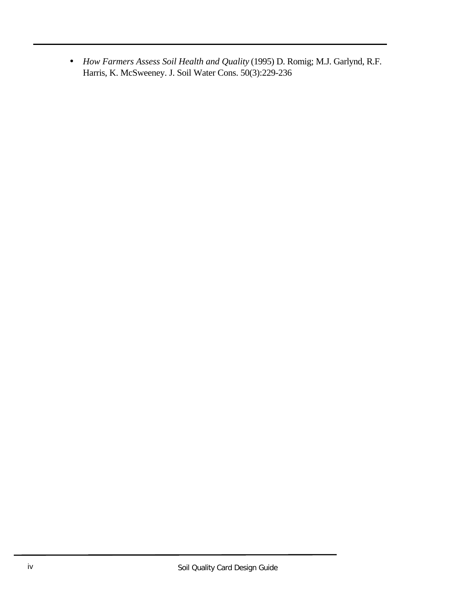• *How Farmers Assess Soil Health and Quality* (1995) D. Romig; M.J. Garlynd, R.F. Harris, K. McSweeney. J. Soil Water Cons. 50(3):229-236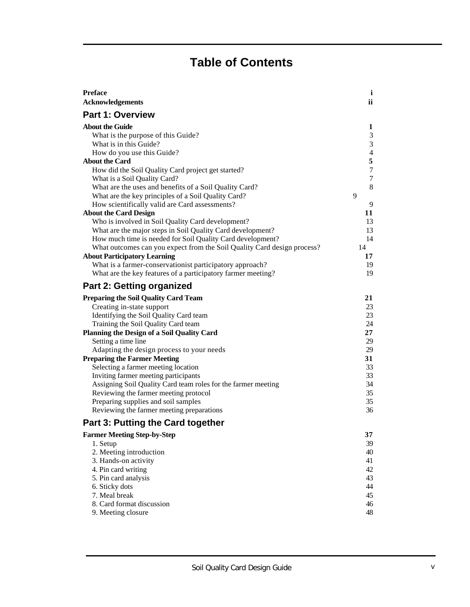## **Table of Contents**

| <b>Preface</b>                                                          | i              |
|-------------------------------------------------------------------------|----------------|
| <b>Acknowledgements</b>                                                 | ii             |
| <b>Part 1: Overview</b>                                                 |                |
| <b>About the Guide</b>                                                  | 1              |
| What is the purpose of this Guide?                                      | 3              |
| What is in this Guide?                                                  | 3              |
| How do you use this Guide?                                              | $\overline{4}$ |
| <b>About the Card</b>                                                   | 5              |
| How did the Soil Quality Card project get started?                      | $\overline{7}$ |
| What is a Soil Quality Card?                                            | 7              |
| What are the uses and benefits of a Soil Quality Card?                  | 8              |
| What are the key principles of a Soil Quality Card?                     | 9              |
| How scientifically valid are Card assessments?                          | 9              |
| <b>About the Card Design</b>                                            | 11             |
| Who is involved in Soil Quality Card development?                       | 13             |
| What are the major steps in Soil Quality Card development?              | 13             |
| How much time is needed for Soil Quality Card development?              | 14             |
| What outcomes can you expect from the Soil Quality Card design process? | 14             |
| <b>About Participatory Learning</b>                                     | 17             |
| What is a farmer-conservationist participatory approach?                | 19             |
| What are the key features of a participatory farmer meeting?            | 19             |
| <b>Part 2: Getting organized</b>                                        |                |
| <b>Preparing the Soil Quality Card Team</b>                             | 21             |
| Creating in-state support                                               | 23             |
| Identifying the Soil Quality Card team                                  | 23             |
| Training the Soil Quality Card team                                     | 24             |
| <b>Planning the Design of a Soil Quality Card</b>                       | 27             |
| Setting a time line                                                     | 29             |
| Adapting the design process to your needs                               | 29             |
| <b>Preparing the Farmer Meeting</b>                                     | 31             |
| Selecting a farmer meeting location                                     | 33             |
| Inviting farmer meeting participants                                    | 33             |
| Assigning Soil Quality Card team roles for the farmer meeting           | 34             |
| Reviewing the farmer meeting protocol                                   | 35             |
| Preparing supplies and soil samples                                     | 35             |
| Reviewing the farmer meeting preparations                               | 36             |
| <b>Part 3: Putting the Card together</b>                                |                |
| <b>Farmer Meeting Step-by-Step</b>                                      | 37             |
| 1. Setup                                                                | 39             |
| 2. Meeting introduction                                                 | 40             |
| 3. Hands-on activity                                                    | 41             |
| 4. Pin card writing                                                     | 42             |
| 5. Pin card analysis                                                    | 43             |
| 6. Sticky dots                                                          | 44             |
| 7. Meal break                                                           | 45             |
| 8. Card format discussion                                               | 46             |
| 9. Meeting closure                                                      | 48             |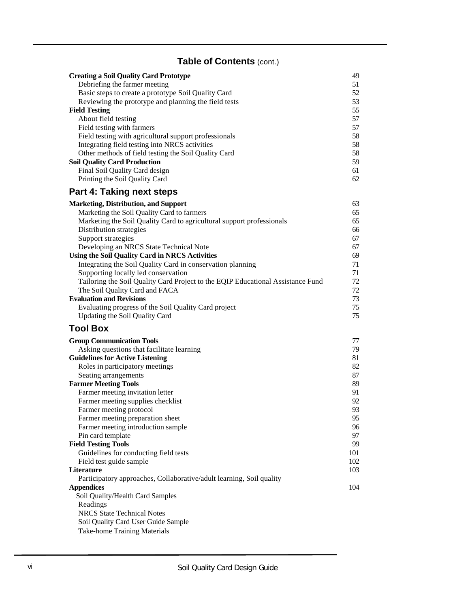### **Table of Contents** (cont.)

| <b>Creating a Soil Quality Card Prototype</b>                                   | 49       |
|---------------------------------------------------------------------------------|----------|
| Debriefing the farmer meeting                                                   | 51       |
| Basic steps to create a prototype Soil Quality Card                             | 52       |
| Reviewing the prototype and planning the field tests                            | 53       |
| <b>Field Testing</b>                                                            | 55       |
| About field testing                                                             | 57       |
| Field testing with farmers                                                      | 57       |
| Field testing with agricultural support professionals                           | 58       |
| Integrating field testing into NRCS activities                                  | 58       |
| Other methods of field testing the Soil Quality Card                            | 58       |
| <b>Soil Quality Card Production</b>                                             | 59       |
| Final Soil Quality Card design                                                  | 61       |
| Printing the Soil Quality Card                                                  | 62       |
| <b>Part 4: Taking next steps</b>                                                |          |
| <b>Marketing, Distribution, and Support</b>                                     | 63       |
| Marketing the Soil Quality Card to farmers                                      | 65       |
| Marketing the Soil Quality Card to agricultural support professionals           | 65       |
|                                                                                 |          |
| Distribution strategies                                                         | 66<br>67 |
| Support strategies                                                              |          |
| Developing an NRCS State Technical Note                                         | 67       |
| <b>Using the Soil Quality Card in NRCS Activities</b>                           | 69       |
| Integrating the Soil Quality Card in conservation planning                      | 71       |
| Supporting locally led conservation                                             | 71       |
| Tailoring the Soil Quality Card Project to the EQIP Educational Assistance Fund | 72       |
| The Soil Quality Card and FACA                                                  | 72       |
| <b>Evaluation and Revisions</b>                                                 | 73       |
| Evaluating progress of the Soil Quality Card project                            | 75       |
| Updating the Soil Quality Card                                                  | 75       |
| <b>Tool Box</b>                                                                 |          |
| <b>Group Communication Tools</b>                                                | 77       |
| Asking questions that facilitate learning                                       | 79       |
| <b>Guidelines for Active Listening</b>                                          | 81       |
| Roles in participatory meetings                                                 | 82       |
| Seating arrangements                                                            | 87       |
| <b>Farmer Meeting Tools</b>                                                     | 89       |
| Farmer meeting invitation letter                                                | 91       |
| Farmer meeting supplies checklist                                               | 92       |
| Farmer meeting protocol                                                         | 93       |
| Farmer meeting preparation sheet                                                | 95       |
| Farmer meeting introduction sample                                              | 96       |
| Pin card template                                                               | 97       |
| <b>Field Testing Tools</b>                                                      | 99       |
| Guidelines for conducting field tests                                           | 101      |
| Field test guide sample                                                         | 102      |
| Literature                                                                      | 103      |
| Participatory approaches, Collaborative/adult learning, Soil quality            |          |
| <b>Appendices</b>                                                               | 104      |
| Soil Quality/Health Card Samples                                                |          |
| Readings                                                                        |          |
| <b>NRCS State Technical Notes</b>                                               |          |
| Soil Quality Card User Guide Sample                                             |          |
| <b>Take-home Training Materials</b>                                             |          |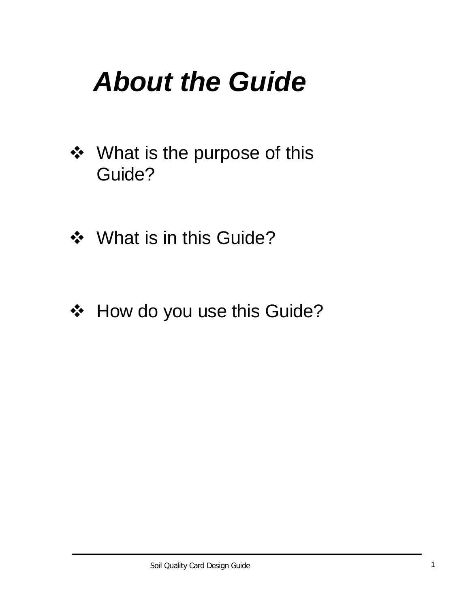## *About the Guide*

- ❖ What is the purpose of this Guide?
- ❖ What is in this Guide?
- ❖ How do you use this Guide?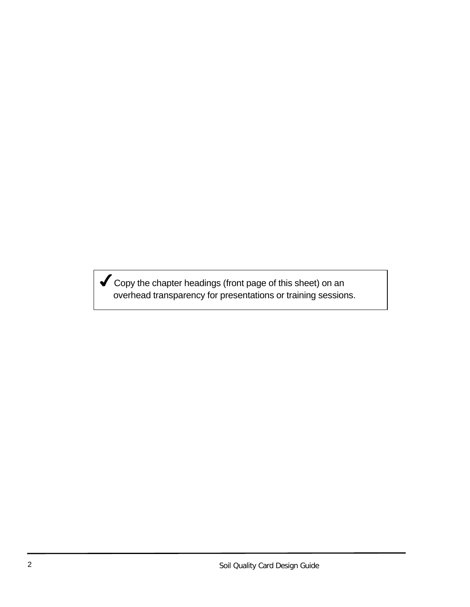$\blacktriangledown$  Copy the chapter headings (front page of this sheet) on an overhead transparency for presentations or training sessions.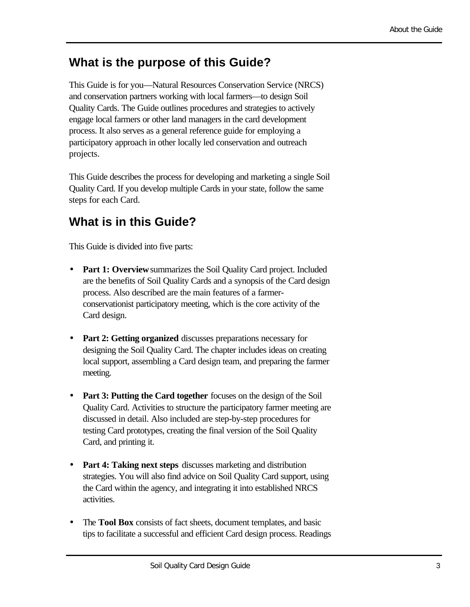## **What is the purpose of this Guide?**

This Guide is for you—Natural Resources Conservation Service (NRCS) and conservation partners working with local farmers—to design Soil Quality Cards. The Guide outlines procedures and strategies to actively engage local farmers or other land managers in the card development process. It also serves as a general reference guide for employing a participatory approach in other locally led conservation and outreach projects.

This Guide describes the process for developing and marketing a single Soil Quality Card. If you develop multiple Cards in your state, follow the same steps for each Card.

## **What is in this Guide?**

This Guide is divided into five parts:

- **Part 1: Overview** summarizes the Soil Quality Card project. Included are the benefits of Soil Quality Cards and a synopsis of the Card design process. Also described are the main features of a farmerconservationist participatory meeting, which is the core activity of the Card design.
- **Part 2: Getting organized** discusses preparations necessary for designing the Soil Quality Card. The chapter includes ideas on creating local support, assembling a Card design team, and preparing the farmer meeting.
- **Part 3: Putting the Card together** focuses on the design of the Soil Quality Card. Activities to structure the participatory farmer meeting are discussed in detail. Also included are step-by-step procedures for testing Card prototypes, creating the final version of the Soil Quality Card, and printing it.
- **Part 4: Taking next steps** discusses marketing and distribution strategies. You will also find advice on Soil Quality Card support, using the Card within the agency, and integrating it into established NRCS activities.
- The **Tool Box** consists of fact sheets, document templates, and basic tips to facilitate a successful and efficient Card design process. Readings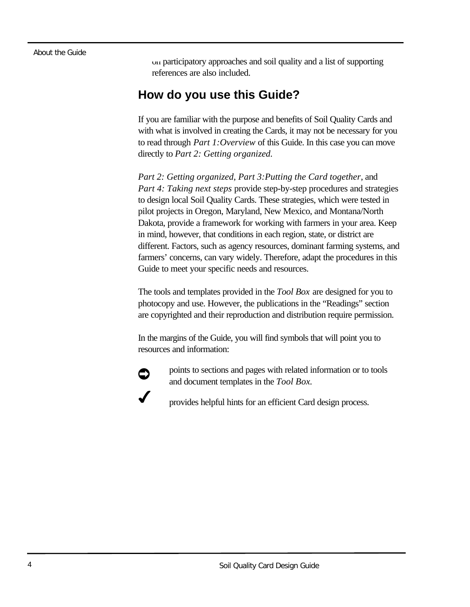#### About the Guide

on participatory approaches and soil quality and a list of supporting references are also included.

### **How do you use this Guide?**

If you are familiar with the purpose and benefits of Soil Quality Cards and with what is involved in creating the Cards, it may not be necessary for you to read through *Part 1:Overview* of this Guide. In this case you can move directly to *Part 2: Getting organized.*

*Part 2: Getting organized*, *Part 3:Putting the Card together*, and *Part 4: Taking next steps* provide step-by-step procedures and strategies to design local Soil Quality Cards. These strategies, which were tested in pilot projects in Oregon, Maryland, New Mexico, and Montana/North Dakota, provide a framework for working with farmers in your area. Keep in mind, however, that conditions in each region, state, or district are different. Factors, such as agency resources, dominant farming systems, and farmers' concerns, can vary widely. Therefore, adapt the procedures in this Guide to meet your specific needs and resources.

The tools and templates provided in the *Tool Box* are designed for you to photocopy and use. However, the publications in the "Readings" section are copyrighted and their reproduction and distribution require permission.

In the margins of the Guide, you will find symbols that will point you to resources and information:



points to sections and pages with related information or to tools and document templates in the *Tool Box.*

provides helpful hints for an efficient Card design process.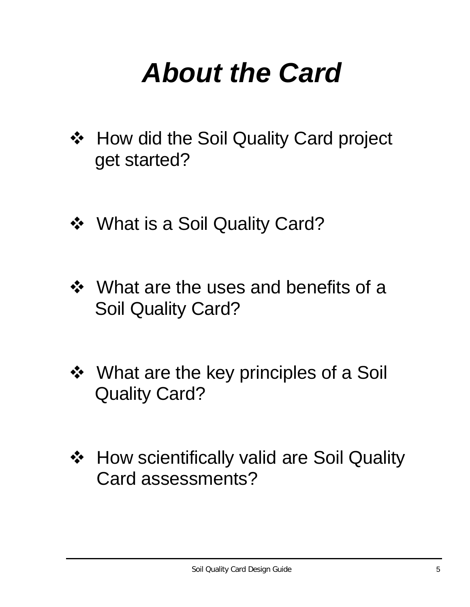## *About the Card*

- ❖ How did the Soil Quality Card project get started?
- ❖ What is a Soil Quality Card?
- $\div$  What are the uses and benefits of a Soil Quality Card?
- ❖ What are the key principles of a Soil Quality Card?
- ❖ How scientifically valid are Soil Quality Card assessments?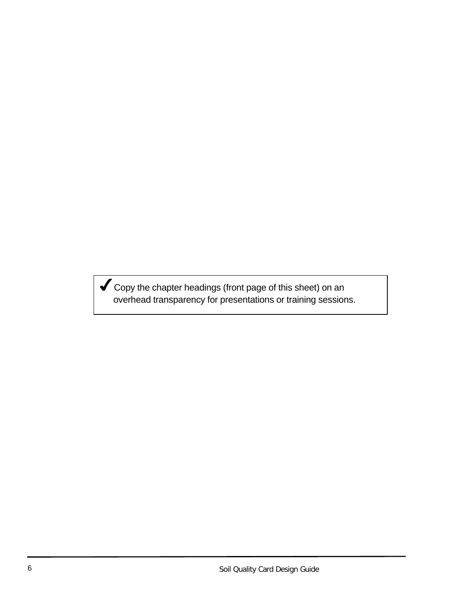Gopy the chapter headings (front page of this sheet) on an overhead transparency for presentations or training sessions.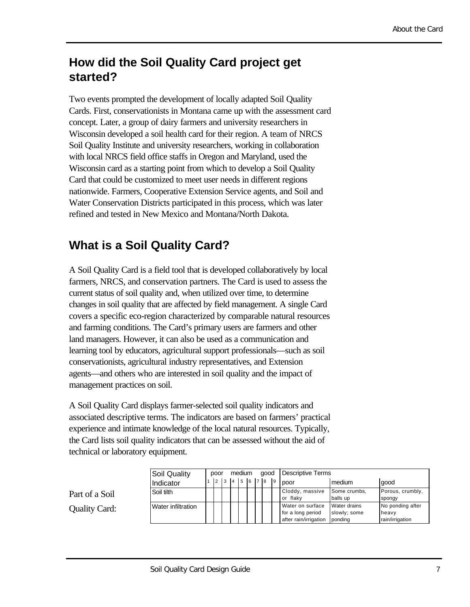## **How did the Soil Quality Card project get started?**

Two events prompted the development of locally adapted Soil Quality Cards. First, conservationists in Montana came up with the assessment card concept. Later, a group of dairy farmers and university researchers in Wisconsin developed a soil health card for their region. A team of NRCS Soil Quality Institute and university researchers, working in collaboration with local NRCS field office staffs in Oregon and Maryland, used the Wisconsin card as a starting point from which to develop a Soil Quality Card that could be customized to meet user needs in different regions nationwide. Farmers, Cooperative Extension Service agents, and Soil and Water Conservation Districts participated in this process, which was later refined and tested in New Mexico and Montana/North Dakota.

## **What is a Soil Quality Card?**

A Soil Quality Card is a field tool that is developed collaboratively by local farmers, NRCS, and conservation partners. The Card is used to assess the current status of soil quality and, when utilized over time, to determine changes in soil quality that are affected by field management. A single Card covers a specific eco-region characterized by comparable natural resources and farming conditions. The Card's primary users are farmers and other land managers. However, it can also be used as a communication and learning tool by educators, agricultural support professionals—such as soil conservationists, agricultural industry representatives, and Extension agents—and others who are interested in soil quality and the impact of management practices on soil.

A Soil Quality Card displays farmer-selected soil quality indicators and associated descriptive terms. The indicators are based on farmers' practical experience and intimate knowledge of the local natural resources. Typically, the Card lists soil quality indicators that can be assessed without the aid of technical or laboratory equipment.

|                | Soil Quality       | poor |  | medium |                             |  | good |  |  | Descriptive Terms |                                                                |                                         |                                              |
|----------------|--------------------|------|--|--------|-----------------------------|--|------|--|--|-------------------|----------------------------------------------------------------|-----------------------------------------|----------------------------------------------|
|                | Indicator          |      |  |        | $2 \t3 \t4 \t5 \t6 \t7 \t8$ |  |      |  |  | $\overline{9}$    | poor                                                           | medium                                  | good                                         |
| Part of a Soil | Soil tilth         |      |  |        |                             |  |      |  |  |                   | Cloddy, massive<br>or flaky                                    | Some crumbs,<br>balls up                | Porous, crumbly,<br>spongy                   |
| Quality Card:  | Water infiltration |      |  |        |                             |  |      |  |  |                   | Water on surface<br>for a long period<br>after rain/irrigation | Water drains<br>slowly; some<br>ponding | No ponding after<br>heavy<br>rain/irrigation |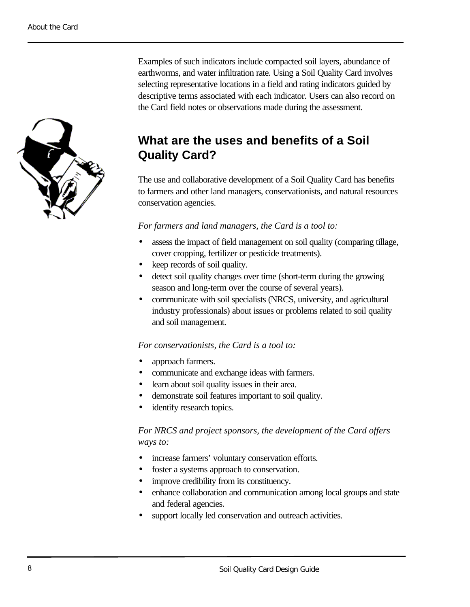

Examples of such indicators include compacted soil layers, abundance of earthworms, and water infiltration rate. Using a Soil Quality Card involves selecting representative locations in a field and rating indicators guided by descriptive terms associated with each indicator. Users can also record on the Card field notes or observations made during the assessment.

## **What are the uses and benefits of a Soil Quality Card?**

The use and collaborative development of a Soil Quality Card has benefits to farmers and other land managers, conservationists, and natural resources conservation agencies.

#### *For farmers and land managers, the Card is a tool to:*

- assess the impact of field management on soil quality (comparing tillage, cover cropping, fertilizer or pesticide treatments).
- keep records of soil quality.
- detect soil quality changes over time (short-term during the growing season and long-term over the course of several years).
- communicate with soil specialists (NRCS, university, and agricultural industry professionals) about issues or problems related to soil quality and soil management.

#### *For conservationists, the Card is a tool to:*

- approach farmers.
- communicate and exchange ideas with farmers.
- learn about soil quality issues in their area.
- demonstrate soil features important to soil quality.
- identify research topics.

#### *For NRCS and project sponsors, the development of the Card offers ways to:*

- increase farmers' voluntary conservation efforts.
- foster a systems approach to conservation.
- improve credibility from its constituency.
- enhance collaboration and communication among local groups and state and federal agencies.
- support locally led conservation and outreach activities.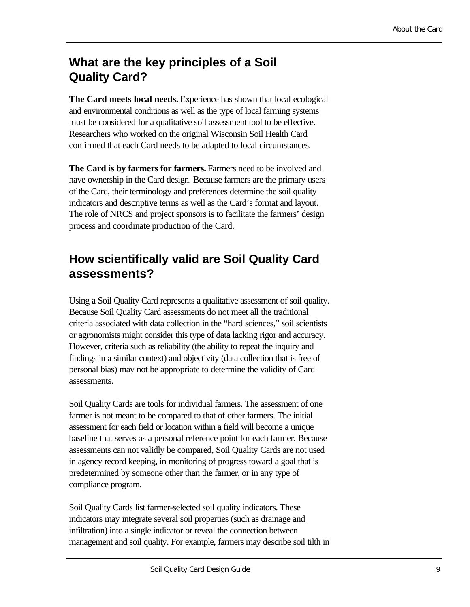## **What are the key principles of a Soil Quality Card?**

**The Card meets local needs.** Experience has shown that local ecological and environmental conditions as well as the type of local farming systems must be considered for a qualitative soil assessment tool to be effective. Researchers who worked on the original Wisconsin Soil Health Card confirmed that each Card needs to be adapted to local circumstances.

**The Card is by farmers for farmers.** Farmers need to be involved and have ownership in the Card design. Because farmers are the primary users of the Card, their terminology and preferences determine the soil quality indicators and descriptive terms as well as the Card's format and layout. The role of NRCS and project sponsors is to facilitate the farmers' design process and coordinate production of the Card.

## **How scientifically valid are Soil Quality Card assessments?**

Using a Soil Quality Card represents a qualitative assessment of soil quality. Because Soil Quality Card assessments do not meet all the traditional criteria associated with data collection in the "hard sciences," soil scientists or agronomists might consider this type of data lacking rigor and accuracy. However, criteria such as reliability (the ability to repeat the inquiry and findings in a similar context) and objectivity (data collection that is free of personal bias) may not be appropriate to determine the validity of Card assessments.

Soil Quality Cards are tools for individual farmers. The assessment of one farmer is not meant to be compared to that of other farmers. The initial assessment for each field or location within a field will become a unique baseline that serves as a personal reference point for each farmer. Because assessments can not validly be compared, Soil Quality Cards are not used in agency record keeping, in monitoring of progress toward a goal that is predetermined by someone other than the farmer, or in any type of compliance program.

Soil Quality Cards list farmer-selected soil quality indicators. These indicators may integrate several soil properties (such as drainage and infiltration) into a single indicator or reveal the connection between management and soil quality. For example, farmers may describe soil tilth in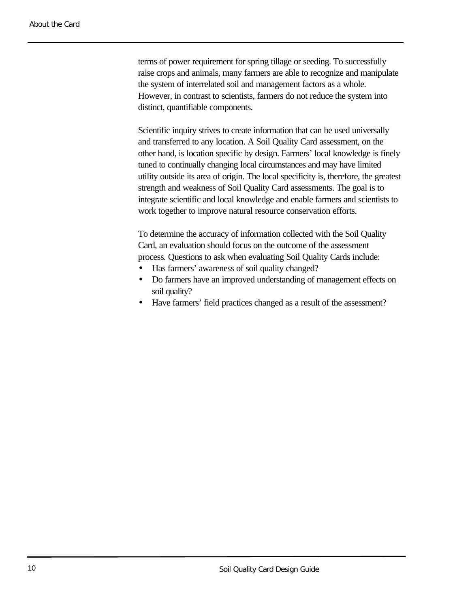terms of power requirement for spring tillage or seeding. To successfully raise crops and animals, many farmers are able to recognize and manipulate the system of interrelated soil and management factors as a whole. However, in contrast to scientists, farmers do not reduce the system into distinct, quantifiable components.

Scientific inquiry strives to create information that can be used universally and transferred to any location. A Soil Quality Card assessment, on the other hand, is location specific by design. Farmers' local knowledge is finely tuned to continually changing local circumstances and may have limited utility outside its area of origin. The local specificity is, therefore, the greatest strength and weakness of Soil Quality Card assessments. The goal is to integrate scientific and local knowledge and enable farmers and scientists to work together to improve natural resource conservation efforts.

To determine the accuracy of information collected with the Soil Quality Card, an evaluation should focus on the outcome of the assessment process. Questions to ask when evaluating Soil Quality Cards include:

- Has farmers' awareness of soil quality changed?
- Do farmers have an improved understanding of management effects on soil quality?
- Have farmers' field practices changed as a result of the assessment?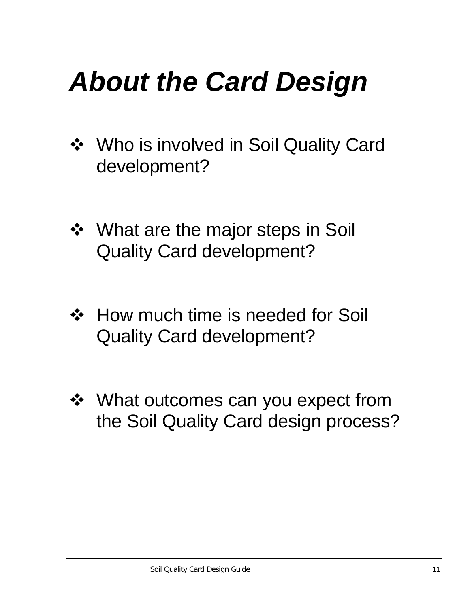## *About the Card Design*

- ❖ Who is involved in Soil Quality Card development?
- ❖ What are the major steps in Soil Quality Card development?
- ❖ How much time is needed for Soil Quality Card development?
- ❖ What outcomes can you expect from the Soil Quality Card design process?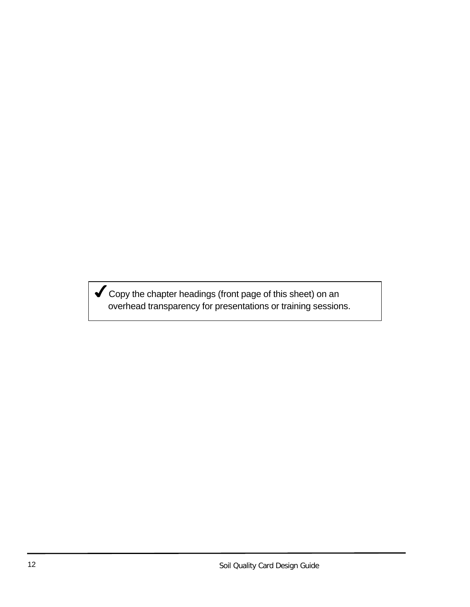$\blacktriangledown$  Copy the chapter headings (front page of this sheet) on an overhead transparency for presentations or training sessions.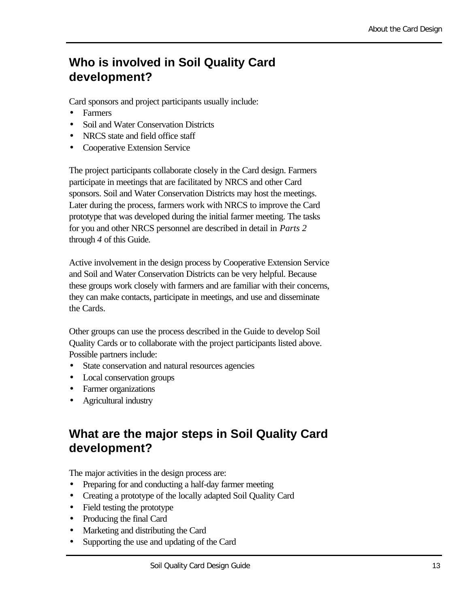## **Who is involved in Soil Quality Card development?**

Card sponsors and project participants usually include:

- Farmers
- Soil and Water Conservation Districts
- NRCS state and field office staff
- Cooperative Extension Service

The project participants collaborate closely in the Card design. Farmers participate in meetings that are facilitated by NRCS and other Card sponsors. Soil and Water Conservation Districts may host the meetings. Later during the process, farmers work with NRCS to improve the Card prototype that was developed during the initial farmer meeting. The tasks for you and other NRCS personnel are described in detail in *Parts 2* through *4* of this Guide.

Active involvement in the design process by Cooperative Extension Service and Soil and Water Conservation Districts can be very helpful. Because these groups work closely with farmers and are familiar with their concerns, they can make contacts, participate in meetings, and use and disseminate the Cards.

Other groups can use the process described in the Guide to develop Soil Quality Cards or to collaborate with the project participants listed above. Possible partners include:

- State conservation and natural resources agencies
- Local conservation groups
- Farmer organizations
- Agricultural industry

### **What are the major steps in Soil Quality Card development?**

The major activities in the design process are:

- Preparing for and conducting a half-day farmer meeting
- Creating a prototype of the locally adapted Soil Quality Card
- Field testing the prototype
- Producing the final Card
- Marketing and distributing the Card
- Supporting the use and updating of the Card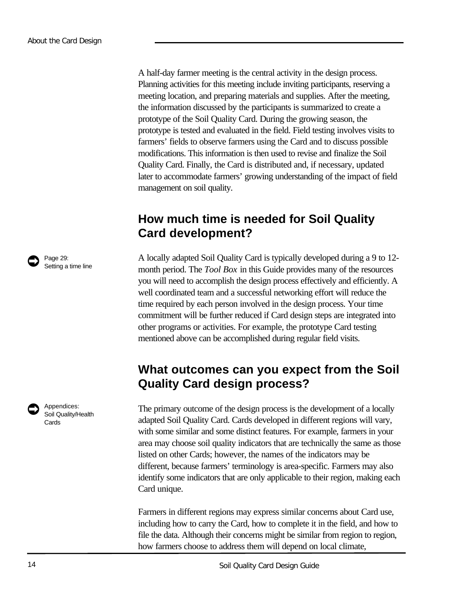A half-day farmer meeting is the central activity in the design process. Planning activities for this meeting include inviting participants, reserving a meeting location, and preparing materials and supplies. After the meeting, the information discussed by the participants is summarized to create a prototype of the Soil Quality Card. During the growing season, the prototype is tested and evaluated in the field. Field testing involves visits to farmers' fields to observe farmers using the Card and to discuss possible modifications. This information is then used to revise and finalize the Soil Quality Card. Finally, the Card is distributed and, if necessary, updated later to accommodate farmers' growing understanding of the impact of field management on soil quality.

### **How much time is needed for Soil Quality Card development?**

A locally adapted Soil Quality Card is typically developed during a 9 to 12 month period. The *Tool Box* in this Guide provides many of the resources you will need to accomplish the design process effectively and efficiently. A well coordinated team and a successful networking effort will reduce the time required by each person involved in the design process. Your time commitment will be further reduced if Card design steps are integrated into other programs or activities. For example, the prototype Card testing mentioned above can be accomplished during regular field visits.

### **What outcomes can you expect from the Soil Quality Card design process?**

The primary outcome of the design process is the development of a locally adapted Soil Quality Card. Cards developed in different regions will vary, with some similar and some distinct features. For example, farmers in your area may choose soil quality indicators that are technically the same as those listed on other Cards; however, the names of the indicators may be different, because farmers' terminology is area-specific. Farmers may also identify some indicators that are only applicable to their region, making each Card unique.

Farmers in different regions may express similar concerns about Card use, including how to carry the Card, how to complete it in the field, and how to file the data. Although their concerns might be similar from region to region, how farmers choose to address them will depend on local climate,





Appendices: Soil Quality/Health **Cards**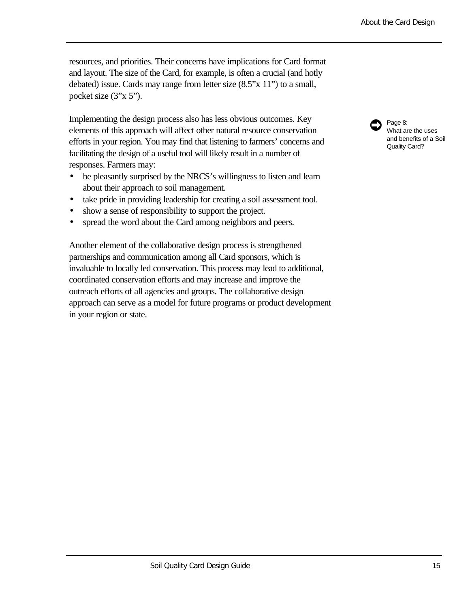resources, and priorities. Their concerns have implications for Card format and layout. The size of the Card, for example, is often a crucial (and hotly debated) issue. Cards may range from letter size (8.5"x 11") to a small, pocket size (3"x 5").

Implementing the design process also has less obvious outcomes. Key elements of this approach will affect other natural resource conservation efforts in your region. You may find that listening to farmers' concerns and facilitating the design of a useful tool will likely result in a number of responses. Farmers may:

- be pleasantly surprised by the NRCS's willingness to listen and learn about their approach to soil management.
- take pride in providing leadership for creating a soil assessment tool.
- show a sense of responsibility to support the project.
- spread the word about the Card among neighbors and peers.

Another element of the collaborative design process is strengthened partnerships and communication among all Card sponsors, which is invaluable to locally led conservation. This process may lead to additional, coordinated conservation efforts and may increase and improve the outreach efforts of all agencies and groups. The collaborative design approach can serve as a model for future programs or product development in your region or state.

Page 8: What are the uses and benefits of a Soil Quality Card?  $\bullet$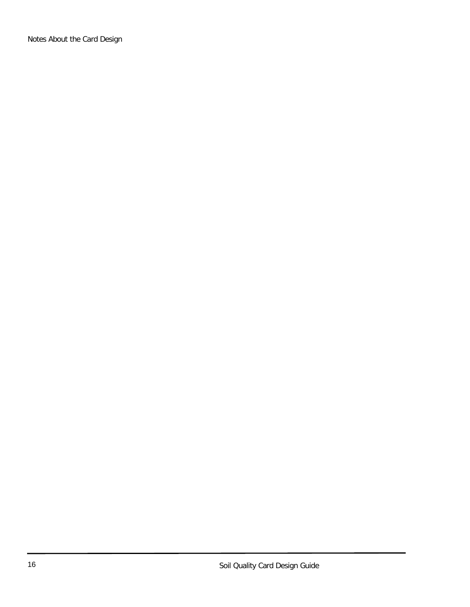Notes About the Card Design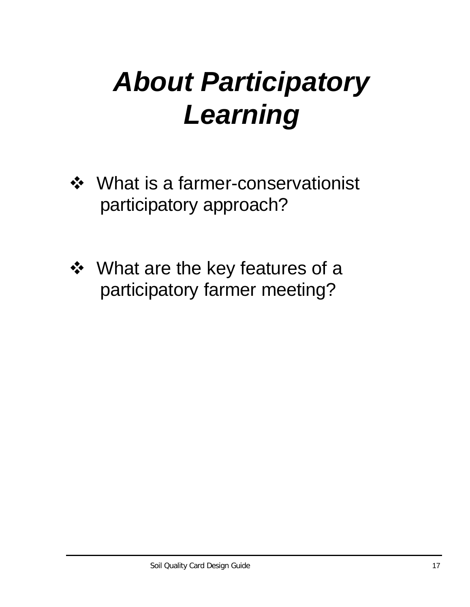## *About Participatory Learning*

- ❖ What is a farmer-conservationist participatory approach?
- ❖ What are the key features of a participatory farmer meeting?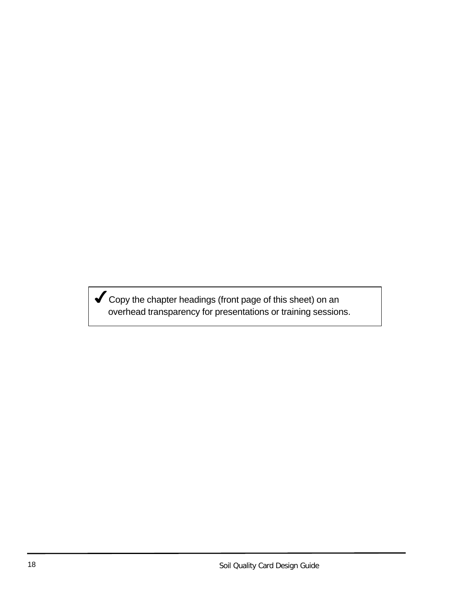4Copy the chapter headings (front page of this sheet) on an overhead transparency for presentations or training sessions.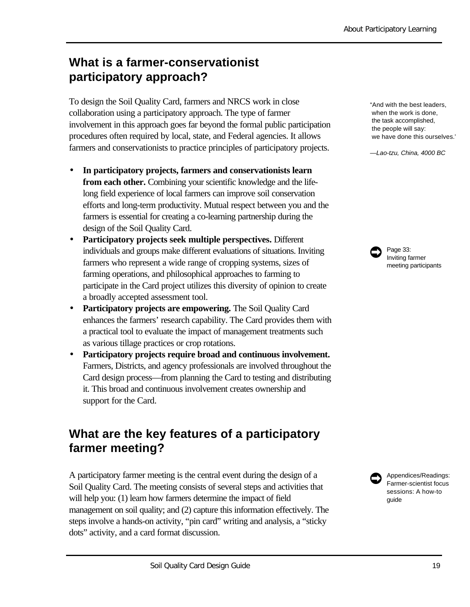## **What is a farmer-conservationist participatory approach?**

To design the Soil Quality Card, farmers and NRCS work in close collaboration using a participatory approach. The type of farmer involvement in this approach goes far beyond the formal public participation procedures often required by local, state, and Federal agencies. It allows farmers and conservationists to practice principles of participatory projects.

- **In participatory projects, farmers and conservationists learn from each other.** Combining your scientific knowledge and the lifelong field experience of local farmers can improve soil conservation efforts and long-term productivity. Mutual respect between you and the farmers is essential for creating a co-learning partnership during the design of the Soil Quality Card.
- **Participatory projects seek multiple perspectives.** Different individuals and groups make different evaluations of situations. Inviting farmers who represent a wide range of cropping systems, sizes of farming operations, and philosophical approaches to farming to participate in the Card project utilizes this diversity of opinion to create a broadly accepted assessment tool.
- **Participatory projects are empowering.** The Soil Quality Card enhances the farmers' research capability. The Card provides them with a practical tool to evaluate the impact of management treatments such as various tillage practices or crop rotations.
- **Participatory projects require broad and continuous involvement.** Farmers, Districts, and agency professionals are involved throughout the Card design process—from planning the Card to testing and distributing it. This broad and continuous involvement creates ownership and support for the Card.

## **What are the key features of a participatory farmer meeting?**

A participatory farmer meeting is the central event during the design of a Soil Quality Card. The meeting consists of several steps and activities that will help you: (1) learn how farmers determine the impact of field management on soil quality; and (2) capture this information effectively. The steps involve a hands-on activity, "pin card" writing and analysis, a "sticky dots" activity, and a card format discussion.

"And with the best leaders, when the work is done, the task accomplished, the people will say: we have done this ourselves."

*—Lao-tzu, China, 4000 BC*

Page 33: Inviting farmer meeting participants  $\bullet$ 

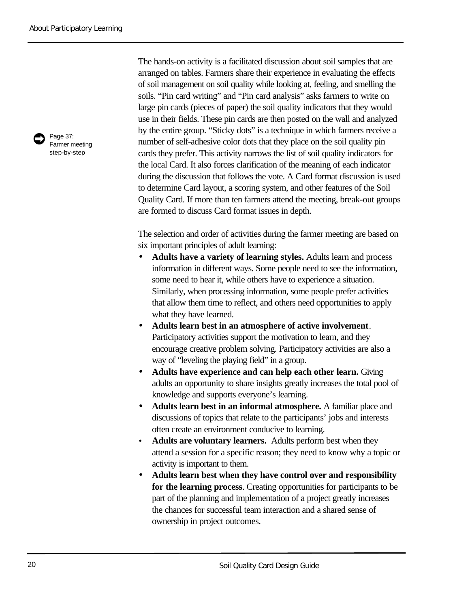

Page 37: Farmer meeting step-by-step

The hands-on activity is a facilitated discussion about soil samples that are arranged on tables. Farmers share their experience in evaluating the effects of soil management on soil quality while looking at, feeling, and smelling the soils. "Pin card writing" and "Pin card analysis" asks farmers to write on large pin cards (pieces of paper) the soil quality indicators that they would use in their fields. These pin cards are then posted on the wall and analyzed by the entire group. "Sticky dots" is a technique in which farmers receive a number of self-adhesive color dots that they place on the soil quality pin cards they prefer. This activity narrows the list of soil quality indicators for the local Card. It also forces clarification of the meaning of each indicator during the discussion that follows the vote. A Card format discussion is used to determine Card layout, a scoring system, and other features of the Soil Quality Card. If more than ten farmers attend the meeting, break-out groups are formed to discuss Card format issues in depth.

The selection and order of activities during the farmer meeting are based on six important principles of adult learning:

- **Adults have a variety of learning styles.** Adults learn and process information in different ways. Some people need to see the information, some need to hear it, while others have to experience a situation. Similarly, when processing information, some people prefer activities that allow them time to reflect, and others need opportunities to apply what they have learned.
- **Adults learn best in an atmosphere of active involvement**. Participatory activities support the motivation to learn, and they encourage creative problem solving. Participatory activities are also a way of "leveling the playing field" in a group.
- **Adults have experience and can help each other learn.** Giving adults an opportunity to share insights greatly increases the total pool of knowledge and supports everyone's learning.
- **Adults learn best in an informal atmosphere.** A familiar place and discussions of topics that relate to the participants' jobs and interests often create an environment conducive to learning.
- **Adults are voluntary learners.** Adults perform best when they attend a session for a specific reason; they need to know why a topic or activity is important to them.
- **Adults learn best when they have control over and responsibility for the learning process**. Creating opportunities for participants to be part of the planning and implementation of a project greatly increases the chances for successful team interaction and a shared sense of ownership in project outcomes.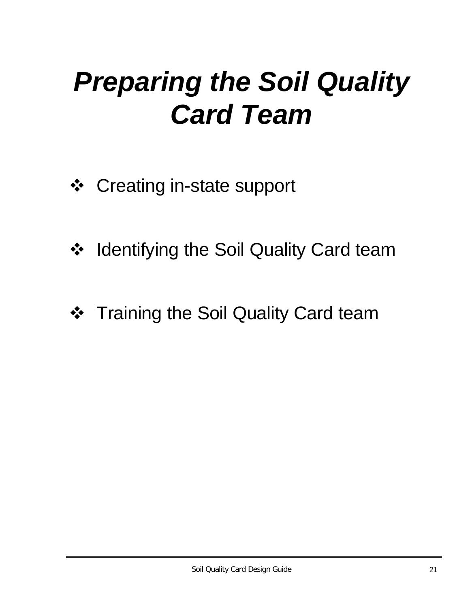## *Preparing the Soil Quality Card Team*

- ❖ Creating in-state support
- ❖ Identifying the Soil Quality Card team
- ❖ Training the Soil Quality Card team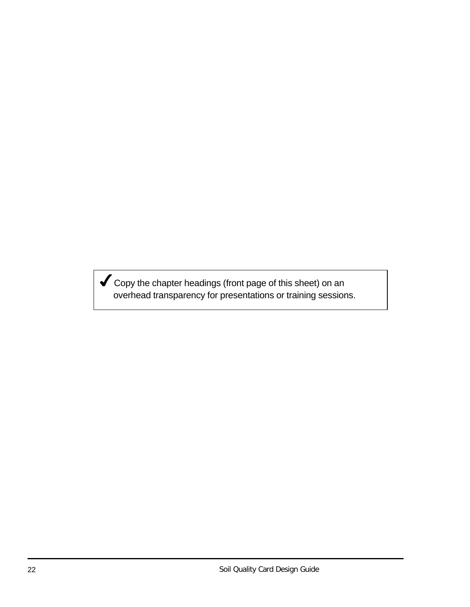$\blacktriangledown$  Copy the chapter headings (front page of this sheet) on an overhead transparency for presentations or training sessions.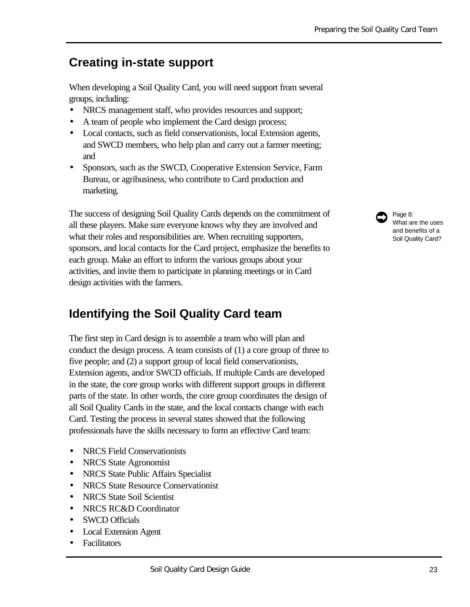## **Creating in-state support**

When developing a Soil Quality Card, you will need support from several groups, including:

- NRCS management staff, who provides resources and support;
- A team of people who implement the Card design process;
- Local contacts, such as field conservationists, local Extension agents, and SWCD members, who help plan and carry out a farmer meeting; and
- Sponsors, such as the SWCD, Cooperative Extension Service, Farm Bureau, or agribusiness, who contribute to Card production and marketing.

The success of designing Soil Quality Cards depends on the commitment of all these players. Make sure everyone knows why they are involved and what their roles and responsibilities are. When recruiting supporters, sponsors, and local contacts for the Card project, emphasize the benefits to each group. Make an effort to inform the various groups about your activities, and invite them to participate in planning meetings or in Card design activities with the farmers.

## **Identifying the Soil Quality Card team**

The first step in Card design is to assemble a team who will plan and conduct the design process. A team consists of (1) a core group of three to five people; and (2) a support group of local field conservationists, Extension agents, and/or SWCD officials. If multiple Cards are developed in the state, the core group works with different support groups in different parts of the state. In other words, the core group coordinates the design of all Soil Quality Cards in the state, and the local contacts change with each Card. Testing the process in several states showed that the following professionals have the skills necessary to form an effective Card team:

- NRCS Field Conservationists
- NRCS State Agronomist
- NRCS State Public Affairs Specialist
- NRCS State Resource Conservationist
- NRCS State Soil Scientist
- NRCS RC&D Coordinator
- SWCD Officials
- Local Extension Agent
- Facilitators

Page 8: What are the uses and benefits of a Soil Quality Card?  $\bullet$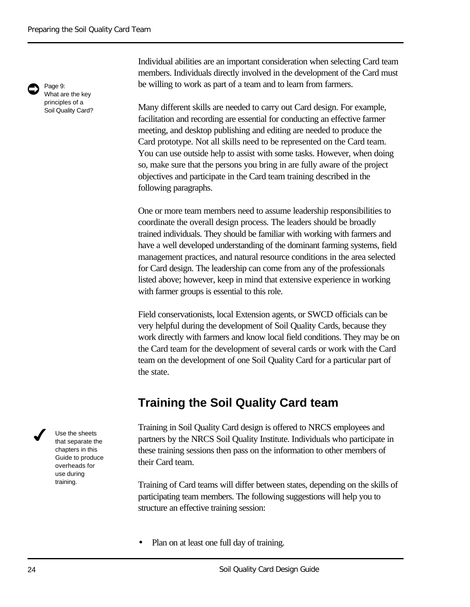Page 9: What are the key principles of a  $\bullet$ 

Soil Quality Card?

Individual abilities are an important consideration when selecting Card team members. Individuals directly involved in the development of the Card must be willing to work as part of a team and to learn from farmers.

Many different skills are needed to carry out Card design. For example, facilitation and recording are essential for conducting an effective farmer meeting, and desktop publishing and editing are needed to produce the Card prototype. Not all skills need to be represented on the Card team. You can use outside help to assist with some tasks. However, when doing so, make sure that the persons you bring in are fully aware of the project objectives and participate in the Card team training described in the following paragraphs.

One or more team members need to assume leadership responsibilities to coordinate the overall design process. The leaders should be broadly trained individuals. They should be familiar with working with farmers and have a well developed understanding of the dominant farming systems, field management practices, and natural resource conditions in the area selected for Card design. The leadership can come from any of the professionals listed above; however, keep in mind that extensive experience in working with farmer groups is essential to this role.

Field conservationists, local Extension agents, or SWCD officials can be very helpful during the development of Soil Quality Cards, because they work directly with farmers and know local field conditions. They may be on the Card team for the development of several cards or work with the Card team on the development of one Soil Quality Card for a particular part of the state.

## **Training the Soil Quality Card team**

Training in Soil Quality Card design is offered to NRCS employees and partners by the NRCS Soil Quality Institute. Individuals who participate in these training sessions then pass on the information to other members of their Card team.

Training of Card teams will differ between states, depending on the skills of participating team members. The following suggestions will help you to structure an effective training session:

• Plan on at least one full day of training.

Use the sheets that separate the chapters in this Guide to produce overheads for use during training.

 $\boldsymbol{J}$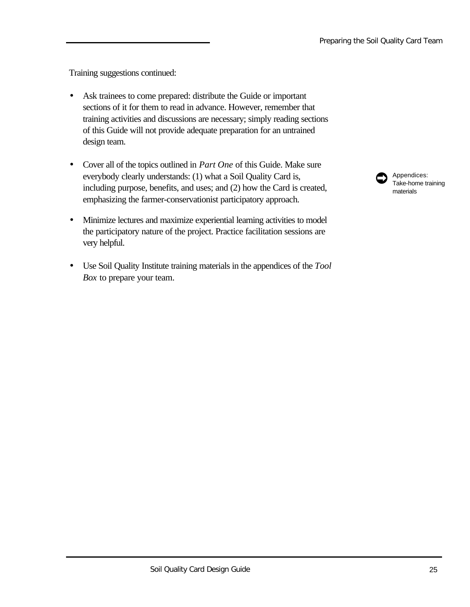Training suggestions continued:

- Ask trainees to come prepared: distribute the Guide or important sections of it for them to read in advance. However, remember that training activities and discussions are necessary; simply reading sections of this Guide will not provide adequate preparation for an untrained design team.
- Cover all of the topics outlined in *Part One* of this Guide. Make sure everybody clearly understands: (1) what a Soil Quality Card is, including purpose, benefits, and uses; and (2) how the Card is created, emphasizing the farmer-conservationist participatory approach.
- Minimize lectures and maximize experiential learning activities to model the participatory nature of the project. Practice facilitation sessions are very helpful.
- Use Soil Quality Institute training materials in the appendices of the *Tool Box* to prepare your team.

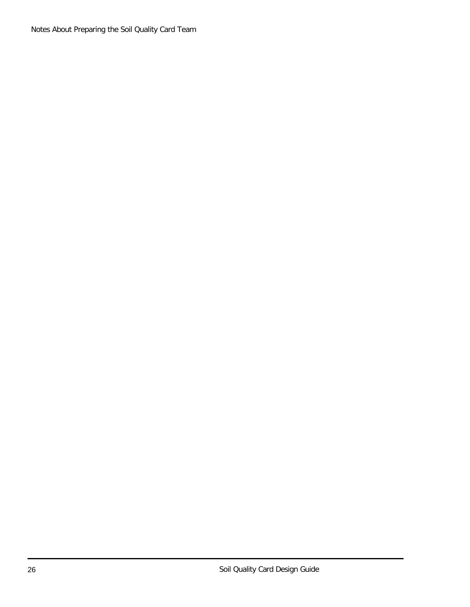Notes About Preparing the Soil Quality Card Team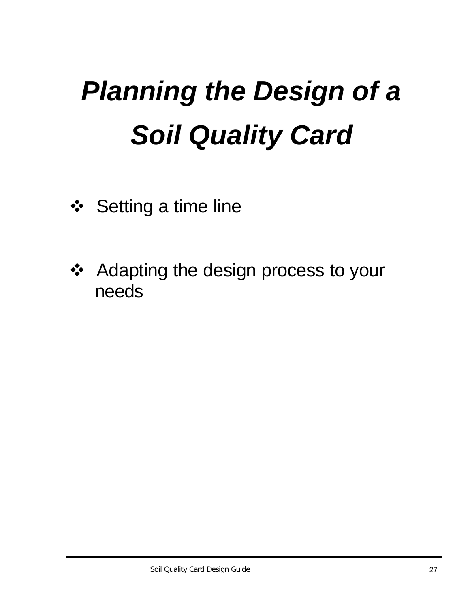# *Planning the Design of a Soil Quality Card*

- ❖ Setting a time line
- ❖ Adapting the design process to your needs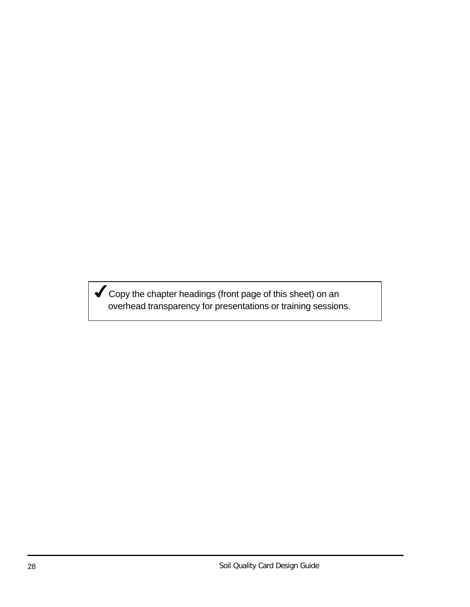$\blacktriangledown$  Copy the chapter headings (front page of this sheet) on an overhead transparency for presentations or training sessions.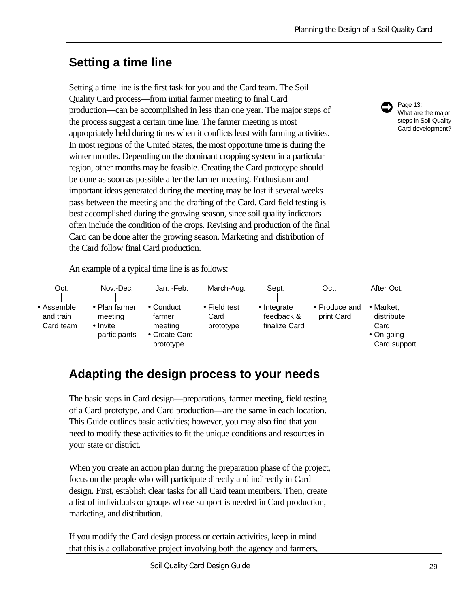## **Setting a time line**

Setting a time line is the first task for you and the Card team. The Soil Quality Card process—from initial farmer meeting to final Card production—can be accomplished in less than one year. The major steps of the process suggest a certain time line. The farmer meeting is most appropriately held during times when it conflicts least with farming activities. In most regions of the United States, the most opportune time is during the winter months. Depending on the dominant cropping system in a particular region, other months may be feasible. Creating the Card prototype should be done as soon as possible after the farmer meeting. Enthusiasm and important ideas generated during the meeting may be lost if several weeks pass between the meeting and the drafting of the Card. Card field testing is best accomplished during the growing season, since soil quality indicators often include the condition of the crops. Revising and production of the final Card can be done after the growing season. Marketing and distribution of the Card follow final Card production.



Page 13: What are the major steps in Soil Quality Card development?

An example of a typical time line is as follows:



## **Adapting the design process to your needs**

The basic steps in Card design—preparations, farmer meeting, field testing of a Card prototype, and Card production—are the same in each location. This Guide outlines basic activities; however, you may also find that you need to modify these activities to fit the unique conditions and resources in your state or district.

When you create an action plan during the preparation phase of the project, focus on the people who will participate directly and indirectly in Card design. First, establish clear tasks for all Card team members. Then, create a list of individuals or groups whose support is needed in Card production, marketing, and distribution.

If you modify the Card design process or certain activities, keep in mind that this is a collaborative project involving both the agency and farmers,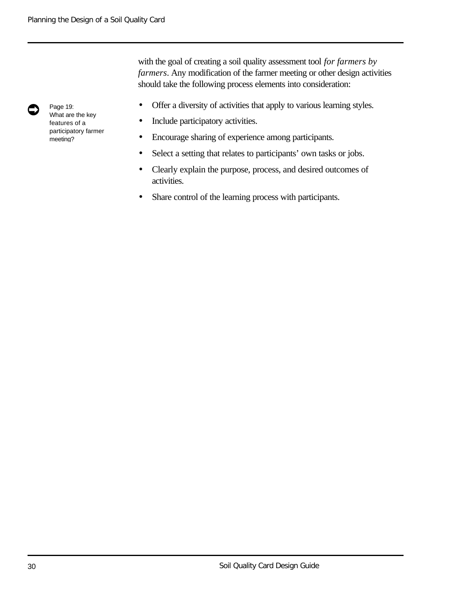with the goal of creating a soil quality assessment tool *for farmers by farmers*. Any modification of the farmer meeting or other design activities should take the following process elements into consideration:

- Offer a diversity of activities that apply to various learning styles.
- Include participatory activities.
- Encourage sharing of experience among participants.
- Select a setting that relates to participants' own tasks or jobs.
- Clearly explain the purpose, process, and desired outcomes of activities.
- Share control of the learning process with participants.



Page 19: What are the key features of a participatory farmer meeting?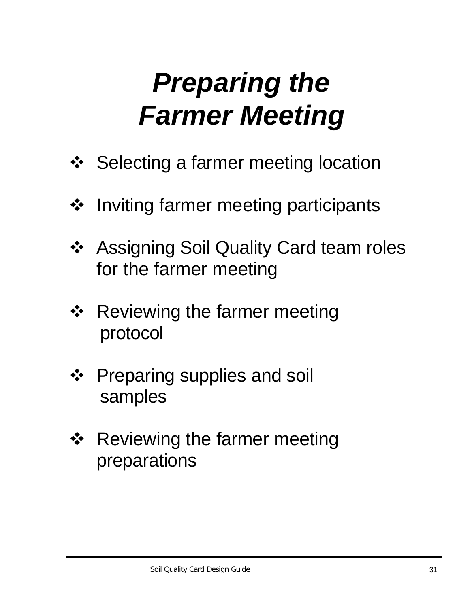# *Preparing the Farmer Meeting*

- ❖ Selecting a farmer meeting location
- ❖ Inviting farmer meeting participants
- ❖ Assigning Soil Quality Card team roles for the farmer meeting
- ❖ Reviewing the farmer meeting protocol
- ❖ Preparing supplies and soil samples
- ❖ Reviewing the farmer meeting preparations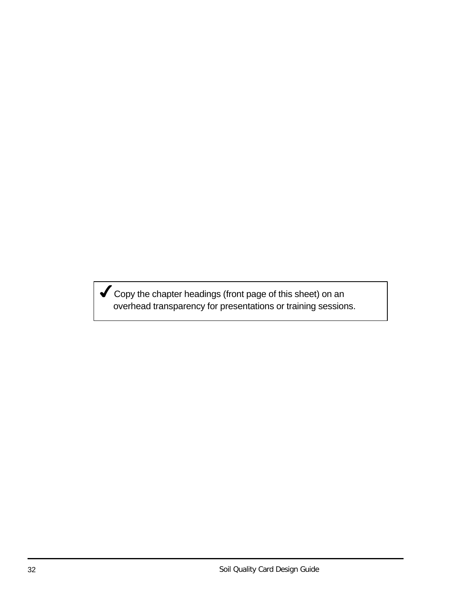Gopy the chapter headings (front page of this sheet) on an overhead transparency for presentations or training sessions.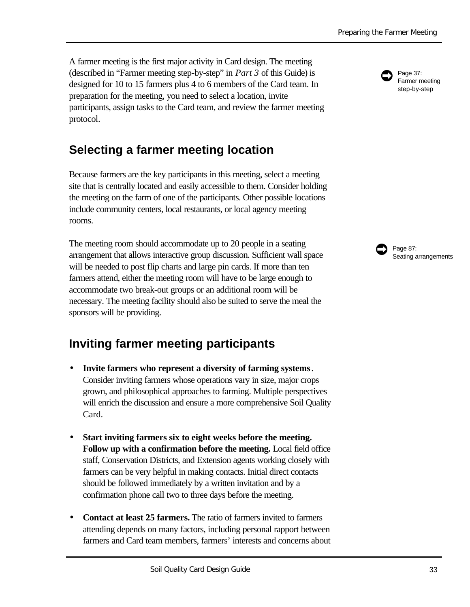A farmer meeting is the first major activity in Card design. The meeting (described in "Farmer meeting step-by-step" in *Part 3* of this Guide) is designed for 10 to 15 farmers plus 4 to 6 members of the Card team. In preparation for the meeting, you need to select a location, invite participants, assign tasks to the Card team, and review the farmer meeting protocol.

# **Selecting a farmer meeting location**

Because farmers are the key participants in this meeting, select a meeting site that is centrally located and easily accessible to them. Consider holding the meeting on the farm of one of the participants. Other possible locations include community centers, local restaurants, or local agency meeting rooms.

The meeting room should accommodate up to 20 people in a seating arrangement that allows interactive group discussion. Sufficient wall space will be needed to post flip charts and large pin cards. If more than ten farmers attend, either the meeting room will have to be large enough to accommodate two break-out groups or an additional room will be necessary. The meeting facility should also be suited to serve the meal the sponsors will be providing.

# **Inviting farmer meeting participants**

- **Invite farmers who represent a diversity of farming systems**. Consider inviting farmers whose operations vary in size, major crops grown, and philosophical approaches to farming. Multiple perspectives will enrich the discussion and ensure a more comprehensive Soil Quality Card.
- **Start inviting farmers six to eight weeks before the meeting. Follow up with a confirmation before the meeting.** Local field office staff, Conservation Districts, and Extension agents working closely with farmers can be very helpful in making contacts. Initial direct contacts should be followed immediately by a written invitation and by a confirmation phone call two to three days before the meeting.
- **Contact at least 25 farmers.** The ratio of farmers invited to farmers attending depends on many factors, including personal rapport between farmers and Card team members, farmers' interests and concerns about



Page 37: Farmer meeting step-by-step

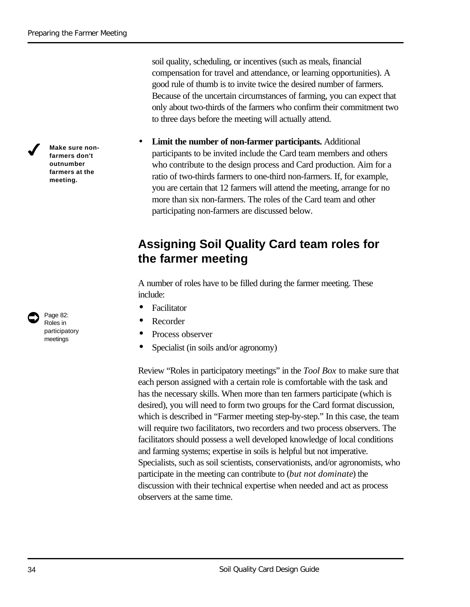$\boldsymbol{J}$ 

**Make sure nonfarmers don't outnumber farmers at the meeting.**

Page 82: Roles in participatory meetings

 $\bullet$ 

soil quality, scheduling, or incentives (such as meals, financial compensation for travel and attendance, or learning opportunities). A good rule of thumb is to invite twice the desired number of farmers. Because of the uncertain circumstances of farming, you can expect that only about two-thirds of the farmers who confirm their commitment two to three days before the meeting will actually attend.

• **Limit the number of non-farmer participants.** Additional participants to be invited include the Card team members and others who contribute to the design process and Card production. Aim for a ratio of two-thirds farmers to one-third non-farmers. If, for example, you are certain that 12 farmers will attend the meeting, arrange for no more than six non-farmers. The roles of the Card team and other participating non-farmers are discussed below.

## **Assigning Soil Quality Card team roles for the farmer meeting**

A number of roles have to be filled during the farmer meeting. These include:

- **Facilitator**
- **Recorder**
- Process observer
- Specialist (in soils and/or agronomy)

Review "Roles in participatory meetings" in the *Tool Box* to make sure that each person assigned with a certain role is comfortable with the task and has the necessary skills. When more than ten farmers participate (which is desired), you will need to form two groups for the Card format discussion, which is described in "Farmer meeting step-by-step." In this case, the team will require two facilitators, two recorders and two process observers. The facilitators should possess a well developed knowledge of local conditions and farming systems; expertise in soils is helpful but not imperative. Specialists, such as soil scientists, conservationists, and/or agronomists, who participate in the meeting can contribute to (*but not dominate*) the discussion with their technical expertise when needed and act as process observers at the same time.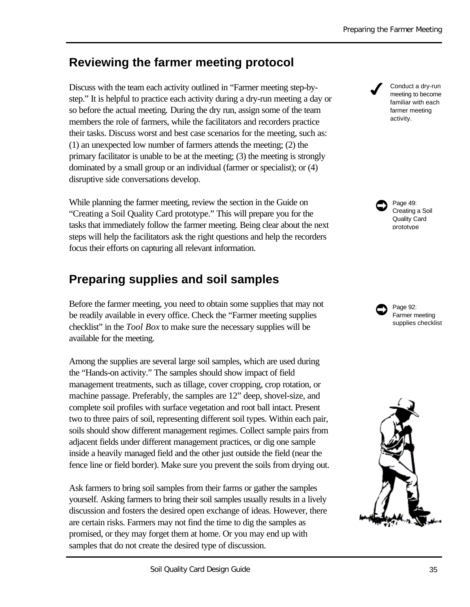## **Reviewing the farmer meeting protocol**

Discuss with the team each activity outlined in "Farmer meeting step-bystep." It is helpful to practice each activity during a dry-run meeting a day or so before the actual meeting*.* During the dry run, assign some of the team members the role of farmers, while the facilitators and recorders practice their tasks. Discuss worst and best case scenarios for the meeting, such as: (1) an unexpected low number of farmers attends the meeting; (2) the primary facilitator is unable to be at the meeting; (3) the meeting is strongly dominated by a small group or an individual (farmer or specialist); or (4) disruptive side conversations develop.

While planning the farmer meeting, review the section in the Guide on "Creating a Soil Quality Card prototype." This will prepare you for the tasks that immediately follow the farmer meeting. Being clear about the next steps will help the facilitators ask the right questions and help the recorders focus their efforts on capturing all relevant information.

## **Preparing supplies and soil samples**

Before the farmer meeting, you need to obtain some supplies that may not be readily available in every office. Check the "Farmer meeting supplies checklist" in the *Tool Box* to make sure the necessary supplies will be available for the meeting.

Among the supplies are several large soil samples, which are used during the "Hands-on activity." The samples should show impact of field management treatments, such as tillage, cover cropping, crop rotation, or machine passage. Preferably, the samples are 12" deep, shovel-size, and complete soil profiles with surface vegetation and root ball intact. Present two to three pairs of soil, representing different soil types. Within each pair, soils should show different management regimes. Collect sample pairs from adjacent fields under different management practices, or dig one sample inside a heavily managed field and the other just outside the field (near the fence line or field border). Make sure you prevent the soils from drying out.

Ask farmers to bring soil samples from their farms or gather the samples yourself. Asking farmers to bring their soil samples usually results in a lively discussion and fosters the desired open exchange of ideas. However, there are certain risks. Farmers may not find the time to dig the samples as promised, or they may forget them at home. Or you may end up with samples that do not create the desired type of discussion.

 Conduct a dry-run meeting to become familiar with each farmer meeting activity.  $\boldsymbol{J}$ 

Page 49: Creating a Soil Quality Card prototype  $\bullet$ 

Page 92: Farmer meeting supplies checklist  $\bullet$ 

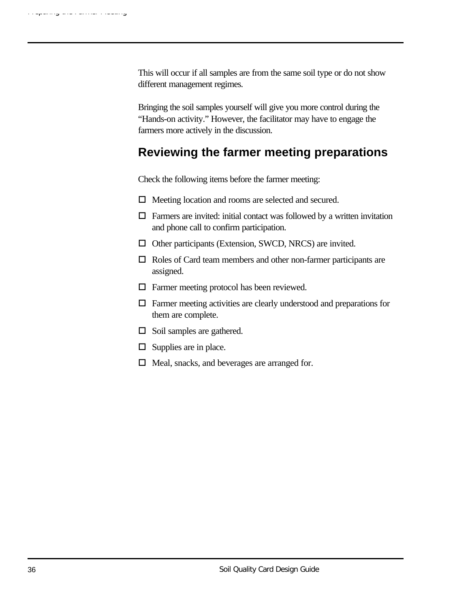This will occur if all samples are from the same soil type or do not show different management regimes.

Bringing the soil samples yourself will give you more control during the "Hands-on activity." However, the facilitator may have to engage the farmers more actively in the discussion.

## **Reviewing the farmer meeting preparations**

Check the following items before the farmer meeting:

- $\Box$  Meeting location and rooms are selected and secured.
- $\Box$  Farmers are invited: initial contact was followed by a written invitation and phone call to confirm participation.
- $\Box$  Other participants (Extension, SWCD, NRCS) are invited.
- $\Box$  Roles of Card team members and other non-farmer participants are assigned.
- $\Box$  Farmer meeting protocol has been reviewed.
- $\Box$  Farmer meeting activities are clearly understood and preparations for them are complete.
- $\Box$  Soil samples are gathered.
- $\square$  Supplies are in place.
- $\Box$  Meal, snacks, and beverages are arranged for.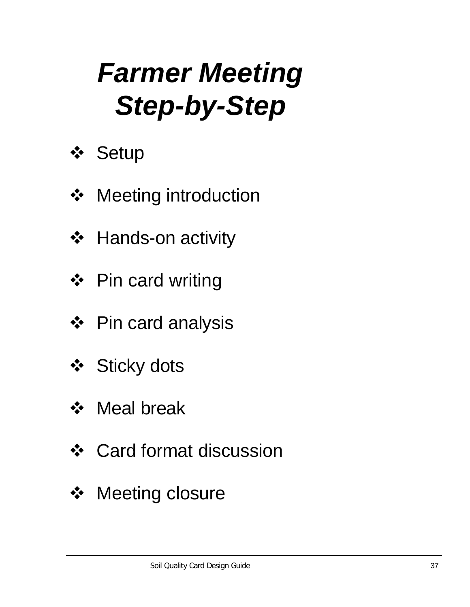# *Farmer Meeting Step-by-Step*

- **☆ Setup**
- ❖ Meeting introduction
- **❖** Hands-on activity
- ❖ Pin card writing
- ❖ Pin card analysis
- ❖ Sticky dots
- ❖ Meal break
- ❖ Card format discussion
- ❖ Meeting closure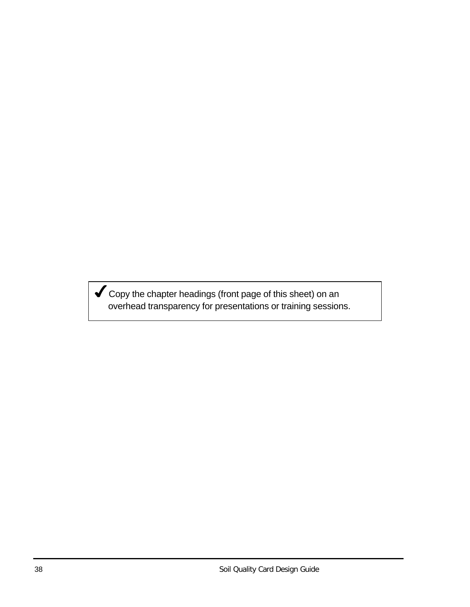$\blacktriangledown$  Copy the chapter headings (front page of this sheet) on an overhead transparency for presentations or training sessions.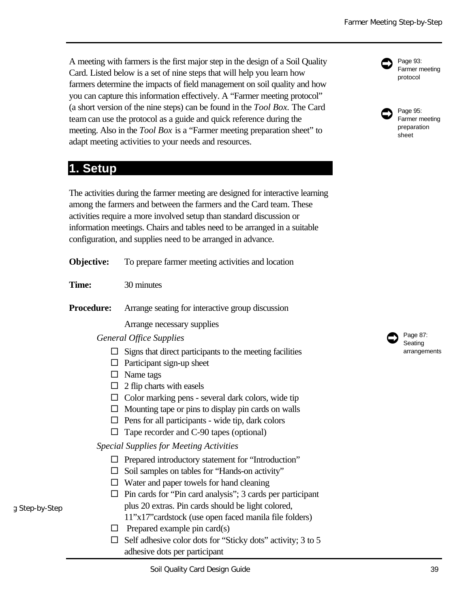A meeting with farmers is the first major step in the design of a Soil Quality Card. Listed below is a set of nine steps that will help you learn how farmers determine the impacts of field management on soil quality and how you can capture this information effectively. A "Farmer meeting protocol" (a short version of the nine steps) can be found in the *Tool Box.* The Card team can use the protocol as a guide and quick reference during the meeting. Also in the *Tool Box* is a "Farmer meeting preparation sheet" to adapt meeting activities to your needs and resources.

## **1. Setup**

g Step-by-Step

The activities during the farmer meeting are designed for interactive learning among the farmers and between the farmers and the Card team. These activities require a more involved setup than standard discussion or information meetings. Chairs and tables need to be arranged in a suitable configuration, and supplies need to be arranged in advance.

| Objective:        | To prepare farmer meeting activities and location                                                                                                                                                                                                                                                                                                                                                                                                                                                                |
|-------------------|------------------------------------------------------------------------------------------------------------------------------------------------------------------------------------------------------------------------------------------------------------------------------------------------------------------------------------------------------------------------------------------------------------------------------------------------------------------------------------------------------------------|
| Time:             | 30 minutes                                                                                                                                                                                                                                                                                                                                                                                                                                                                                                       |
| <b>Procedure:</b> | Arrange seating for interactive group discussion                                                                                                                                                                                                                                                                                                                                                                                                                                                                 |
|                   | Arrange necessary supplies                                                                                                                                                                                                                                                                                                                                                                                                                                                                                       |
|                   | <b>General Office Supplies</b>                                                                                                                                                                                                                                                                                                                                                                                                                                                                                   |
| □<br>$\Box$       | Signs that direct participants to the meeting facilities<br>$\Box$ Participant sign-up sheet<br>Name tags<br>2 flip charts with easels<br>$\Box$ Color marking pens - several dark colors, wide tip<br>$\Box$ Mounting tape or pins to display pin cards on walls<br>$\Box$ Pens for all participants - wide tip, dark colors<br>Tape recorder and C-90 tapes (optional)                                                                                                                                         |
| $\Box$<br>□<br>□  | <b>Special Supplies for Meeting Activities</b><br>Prepared introductory statement for "Introduction"<br>Soil samples on tables for "Hands-on activity"<br>Water and paper towels for hand cleaning<br>Pin cards for "Pin card analysis"; 3 cards per participant<br>plus 20 extras. Pin cards should be light colored,<br>11"x17" cardstock (use open faced manila file folders)<br>Prepared example pin card(s)<br>Self adhesive color dots for "Sticky dots" activity; 3 to 5<br>adhesive dots per participant |



Page 87: Seating arrangements  $\bullet$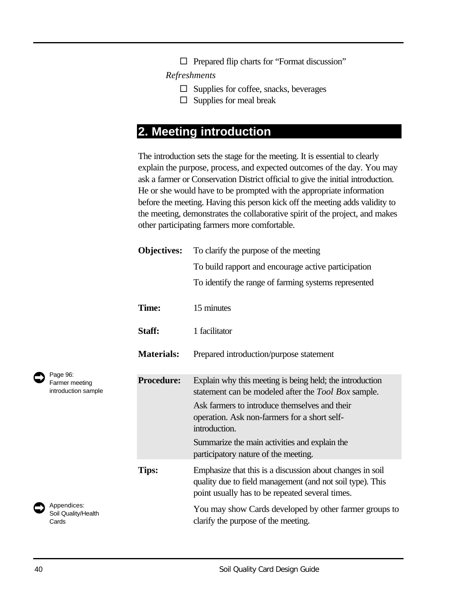$\Box$  Prepared flip charts for "Format discussion"

*Refreshments*

- $\square$  Supplies for coffee, snacks, beverages
- $\square$  Supplies for meal break

### **2. Meeting introduction**

The introduction sets the stage for the meeting. It is essential to clearly explain the purpose, process, and expected outcomes of the day. You may ask a farmer or Conservation District official to give the initial introduction. He or she would have to be prompted with the appropriate information before the meeting. Having this person kick off the meeting adds validity to the meeting, demonstrates the collaborative spirit of the project, and makes other participating farmers more comfortable.

| <b>Objectives:</b> | To clarify the purpose of the meeting                                                                                                                                                                                                                                                                                             |
|--------------------|-----------------------------------------------------------------------------------------------------------------------------------------------------------------------------------------------------------------------------------------------------------------------------------------------------------------------------------|
|                    | To build rapport and encourage active participation                                                                                                                                                                                                                                                                               |
|                    | To identify the range of farming systems represented                                                                                                                                                                                                                                                                              |
| Time:              | 15 minutes                                                                                                                                                                                                                                                                                                                        |
| Staff:             | 1 facilitator                                                                                                                                                                                                                                                                                                                     |
| <b>Materials:</b>  | Prepared introduction/purpose statement                                                                                                                                                                                                                                                                                           |
| <b>Procedure:</b>  | Explain why this meeting is being held; the introduction<br>statement can be modeled after the <i>Tool Box</i> sample.<br>Ask farmers to introduce themselves and their<br>operation. Ask non-farmers for a short self-<br>introduction.<br>Summarize the main activities and explain the<br>participatory nature of the meeting. |
| Tips:              | Emphasize that this is a discussion about changes in soil<br>quality due to field management (and not soil type). This<br>point usually has to be repeated several times.<br>You may show Cards developed by other farmer groups to<br>clarify the purpose of the meeting.                                                        |

Page 96: Farmer meeting introduction sample  $\bullet$ 



Appendices: Soil Quality/Health Cards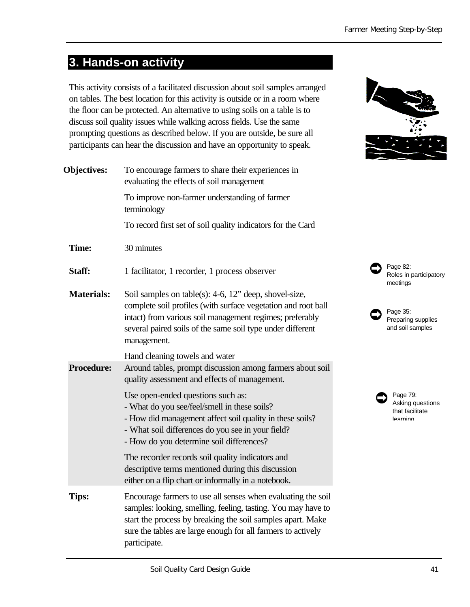# **3. Hands-on activity**

This activity consists of a facilitated discussion about soil samples arranged on tables. The best location for this activity is outside or in a room where the floor can be protected. An alternative to using soils on a table is to discuss soil quality issues while walking across fields. Use the same prompting questions as described below. If you are outside, be sure all participants can hear the discussion and have an opportunity to speak.

| <b>Objectives:</b> | To encourage farmers to share their experiences in<br>evaluating the effects of soil management                                                                                                                                                                             |                              |
|--------------------|-----------------------------------------------------------------------------------------------------------------------------------------------------------------------------------------------------------------------------------------------------------------------------|------------------------------|
|                    | To improve non-farmer understanding of farmer<br>terminology                                                                                                                                                                                                                |                              |
|                    | To record first set of soil quality indicators for the Card                                                                                                                                                                                                                 |                              |
| Time:              | 30 minutes                                                                                                                                                                                                                                                                  |                              |
| Staff:             | 1 facilitator, 1 recorder, 1 process observer                                                                                                                                                                                                                               | Page 8<br>Roles<br>meetin    |
| <b>Materials:</b>  | Soil samples on table(s): 4-6, 12" deep, shovel-size,<br>complete soil profiles (with surface vegetation and root ball<br>intact) from various soil management regimes; preferably<br>several paired soils of the same soil type under different<br>management.             | Page 3<br>Prepar<br>and sc   |
| <b>Procedure:</b>  | Hand cleaning towels and water<br>Around tables, prompt discussion among farmers about soil<br>quality assessment and effects of management.                                                                                                                                |                              |
|                    | Use open-ended questions such as:<br>- What do you see/feel/smell in these soils?<br>- How did management affect soil quality in these soils?<br>- What soil differences do you see in your field?<br>- How do you determine soil differences?                              | Pag<br>Aski<br>that<br>learr |
|                    | The recorder records soil quality indicators and<br>descriptive terms mentioned during this discussion<br>either on a flip chart or informally in a notebook.                                                                                                               |                              |
| <b>Tips:</b>       | Encourage farmers to use all senses when evaluating the soil<br>samples: looking, smelling, feeling, tasting. You may have to<br>start the process by breaking the soil samples apart. Make<br>sure the tables are large enough for all farmers to actively<br>participate. |                              |



 $82:$ in participatory ngs



e 79: ing questions facilitate ning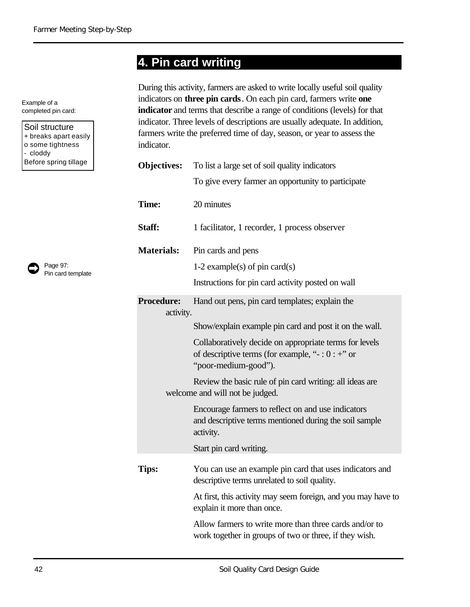# **4. Pin card writing**

Example of a completed pin card:

Soil structure + breaks apart easily o some tightness - cloddy Before spring tillage



| During this activity, farmers are asked to write locally useful soil quality      |
|-----------------------------------------------------------------------------------|
| indicators on <b>three pin cards</b> . On each pin card, farmers write <b>one</b> |
| <b>indicator</b> and terms that describe a range of conditions (levels) for that  |
| indicator. Three levels of descriptions are usually adequate. In addition,        |
| farmers write the preferred time of day, season, or year to assess the            |
| indicator.                                                                        |

| <b>Objectives:</b>             | To list a large set of soil quality indicators                                                                                            |
|--------------------------------|-------------------------------------------------------------------------------------------------------------------------------------------|
|                                | To give every farmer an opportunity to participate                                                                                        |
| Time:                          | 20 minutes                                                                                                                                |
| Staff:                         | 1 facilitator, 1 recorder, 1 process observer                                                                                             |
| <b>Materials:</b>              | Pin cards and pens                                                                                                                        |
|                                | 1-2 example(s) of pin card(s)                                                                                                             |
|                                | Instructions for pin card activity posted on wall                                                                                         |
| <b>Procedure:</b><br>activity. | Hand out pens, pin card templates; explain the                                                                                            |
|                                | Show/explain example pin card and post it on the wall.                                                                                    |
|                                | Collaboratively decide on appropriate terms for levels<br>of descriptive terms (for example, " $-$ : 0 : $+$ " or<br>"poor-medium-good"). |
|                                | Review the basic rule of pin card writing: all ideas are<br>welcome and will not be judged.                                               |
|                                | Encourage farmers to reflect on and use indicators<br>and descriptive terms mentioned during the soil sample<br>activity.                 |
|                                | Start pin card writing.                                                                                                                   |
| Tips:                          | You can use an example pin card that uses indicators and<br>descriptive terms unrelated to soil quality.                                  |
|                                | At first, this activity may seem foreign, and you may have to<br>explain it more than once.                                               |
|                                | Allow farmers to write more than three cards and/or to<br>work together in groups of two or three, if they wish.                          |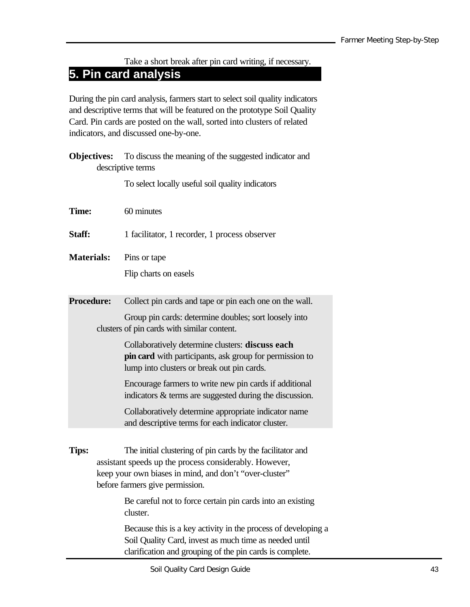Take a short break after pin card writing, if necessary.

## **5. Pin card analysis**

During the pin card analysis, farmers start to select soil quality indicators and descriptive terms that will be featured on the prototype Soil Quality Card. Pin cards are posted on the wall, sorted into clusters of related indicators, and discussed one-by-one.

|                   | <b>Objectives:</b> | To discuss the meaning of the suggested indicator and                                                                                                                                                             |
|-------------------|--------------------|-------------------------------------------------------------------------------------------------------------------------------------------------------------------------------------------------------------------|
|                   |                    | descriptive terms                                                                                                                                                                                                 |
|                   |                    | To select locally useful soil quality indicators                                                                                                                                                                  |
| Time:             |                    | 60 minutes                                                                                                                                                                                                        |
| Staff:            |                    | 1 facilitator, 1 recorder, 1 process observer                                                                                                                                                                     |
| <b>Materials:</b> |                    | Pins or tape                                                                                                                                                                                                      |
|                   |                    | Flip charts on easels                                                                                                                                                                                             |
| Procedure:        |                    | Collect pin cards and tape or pin each one on the wall.                                                                                                                                                           |
|                   |                    | Group pin cards: determine doubles; sort loosely into<br>clusters of pin cards with similar content.                                                                                                              |
|                   |                    | Collaboratively determine clusters: discuss each<br>pin card with participants, ask group for permission to<br>lump into clusters or break out pin cards.                                                         |
|                   |                    | Encourage farmers to write new pin cards if additional<br>indicators $\&$ terms are suggested during the discussion.                                                                                              |
|                   |                    | Collaboratively determine appropriate indicator name<br>and descriptive terms for each indicator cluster.                                                                                                         |
| Tips:             |                    | The initial clustering of pin cards by the facilitator and<br>assistant speeds up the process considerably. However,<br>keep your own biases in mind, and don't "over-cluster"<br>before farmers give permission. |
|                   |                    | Be careful not to force certain pin cards into an existing<br>cluster.                                                                                                                                            |
|                   |                    | Because this is a key activity in the process of developing a<br>Soil Quality Card, invest as much time as needed until<br>clarification and grouping of the pin cards is complete.                               |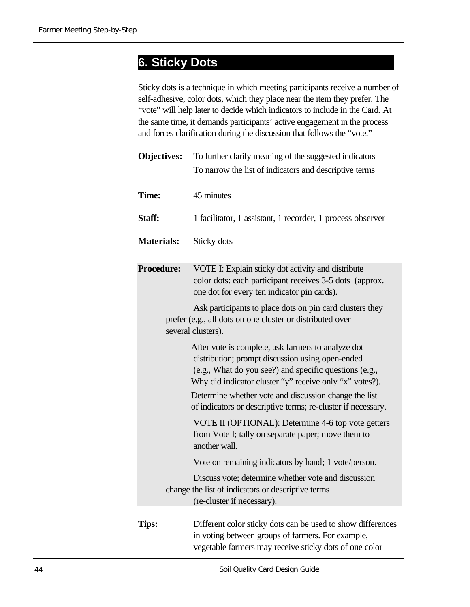## **6. Sticky Dots**……………………………………..

Sticky dots is a technique in which meeting participants receive a number of self-adhesive, color dots, which they place near the item they prefer. The "vote" will help later to decide which indicators to include in the Card. At the same time, it demands participants' active engagement in the process and forces clarification during the discussion that follows the "vote."

| <b>Objectives:</b> | To further clarify meaning of the suggested indicators                                                                                                                                                                      |
|--------------------|-----------------------------------------------------------------------------------------------------------------------------------------------------------------------------------------------------------------------------|
|                    | To narrow the list of indicators and descriptive terms                                                                                                                                                                      |
| Time:              | 45 minutes                                                                                                                                                                                                                  |
| Staff:             | 1 facilitator, 1 assistant, 1 recorder, 1 process observer                                                                                                                                                                  |
| <b>Materials:</b>  | Sticky dots                                                                                                                                                                                                                 |
| <b>Procedure:</b>  | VOTE I: Explain sticky dot activity and distribute<br>color dots: each participant receives 3-5 dots (approx.<br>one dot for every ten indicator pin cards).                                                                |
|                    | Ask participants to place dots on pin card clusters they<br>prefer (e.g., all dots on one cluster or distributed over<br>several clusters).                                                                                 |
|                    | After vote is complete, ask farmers to analyze dot<br>distribution; prompt discussion using open-ended<br>(e.g., What do you see?) and specific questions (e.g.,<br>Why did indicator cluster "y" receive only "x" votes?). |
|                    | Determine whether vote and discussion change the list<br>of indicators or descriptive terms; re-cluster if necessary.                                                                                                       |
|                    | VOTE II (OPTIONAL): Determine 4-6 top vote getters<br>from Vote I; tally on separate paper; move them to<br>another wall.                                                                                                   |
|                    | Vote on remaining indicators by hand; 1 vote/person.                                                                                                                                                                        |
|                    | Discuss vote; determine whether vote and discussion<br>change the list of indicators or descriptive terms<br>(re-cluster if necessary).                                                                                     |
| Tips:              | Different color sticky dots can be used to show differences                                                                                                                                                                 |

in voting between groups of farmers. For example, vegetable farmers may receive sticky dots of one color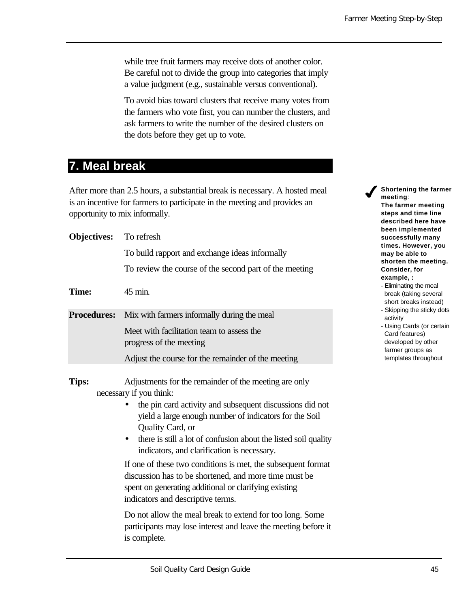while tree fruit farmers may receive dots of another color. Be careful not to divide the group into categories that imply a value judgment (e.g., sustainable versus conventional).

To avoid bias toward clusters that receive many votes from the farmers who vote first, you can number the clusters, and ask farmers to write the number of the desired clusters on the dots before they get up to vote.

### **7. Meal break**

After more than 2.5 hours, a substantial break is necessary. A hosted meal is an incentive for farmers to participate in the meeting and provides an opportunity to mix informally.

| <b>Objectives:</b> | To refresh                                                                                                                                                                                                                                                                                                                                                                                                                                                                                                                                                          |
|--------------------|---------------------------------------------------------------------------------------------------------------------------------------------------------------------------------------------------------------------------------------------------------------------------------------------------------------------------------------------------------------------------------------------------------------------------------------------------------------------------------------------------------------------------------------------------------------------|
|                    | To build rapport and exchange ideas informally                                                                                                                                                                                                                                                                                                                                                                                                                                                                                                                      |
|                    | To review the course of the second part of the meeting                                                                                                                                                                                                                                                                                                                                                                                                                                                                                                              |
| <b>Time:</b>       | 45 min.                                                                                                                                                                                                                                                                                                                                                                                                                                                                                                                                                             |
| <b>Procedures:</b> | Mix with farmers informally during the meal                                                                                                                                                                                                                                                                                                                                                                                                                                                                                                                         |
|                    | Meet with facilitation team to assess the<br>progress of the meeting                                                                                                                                                                                                                                                                                                                                                                                                                                                                                                |
|                    | Adjust the course for the remainder of the meeting                                                                                                                                                                                                                                                                                                                                                                                                                                                                                                                  |
| <b>Tips:</b>       | Adjustments for the remainder of the meeting are only<br>necessary if you think:<br>the pin card activity and subsequent discussions did not<br>yield a large enough number of indicators for the Soil<br>Quality Card, or<br>there is still a lot of confusion about the listed soil quality<br>indicators, and clarification is necessary.<br>If one of these two conditions is met, the subsequent format<br>discussion has to be shortened, and more time must be<br>spent on generating additional or clarifying existing<br>indicators and descriptive terms. |
|                    | Do not allow the meal break to extend for too long. Some<br>participants may lose interest and leave the meeting before it<br>is complete.                                                                                                                                                                                                                                                                                                                                                                                                                          |

4**Shortening the farmer meeting**: **The farmer meeting steps and time line described here have been implemented successfully many times. However, you may be able to shorten the meeting. Consider, for example, :** - Eliminating the meal

- break (taking several short breaks instead) - Skipping the sticky dots
- activity
- Using Cards (or certain Card features) developed by other farmer groups as templates throughout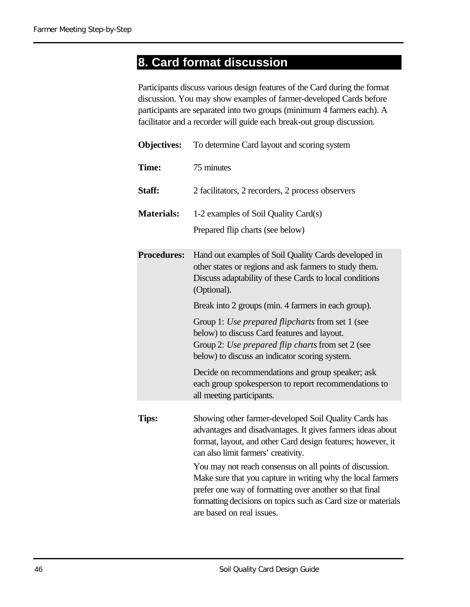# **8. Card format discussion**

Participants discuss various design features of the Card during the format discussion. You may show examples of farmer-developed Cards before participants are separated into two groups (minimum 4 farmers each). A facilitator and a recorder will guide each break-out group discussion.

| <b>Objectives:</b> | To determine Card layout and scoring system                                                                                                                                                                                                                                      |
|--------------------|----------------------------------------------------------------------------------------------------------------------------------------------------------------------------------------------------------------------------------------------------------------------------------|
| Time:              | 75 minutes                                                                                                                                                                                                                                                                       |
| Staff:             | 2 facilitators, 2 recorders, 2 process observers                                                                                                                                                                                                                                 |
| <b>Materials:</b>  | 1-2 examples of Soil Quality Card(s)                                                                                                                                                                                                                                             |
|                    | Prepared flip charts (see below)                                                                                                                                                                                                                                                 |
| <b>Procedures:</b> | Hand out examples of Soil Quality Cards developed in<br>other states or regions and ask farmers to study them.<br>Discuss adaptability of these Cards to local conditions<br>(Optional).                                                                                         |
|                    | Break into 2 groups (min. 4 farmers in each group).                                                                                                                                                                                                                              |
|                    | Group 1: Use prepared flipcharts from set 1 (see<br>below) to discuss Card features and layout.<br>Group 2: Use prepared flip charts from set 2 (see<br>below) to discuss an indicator scoring system.                                                                           |
|                    | Decide on recommendations and group speaker; ask<br>each group spokesperson to report recommendations to<br>all meeting participants.                                                                                                                                            |
| Tips:              | Showing other farmer-developed Soil Quality Cards has<br>advantages and disadvantages. It gives farmers ideas about<br>format, layout, and other Card design features; however, it<br>can also limit farmers' creativity.                                                        |
|                    | You may not reach consensus on all points of discussion.<br>Make sure that you capture in writing why the local farmers<br>prefer one way of formatting over another so that final<br>formatting decisions on topics such as Card size or materials<br>are based on real issues. |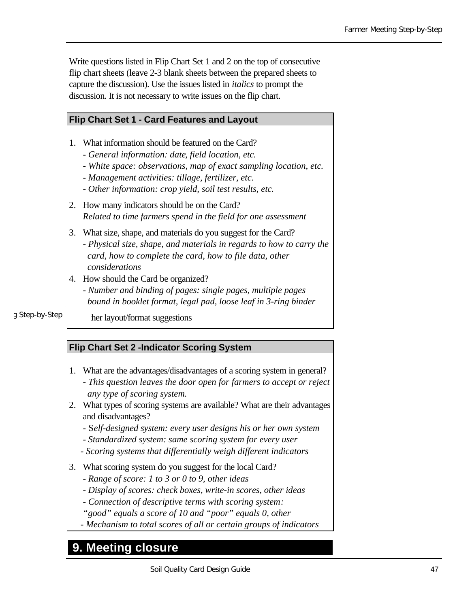Write questions listed in Flip Chart Set 1 and 2 on the top of consecutive flip chart sheets (leave 2-3 blank sheets between the prepared sheets to capture the discussion). Use the issues listed in *italics* to prompt the discussion. It is not necessary to write issues on the flip chart.

#### **Flip Chart Set 1 - Card Features and Layout**

- 1. What information should be featured on the Card?
	- *General information: date, field location, etc.*
	- *White space: observations, map of exact sampling location, etc.*
	- *Management activities: tillage, fertilizer, etc.*
	- *Other information: crop yield, soil test results, etc.*
- 2. How many indicators should be on the Card? *Related to time farmers spend in the field for one assessment*
- 3. What size, shape, and materials do you suggest for the Card?
	- *Physical size, shape, and materials in regards to how to carry the card, how to complete the card, how to file data, other considerations*
- 4. How should the Card be organized?
	- *- Number and binding of pages: single pages, multiple pages bound in booklet format, legal pad, loose leaf in 3-ring binder*

g Step-by-Step

her layout/format suggestions

#### **Flip Chart Set 2 -Indicator Scoring System**

- 1. What are the advantages/disadvantages of a scoring system in general?
	- *This question leaves the door open for farmers to accept or reject any type of scoring system.*
- 2. What types of scoring systems are available? What are their advantages and disadvantages?
	- S*elf-designed system: every user designs his or her own system*
	- *Standardized system: same scoring system for every user*
	- *Scoring systems that differentially weigh different indicators*
- 3. What scoring system do you suggest for the local Card?
	- *Range of score: 1 to 3 or 0 to 9, other ideas*
	- *Display of scores: check boxes, write-in scores, other ideas*
	- *Connection of descriptive terms with scoring system:*
	- *"good" equals a score of 10 and "poor" equals 0, other*
	- *Mechanism to total scores of all or certain groups of indicators*

### **9. Meeting closure**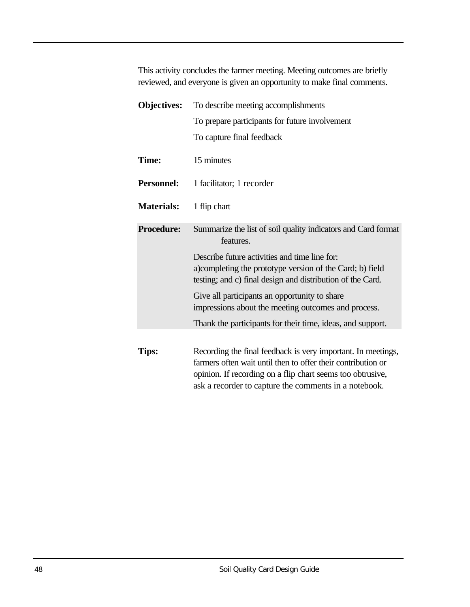This activity concludes the farmer meeting. Meeting outcomes are briefly reviewed, and everyone is given an opportunity to make final comments.

| <b>Objectives:</b> | To describe meeting accomplishments                                                                                                                                                                                                                 |
|--------------------|-----------------------------------------------------------------------------------------------------------------------------------------------------------------------------------------------------------------------------------------------------|
|                    | To prepare participants for future involvement                                                                                                                                                                                                      |
|                    | To capture final feedback                                                                                                                                                                                                                           |
| Time:              | 15 minutes                                                                                                                                                                                                                                          |
| <b>Personnel:</b>  | 1 facilitator; 1 recorder                                                                                                                                                                                                                           |
| <b>Materials:</b>  | 1 flip chart                                                                                                                                                                                                                                        |
| <b>Procedure:</b>  | Summarize the list of soil quality indicators and Card format<br>features.                                                                                                                                                                          |
|                    | Describe future activities and time line for:<br>a)completing the prototype version of the Card; b) field<br>testing; and c) final design and distribution of the Card.                                                                             |
|                    | Give all participants an opportunity to share                                                                                                                                                                                                       |
|                    | impressions about the meeting outcomes and process.                                                                                                                                                                                                 |
|                    | Thank the participants for their time, ideas, and support.                                                                                                                                                                                          |
|                    |                                                                                                                                                                                                                                                     |
| Tips:              | Recording the final feedback is very important. In meetings,<br>farmers often wait until then to offer their contribution or<br>opinion. If recording on a flip chart seems too obtrusive,<br>ask a recorder to capture the comments in a notebook. |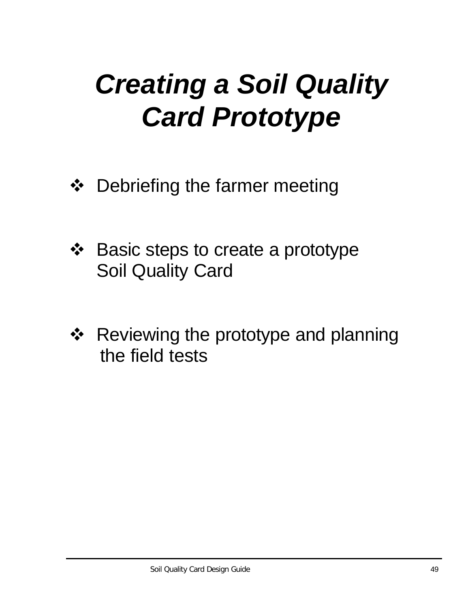# *Creating a Soil Quality Card Prototype*

- ❖ Debriefing the farmer meeting
- ❖ Basic steps to create a prototype Soil Quality Card
- ❖ Reviewing the prototype and planning the field tests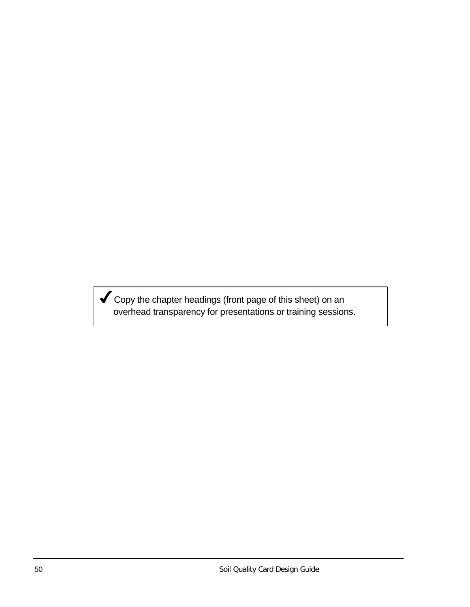Copy the chapter headings (front page of this sheet) on an overhead transparency for presentations or training sessions.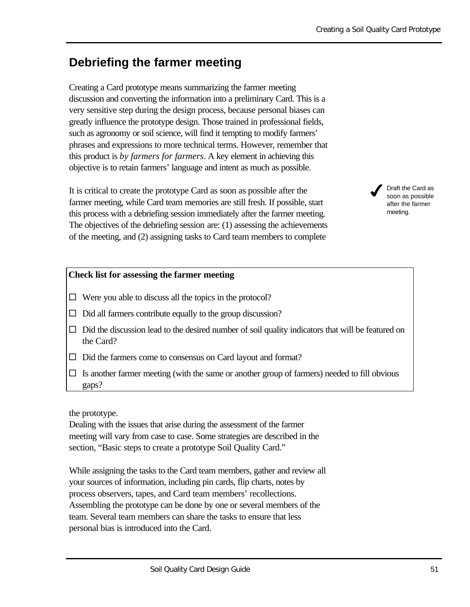## **Debriefing the farmer meeting**

Creating a Card prototype means summarizing the farmer meeting discussion and converting the information into a preliminary Card. This is a very sensitive step during the design process, because personal biases can greatly influence the prototype design. Those trained in professional fields, such as agronomy or soil science, will find it tempting to modify farmers' phrases and expressions to more technical terms. However, remember that this product is *by farmers for farmers*. A key element in achieving this objective is to retain farmers' language and intent as much as possible.

It is critical to create the prototype Card as soon as possible after the farmer meeting, while Card team memories are still fresh. If possible, start this process with a debriefing session immediately after the farmer meeting. The objectives of the debriefing session are: (1) assessing the achievements of the meeting, and (2) assigning tasks to Card team members to complete

#### **Check list for assessing the farmer meeting**

- $\Box$  Were you able to discuss all the topics in the protocol?
- $\Box$  Did all farmers contribute equally to the group discussion?
- $\Box$  Did the discussion lead to the desired number of soil quality indicators that will be featured on the Card?
- $\Box$  Did the farmers come to consensus on Card layout and format?
- $\square$  Is another farmer meeting (with the same or another group of farmers) needed to fill obvious gaps?

the prototype.

Dealing with the issues that arise during the assessment of the farmer meeting will vary from case to case. Some strategies are described in the section, "Basic steps to create a prototype Soil Quality Card."

While assigning the tasks to the Card team members, gather and review all your sources of information, including pin cards, flip charts, notes by process observers, tapes, and Card team members' recollections. Assembling the prototype can be done by one or several members of the team. Several team members can share the tasks to ensure that less personal bias is introduced into the Card.

after the farmer meeting.

 $\boldsymbol{J}$ 

Draft the Card as soon as possible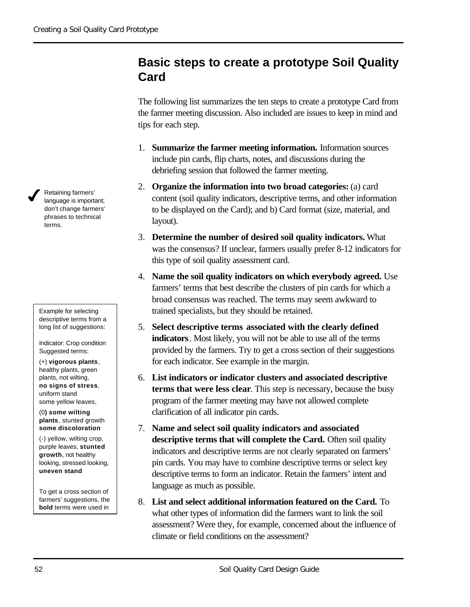## **Basic steps to create a prototype Soil Quality Card**

The following list summarizes the ten steps to create a prototype Card from the farmer meeting discussion. Also included are issues to keep in mind and tips for each step.

- 1. **Summarize the farmer meeting information.** Information sources include pin cards, flip charts, notes, and discussions during the debriefing session that followed the farmer meeting.
- 2. **Organize the information into two broad categories:** (a) card content (soil quality indicators, descriptive terms, and other information to be displayed on the Card); and b) Card format (size, material, and layout).
- 3. **Determine the number of desired soil quality indicators.** What was the consensus? If unclear, farmers usually prefer 8-12 indicators for this type of soil quality assessment card.
- 4. **Name the soil quality indicators on which everybody agreed.** Use farmers' terms that best describe the clusters of pin cards for which a broad consensus was reached. The terms may seem awkward to trained specialists, but they should be retained.
- 5. **Select descriptive terms associated with the clearly defined indicators**. Most likely, you will not be able to use all of the terms provided by the farmers. Try to get a cross section of their suggestions for each indicator. See example in the margin.
- 6. **List indicators or indicator clusters and associated descriptive terms that were less clear**. This step is necessary, because the busy program of the farmer meeting may have not allowed complete clarification of all indicator pin cards.
- 7. **Name and select soil quality indicators and associated descriptive terms that will complete the Card.** Often soil quality indicators and descriptive terms are not clearly separated on farmers' pin cards. You may have to combine descriptive terms or select key descriptive terms to form an indicator. Retain the farmers' intent and language as much as possible.
- 8. **List and select additional information featured on the Card.** To what other types of information did the farmers want to link the soil assessment? Were they, for example, concerned about the influence of climate or field conditions on the assessment?

Retaining farmers' language is important; don't change farmers' phrases to technical terms.

 $\boldsymbol{J}$ 

Example for selecting descriptive terms from a long list of suggestions:

Indicator: Crop condition Suggested terms:

(+) **vigorous plants**, healthy plants, green plants, not wilting, **no signs of stress**, uniform stand some yellow leaves,

(0**) some wilting plants**, stunted growth **some discoloration**

(-) yellow, wilting crop, purple leaves, **stunted growth**, not healthy looking, stressed looking, **uneven stand**

To get a cross section of farmers' suggestions, the **bold** terms were used in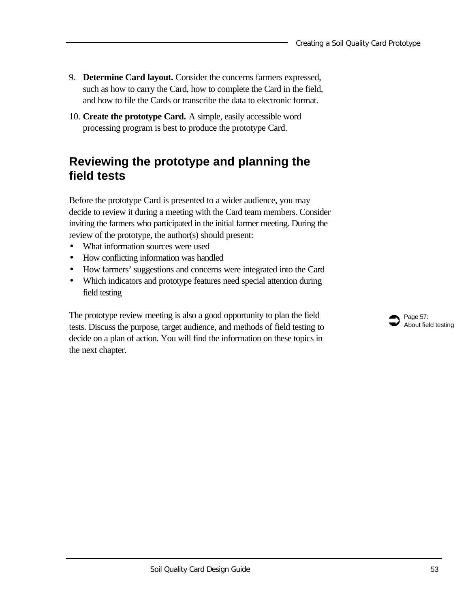- 9. **Determine Card layout.** Consider the concerns farmers expressed, such as how to carry the Card, how to complete the Card in the field, and how to file the Cards or transcribe the data to electronic format.
- 10. **Create the prototype Card.** A simple, easily accessible word processing program is best to produce the prototype Card.

## **Reviewing the prototype and planning the field tests**

Before the prototype Card is presented to a wider audience, you may decide to review it during a meeting with the Card team members. Consider inviting the farmers who participated in the initial farmer meeting. During the review of the prototype, the author(s) should present:

- What information sources were used
- How conflicting information was handled
- How farmers' suggestions and concerns were integrated into the Card
- Which indicators and prototype features need special attention during field testing

The prototype review meeting is also a good opportunity to plan the field tests. Discuss the purpose, target audience, and methods of field testing to decide on a plan of action. You will find the information on these topics in the next chapter.

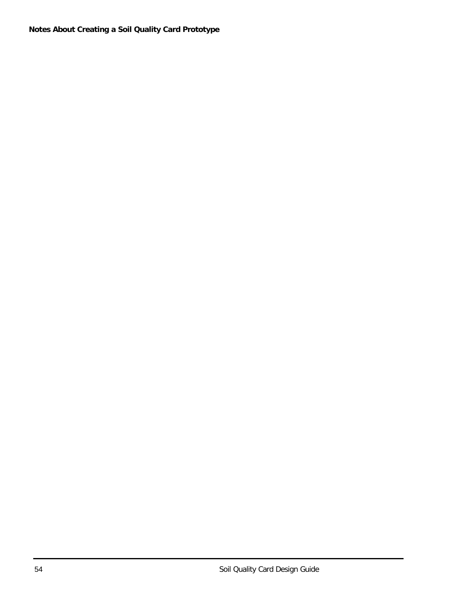**Notes About Creating a Soil Quality Card Prototype**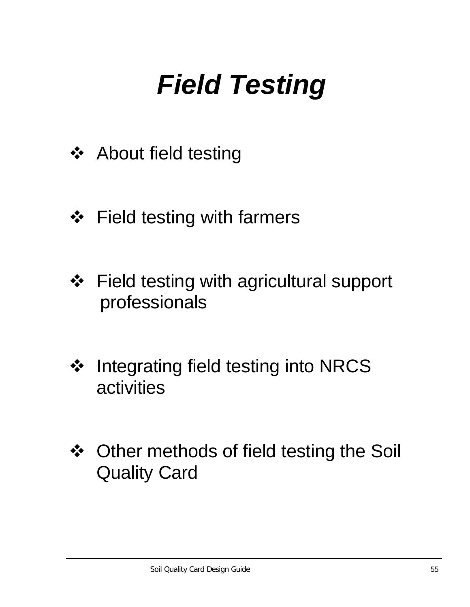# *Field Testing*

- ❖ About field testing
- ❖ Field testing with farmers
- ❖ Field testing with agricultural support professionals
- ❖ Integrating field testing into NRCS activities
- ❖ Other methods of field testing the Soil Quality Card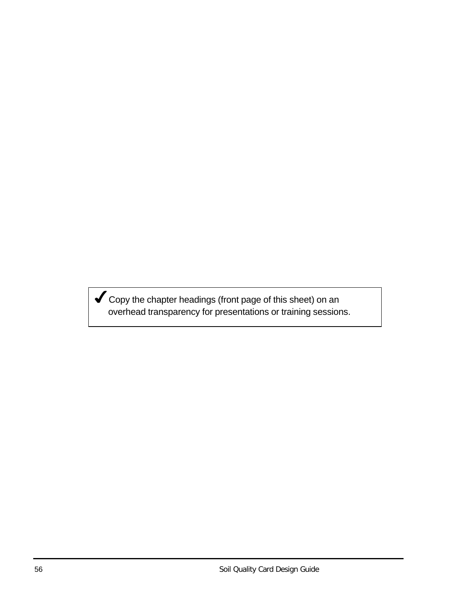Gopy the chapter headings (front page of this sheet) on an overhead transparency for presentations or training sessions.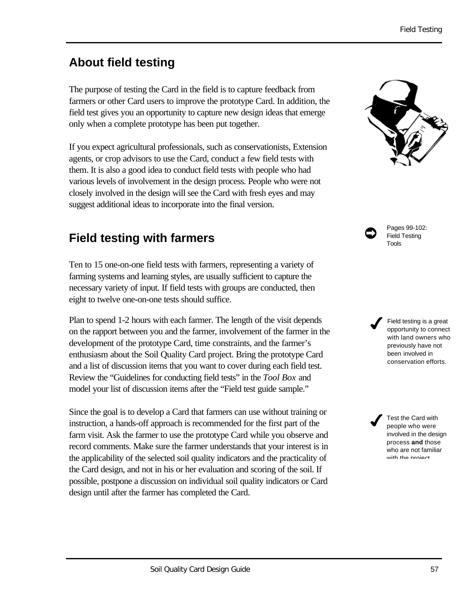# **About field testing**

The purpose of testing the Card in the field is to capture feedback from farmers or other Card users to improve the prototype Card. In addition, the field test gives you an opportunity to capture new design ideas that emerge only when a complete prototype has been put together.

If you expect agricultural professionals, such as conservationists, Extension agents, or crop advisors to use the Card, conduct a few field tests with them. It is also a good idea to conduct field tests with people who had various levels of involvement in the design process. People who were not closely involved in the design will see the Card with fresh eyes and may suggest additional ideas to incorporate into the final version.

## **Field testing with farmers**

Ten to 15 one-on-one field tests with farmers, representing a variety of farming systems and learning styles, are usually sufficient to capture the necessary variety of input. If field tests with groups are conducted, then eight to twelve one-on-one tests should suffice.

Plan to spend 1-2 hours with each farmer. The length of the visit depends on the rapport between you and the farmer, involvement of the farmer in the development of the prototype Card, time constraints, and the farmer's enthusiasm about the Soil Quality Card project. Bring the prototype Card and a list of discussion items that you want to cover during each field test. Review the "Guidelines for conducting field tests" in the *Tool Box* and model your list of discussion items after the "Field test guide sample."

Since the goal is to develop a Card that farmers can use without training or instruction, a hands-off approach is recommended for the first part of the farm visit. Ask the farmer to use the prototype Card while you observe and record comments. Make sure the farmer understands that your interest is in the applicability of the selected soil quality indicators and the practicality of the Card design, and not in his or her evaluation and scoring of the soil. If possible, postpone a discussion on individual soil quality indicators or Card design until after the farmer has completed the Card.



Pages 99-102: Field Testing Tools

 $\bullet$ 

Field testing is a great opportunity to connect with land owners who previously have not been involved in conservation efforts.  $\boldsymbol{J}$ 

Test the Card with people who were involved in the design process **and** those who are not familiar with the project  $\boldsymbol{J}$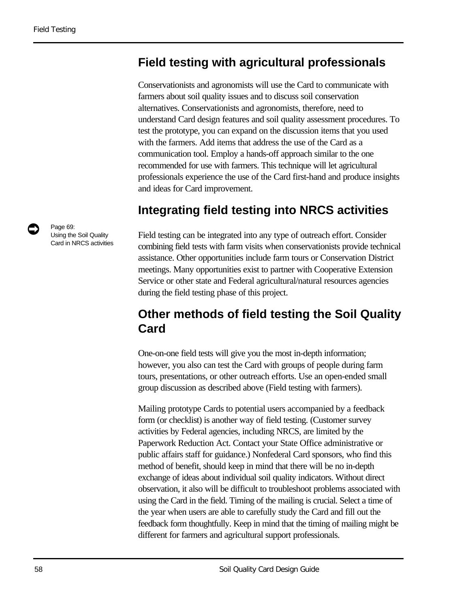### **Field testing with agricultural professionals**

Conservationists and agronomists will use the Card to communicate with farmers about soil quality issues and to discuss soil conservation alternatives. Conservationists and agronomists, therefore, need to understand Card design features and soil quality assessment procedures. To test the prototype, you can expand on the discussion items that you used with the farmers. Add items that address the use of the Card as a communication tool. Employ a hands-off approach similar to the one recommended for use with farmers. This technique will let agricultural professionals experience the use of the Card first-hand and produce insights and ideas for Card improvement.

### **Integrating field testing into NRCS activities**

Field testing can be integrated into any type of outreach effort. Consider combining field tests with farm visits when conservationists provide technical assistance. Other opportunities include farm tours or Conservation District meetings. Many opportunities exist to partner with Cooperative Extension Service or other state and Federal agricultural/natural resources agencies during the field testing phase of this project.

## **Other methods of field testing the Soil Quality Card**

One-on-one field tests will give you the most in-depth information; however, you also can test the Card with groups of people during farm tours, presentations, or other outreach efforts. Use an open-ended small group discussion as described above (Field testing with farmers).

Mailing prototype Cards to potential users accompanied by a feedback form (or checklist) is another way of field testing. (Customer survey activities by Federal agencies, including NRCS, are limited by the Paperwork Reduction Act. Contact your State Office administrative or public affairs staff for guidance.) Nonfederal Card sponsors, who find this method of benefit, should keep in mind that there will be no in-depth exchange of ideas about individual soil quality indicators. Without direct observation, it also will be difficult to troubleshoot problems associated with using the Card in the field. Timing of the mailing is crucial. Select a time of the year when users are able to carefully study the Card and fill out the feedback form thoughtfully. Keep in mind that the timing of mailing might be different for farmers and agricultural support professionals.

Page 69:<br>Using the Soil Quality Card in NRCS activities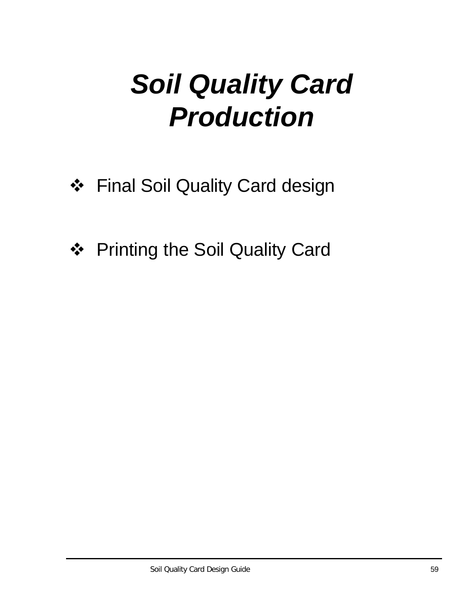# *Soil Quality Card Production*

- ❖ Final Soil Quality Card design
- ❖ Printing the Soil Quality Card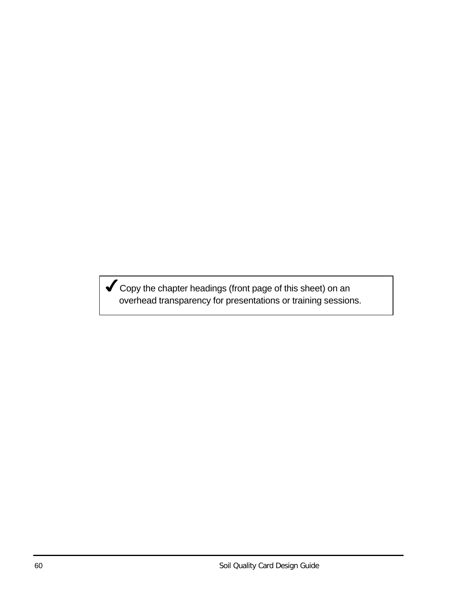Gopy the chapter headings (front page of this sheet) on an overhead transparency for presentations or training sessions.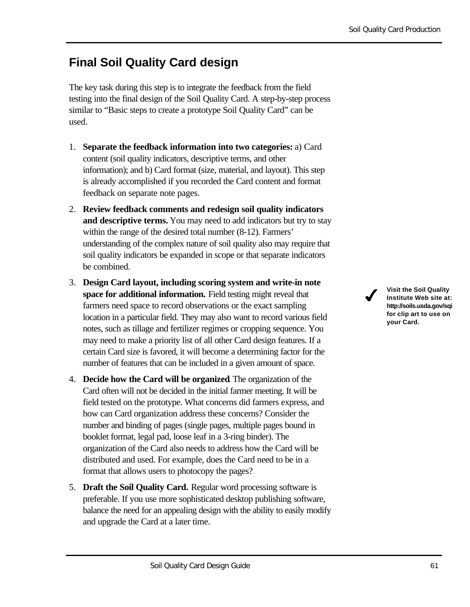## **Final Soil Quality Card design**

The key task during this step is to integrate the feedback from the field testing into the final design of the Soil Quality Card. A step-by-step process similar to "Basic steps to create a prototype Soil Quality Card" can be used.

- 1. **Separate the feedback information into two categories:** a) Card content (soil quality indicators, descriptive terms, and other information); and b) Card format (size, material, and layout). This step is already accomplished if you recorded the Card content and format feedback on separate note pages.
- 2. **Review feedback comments and redesign soil quality indicators and descriptive terms.** You may need to add indicators but try to stay within the range of the desired total number (8-12). Farmers' understanding of the complex nature of soil quality also may require that soil quality indicators be expanded in scope or that separate indicators be combined.
- 3. **Design Card layout, including scoring system and write-in note space for additional information.** Field testing might reveal that farmers need space to record observations or the exact sampling location in a particular field. They may also want to record various field notes, such as tillage and fertilizer regimes or cropping sequence. You may need to make a priority list of all other Card design features. If a certain Card size is favored, it will become a determining factor for the number of features that can be included in a given amount of space.
- 4. **Decide how the Card will be organized**. The organization of the Card often will not be decided in the initial farmer meeting. It will be field tested on the prototype. What concerns did farmers express, and how can Card organization address these concerns? Consider the number and binding of pages (single pages, multiple pages bound in booklet format, legal pad, loose leaf in a 3-ring binder). The organization of the Card also needs to address how the Card will be distributed and used. For example, does the Card need to be in a format that allows users to photocopy the pages?
- 5. **Draft the Soil Quality Card.** Regular word processing software is preferable. If you use more sophisticated desktop publishing software, balance the need for an appealing design with the ability to easily modify and upgrade the Card at a later time.

**Visit the Soil Quality Institute Web site at: http://soils.usda.gov/sqi for clip art to use on your Card.**

 $\boldsymbol{J}$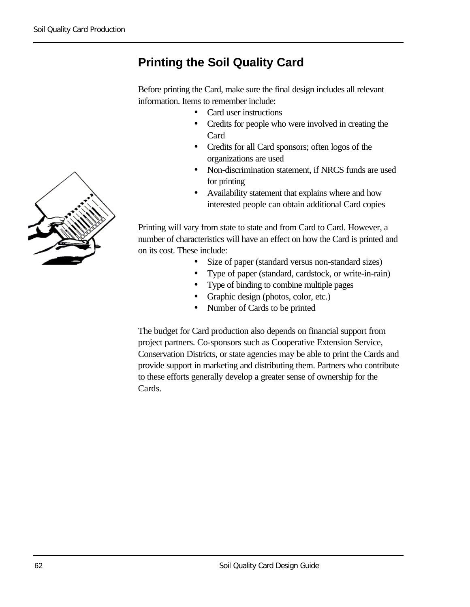## **Printing the Soil Quality Card**

Before printing the Card, make sure the final design includes all relevant information. Items to remember include:

- Card user instructions
- Credits for people who were involved in creating the Card
- Credits for all Card sponsors; often logos of the organizations are used
- Non-discrimination statement, if NRCS funds are used for printing
- Availability statement that explains where and how interested people can obtain additional Card copies

Printing will vary from state to state and from Card to Card. However, a number of characteristics will have an effect on how the Card is printed and on its cost. These include:

- Size of paper (standard versus non-standard sizes)
- Type of paper (standard, cardstock, or write-in-rain)
- Type of binding to combine multiple pages
- Graphic design (photos, color, etc.)
- Number of Cards to be printed

The budget for Card production also depends on financial support from project partners. Co-sponsors such as Cooperative Extension Service, Conservation Districts, or state agencies may be able to print the Cards and provide support in marketing and distributing them. Partners who contribute to these efforts generally develop a greater sense of ownership for the Cards.

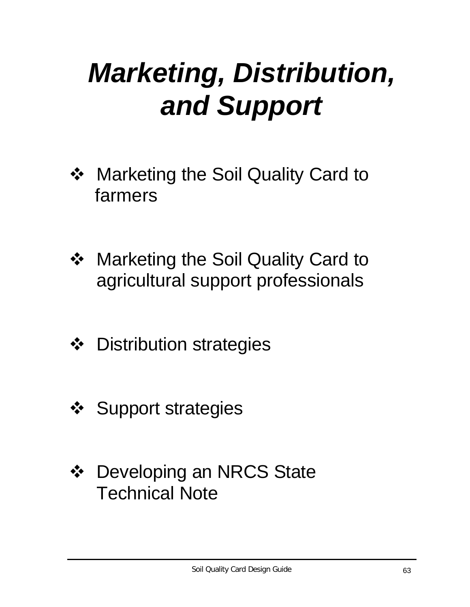## *Marketing, Distribution, and Support*

- ❖ Marketing the Soil Quality Card to farmers
- ❖ Marketing the Soil Quality Card to agricultural support professionals
- ❖ Distribution strategies
- ❖ Support strategies
- ❖ Developing an NRCS State Technical Note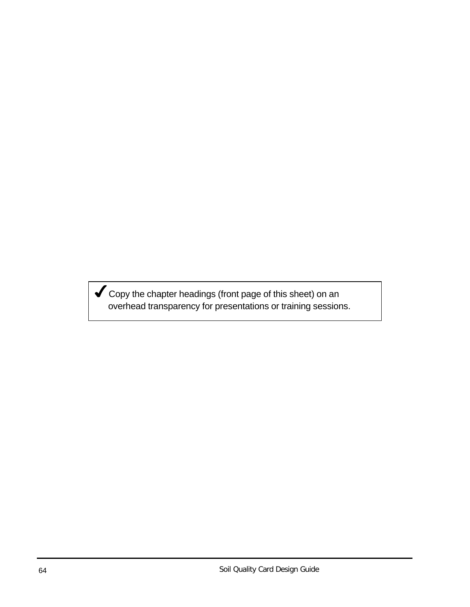$\blacktriangledown$  Copy the chapter headings (front page of this sheet) on an overhead transparency for presentations or training sessions.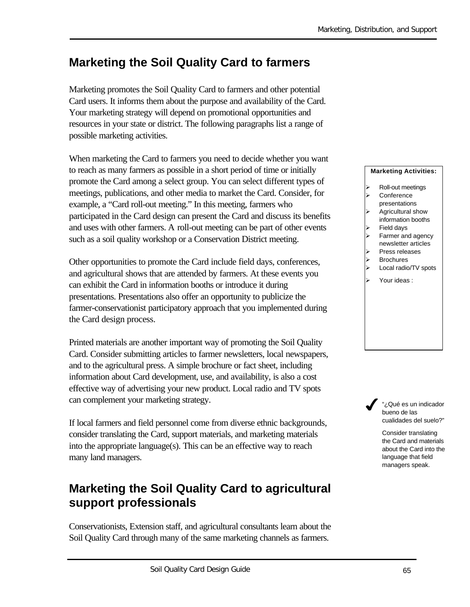## **Marketing the Soil Quality Card to farmers**

Marketing promotes the Soil Quality Card to farmers and other potential Card users. It informs them about the purpose and availability of the Card. Your marketing strategy will depend on promotional opportunities and resources in your state or district. The following paragraphs list a range of possible marketing activities.

When marketing the Card to farmers you need to decide whether you want to reach as many farmers as possible in a short period of time or initially promote the Card among a select group. You can select different types of meetings, publications, and other media to market the Card. Consider, for example, a "Card roll-out meeting." In this meeting, farmers who participated in the Card design can present the Card and discuss its benefits and uses with other farmers. A roll-out meeting can be part of other events such as a soil quality workshop or a Conservation District meeting.

Other opportunities to promote the Card include field days, conferences, and agricultural shows that are attended by farmers. At these events you can exhibit the Card in information booths or introduce it during presentations. Presentations also offer an opportunity to publicize the farmer-conservationist participatory approach that you implemented during the Card design process.

Printed materials are another important way of promoting the Soil Quality Card. Consider submitting articles to farmer newsletters, local newspapers, and to the agricultural press. A simple brochure or fact sheet, including information about Card development, use, and availability, is also a cost effective way of advertising your new product. Local radio and TV spots can complement your marketing strategy.

If local farmers and field personnel come from diverse ethnic backgrounds, consider translating the Card, support materials, and marketing materials into the appropriate language(s). This can be an effective way to reach many land managers.

## **Marketing the Soil Quality Card to agricultural support professionals**

Conservationists, Extension staff, and agricultural consultants learn about the Soil Quality Card through many of the same marketing channels as farmers.

#### **Marketing Activities:**

- Roll-out meetings
- **Conference**
- presentations
- Agricultural show information booths
- Field days
- Farmer and agency newsletter articles
- ÿ Press releases
- **Brochures**
- > Local radio/TV spots
- Your ideas :

"¿Qué es un indicador bueno de las cualidades del suelo?"  $\boldsymbol{J}$ 

> Consider translating the Card and materials about the Card into the language that field managers speak.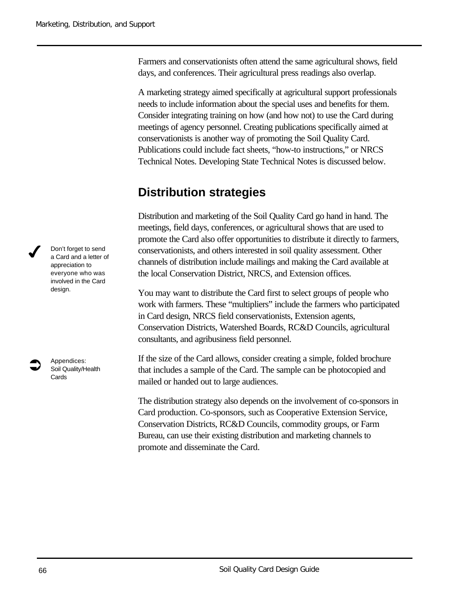Farmers and conservationists often attend the same agricultural shows, field days, and conferences. Their agricultural press readings also overlap.

A marketing strategy aimed specifically at agricultural support professionals needs to include information about the special uses and benefits for them. Consider integrating training on how (and how not) to use the Card during meetings of agency personnel. Creating publications specifically aimed at conservationists is another way of promoting the Soil Quality Card. Publications could include fact sheets, "how-to instructions," or NRCS Technical Notes. Developing State Technical Notes is discussed below.

### **Distribution strategies**

Distribution and marketing of the Soil Quality Card go hand in hand. The meetings, field days, conferences, or agricultural shows that are used to promote the Card also offer opportunities to distribute it directly to farmers, conservationists, and others interested in soil quality assessment. Other channels of distribution include mailings and making the Card available at the local Conservation District, NRCS, and Extension offices.

You may want to distribute the Card first to select groups of people who work with farmers. These "multipliers" include the farmers who participated in Card design, NRCS field conservationists, Extension agents, Conservation Districts, Watershed Boards, RC&D Councils, agricultural consultants, and agribusiness field personnel.

If the size of the Card allows, consider creating a simple, folded brochure that includes a sample of the Card. The sample can be photocopied and mailed or handed out to large audiences.

The distribution strategy also depends on the involvement of co-sponsors in Card production. Co-sponsors, such as Cooperative Extension Service, Conservation Districts, RC&D Councils, commodity groups, or Farm Bureau, can use their existing distribution and marketing channels to promote and disseminate the Card.

Don't forget to send a Card and a letter of appreciation to everyone who was involved in the Card design.



 $\boldsymbol{J}$ 

Appendices: Soil Quality/Health **Cards**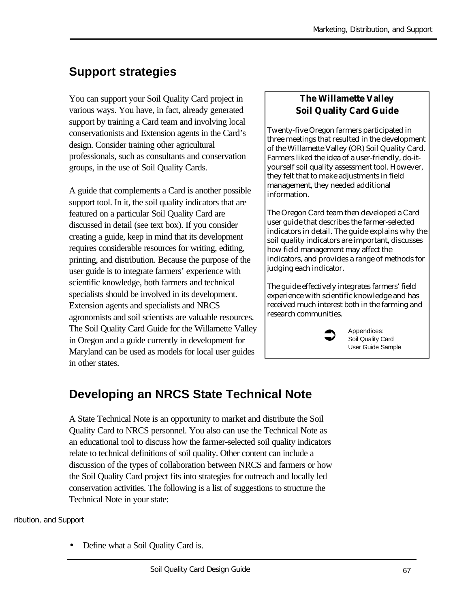## **Support strategies**

You can support your Soil Quality Card project in various ways. You have, in fact, already generated support by training a Card team and involving local conservationists and Extension agents in the Card's design. Consider training other agricultural professionals, such as consultants and conservation groups, in the use of Soil Quality Cards.

A guide that complements a Card is another possible support tool. In it, the soil quality indicators that are featured on a particular Soil Quality Card are discussed in detail (see text box). If you consider creating a guide, keep in mind that its development requires considerable resources for writing, editing, printing, and distribution. Because the purpose of the user guide is to integrate farmers' experience with scientific knowledge, both farmers and technical specialists should be involved in its development. Extension agents and specialists and NRCS agronomists and soil scientists are valuable resources. The Soil Quality Card Guide for the Willamette Valley in Oregon and a guide currently in development for Maryland can be used as models for local user guides in other states.

#### **The Willamette Valley Soil Quality Card Guide**

Twenty-five Oregon farmers participated in three meetings that resulted in the development of the Willamette Valley (OR) Soil Quality Card. Farmers liked the idea of a user-friendly, do-ityourself soil quality assessment tool. However, they felt that to make adjustments in field management, they needed additional information.

The Oregon Card team then developed a Card user guide that describes the farmer-selected indicators in detail. The guide explains why the soil quality indicators are important, discusses how field management may affect the indicators, and provides a range of methods for judging each indicator.

The guide effectively integrates farmers' field experience with scientific knowledge and has received much interest both in the farming and research communities.

 $\bullet$ 

Appendices: Soil Quality Card User Guide Sample

## **Developing an NRCS State Technical Note**

A State Technical Note is an opportunity to market and distribute the Soil Quality Card to NRCS personnel. You also can use the Technical Note as an educational tool to discuss how the farmer-selected soil quality indicators relate to technical definitions of soil quality. Other content can include a discussion of the types of collaboration between NRCS and farmers or how the Soil Quality Card project fits into strategies for outreach and locally led conservation activities. The following is a list of suggestions to structure the Technical Note in your state:

ribution, and Support

• Define what a Soil Quality Card is.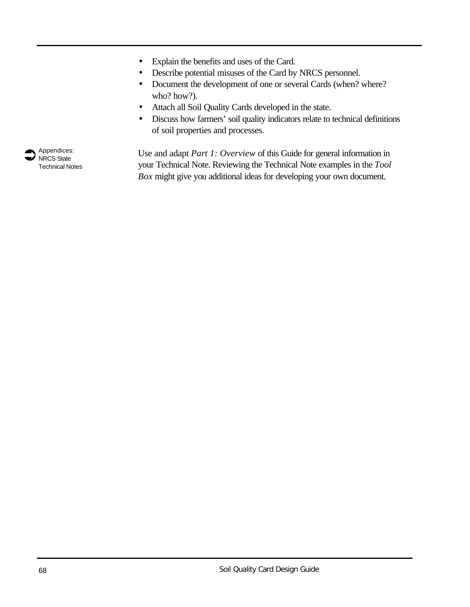- Explain the benefits and uses of the Card.
- Describe potential misuses of the Card by NRCS personnel.
- Document the development of one or several Cards (when? where? who? how?).
- Attach all Soil Quality Cards developed in the state.
- Discuss how farmers' soil quality indicators relate to technical definitions of soil properties and processes.

Use and adapt *Part 1: Overview* of this Guide for general information in your Technical Note. Reviewing the Technical Note examples in the *Tool Box* might give you additional ideas for developing your own document.

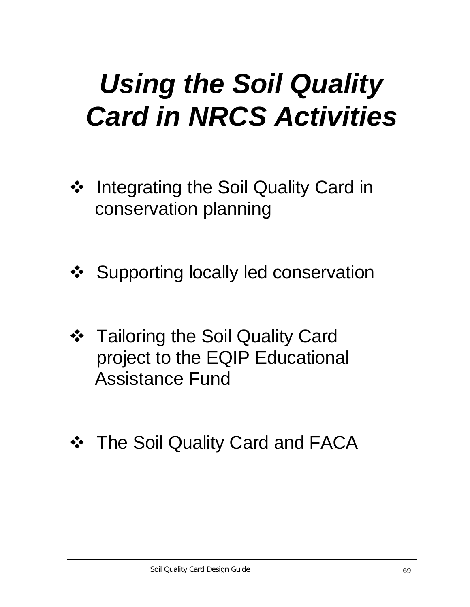## *Using the Soil Quality Card in NRCS Activities*

- ❖ Integrating the Soil Quality Card in conservation planning
- ❖ Supporting locally led conservation
- ❖ Tailoring the Soil Quality Card project to the EQIP Educational Assistance Fund
- ❖ The Soil Quality Card and FACA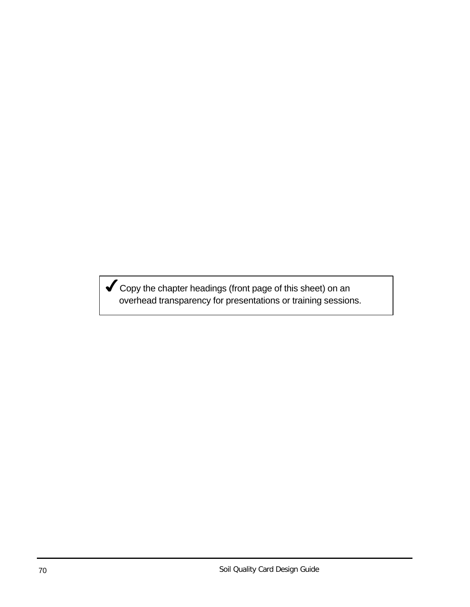Gopy the chapter headings (front page of this sheet) on an overhead transparency for presentations or training sessions.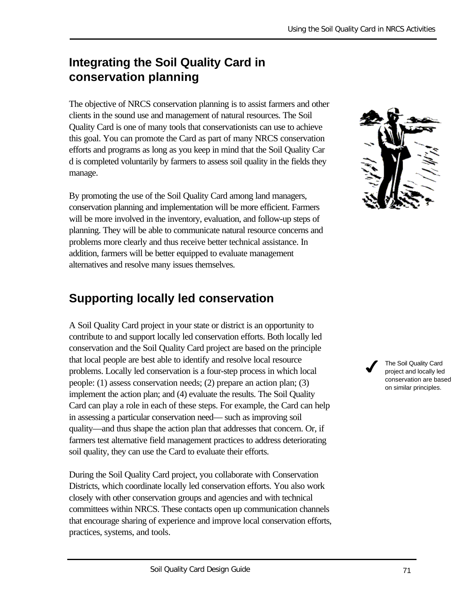## **Integrating the Soil Quality Card in conservation planning**

The objective of NRCS conservation planning is to assist farmers and other clients in the sound use and management of natural resources. The Soil Quality Card is one of many tools that conservationists can use to achieve this goal. You can promote the Card as part of many NRCS conservation efforts and programs as long as you keep in mind that the Soil Quality Car d is completed voluntarily by farmers to assess soil quality in the fields they manage.

By promoting the use of the Soil Quality Card among land managers, conservation planning and implementation will be more efficient. Farmers will be more involved in the inventory, evaluation, and follow-up steps of planning. They will be able to communicate natural resource concerns and problems more clearly and thus receive better technical assistance. In addition, farmers will be better equipped to evaluate management alternatives and resolve many issues themselves.

## **Supporting locally led conservation**

A Soil Quality Card project in your state or district is an opportunity to contribute to and support locally led conservation efforts. Both locally led conservation and the Soil Quality Card project are based on the principle that local people are best able to identify and resolve local resource problems. Locally led conservation is a four-step process in which local people: (1) assess conservation needs; (2) prepare an action plan; (3) implement the action plan; and (4) evaluate the results. The Soil Quality Card can play a role in each of these steps. For example, the Card can help in assessing a particular conservation need— such as improving soil quality—and thus shape the action plan that addresses that concern. Or, if farmers test alternative field management practices to address deteriorating soil quality, they can use the Card to evaluate their efforts.

During the Soil Quality Card project, you collaborate with Conservation Districts, which coordinate locally led conservation efforts. You also work closely with other conservation groups and agencies and with technical committees within NRCS. These contacts open up communication channels that encourage sharing of experience and improve local conservation efforts, practices, systems, and tools.



The Soil Quality Card project and locally led conservation are based on similar principles.  $\boldsymbol{J}$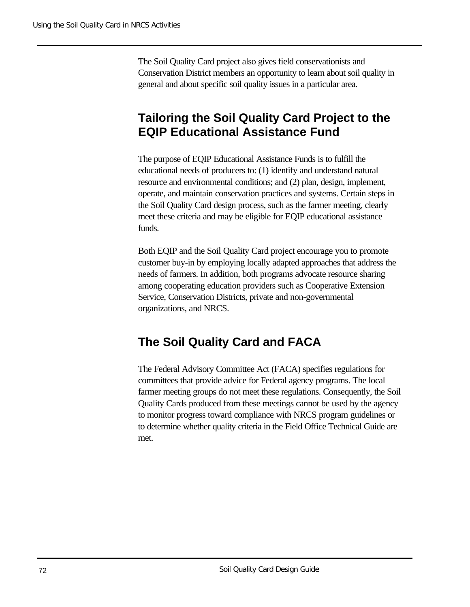The Soil Quality Card project also gives field conservationists and Conservation District members an opportunity to learn about soil quality in general and about specific soil quality issues in a particular area.

## **Tailoring the Soil Quality Card Project to the EQIP Educational Assistance Fund**

The purpose of EQIP Educational Assistance Funds is to fulfill the educational needs of producers to: (1) identify and understand natural resource and environmental conditions; and (2) plan, design, implement, operate, and maintain conservation practices and systems. Certain steps in the Soil Quality Card design process, such as the farmer meeting, clearly meet these criteria and may be eligible for EQIP educational assistance funds.

Both EQIP and the Soil Quality Card project encourage you to promote customer buy-in by employing locally adapted approaches that address the needs of farmers. In addition, both programs advocate resource sharing among cooperating education providers such as Cooperative Extension Service, Conservation Districts, private and non-governmental organizations, and NRCS.

### **The Soil Quality Card and FACA**

The Federal Advisory Committee Act (FACA) specifies regulations for committees that provide advice for Federal agency programs. The local farmer meeting groups do not meet these regulations. Consequently, the Soil Quality Cards produced from these meetings cannot be used by the agency to monitor progress toward compliance with NRCS program guidelines or to determine whether quality criteria in the Field Office Technical Guide are met.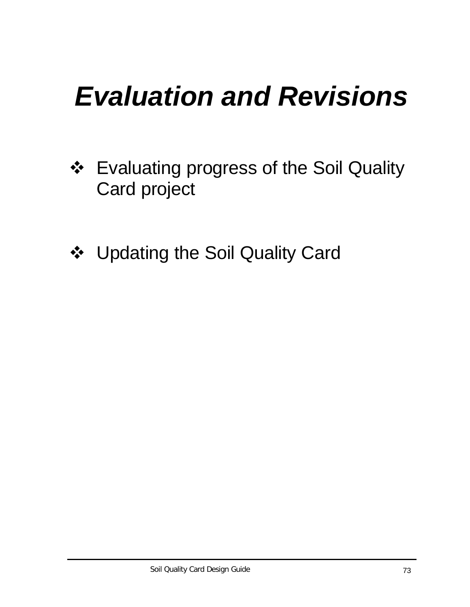## *Evaluation and Revisions*

- ❖ Evaluating progress of the Soil Quality Card project
- ◆ Updating the Soil Quality Card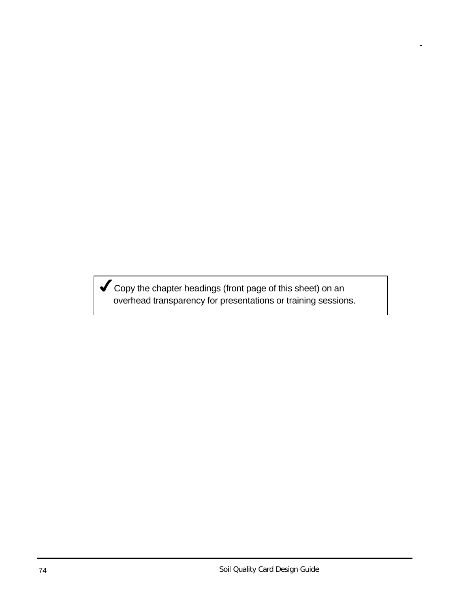Gopy the chapter headings (front page of this sheet) on an overhead transparency for presentations or training sessions.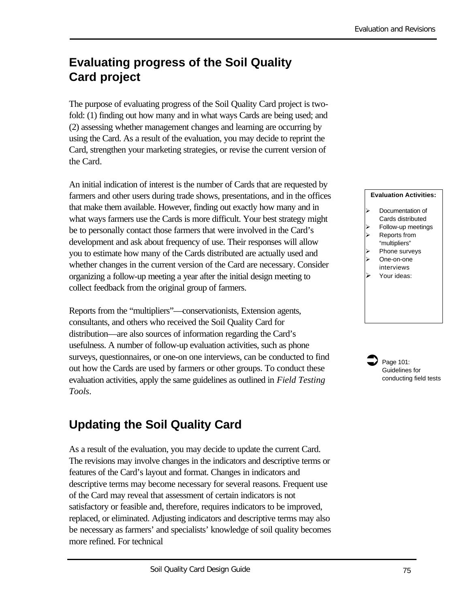## **Evaluating progress of the Soil Quality Card project**

The purpose of evaluating progress of the Soil Quality Card project is twofold: (1) finding out how many and in what ways Cards are being used; and (2) assessing whether management changes and learning are occurring by using the Card. As a result of the evaluation, you may decide to reprint the Card, strengthen your marketing strategies, or revise the current version of the Card.

An initial indication of interest is the number of Cards that are requested by farmers and other users during trade shows, presentations, and in the offices that make them available. However, finding out exactly how many and in what ways farmers use the Cards is more difficult. Your best strategy might be to personally contact those farmers that were involved in the Card's development and ask about frequency of use. Their responses will allow you to estimate how many of the Cards distributed are actually used and whether changes in the current version of the Card are necessary. Consider organizing a follow-up meeting a year after the initial design meeting to collect feedback from the original group of farmers.

Reports from the "multipliers"—conservationists, Extension agents, consultants, and others who received the Soil Quality Card for distribution—are also sources of information regarding the Card's usefulness. A number of follow-up evaluation activities, such as phone surveys, questionnaires, or one-on one interviews, can be conducted to find out how the Cards are used by farmers or other groups. To conduct these evaluation activities, apply the same guidelines as outlined in *Field Testing Tools*.

## **Updating the Soil Quality Card**

As a result of the evaluation, you may decide to update the current Card. The revisions may involve changes in the indicators and descriptive terms or features of the Card's layout and format. Changes in indicators and descriptive terms may become necessary for several reasons. Frequent use of the Card may reveal that assessment of certain indicators is not satisfactory or feasible and, therefore, requires indicators to be improved, replaced, or eliminated. Adjusting indicators and descriptive terms may also be necessary as farmers' and specialists' knowledge of soil quality becomes more refined. For technical

#### **Evaluation Activities:**

- Documentation of Cards distributed
- Follow-up meetings
- Reports from "multipliers"
- Phone surveys
- One-on-one
- interviews
- Your ideas:

Page 101: Guidelines for conducting field tests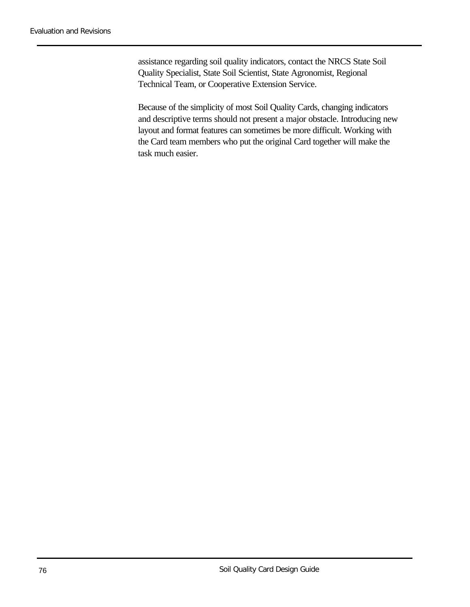assistance regarding soil quality indicators, contact the NRCS State Soil Quality Specialist, State Soil Scientist, State Agronomist, Regional Technical Team, or Cooperative Extension Service.

Because of the simplicity of most Soil Quality Cards, changing indicators and descriptive terms should not present a major obstacle. Introducing new layout and format features can sometimes be more difficult. Working with the Card team members who put the original Card together will make the task much easier.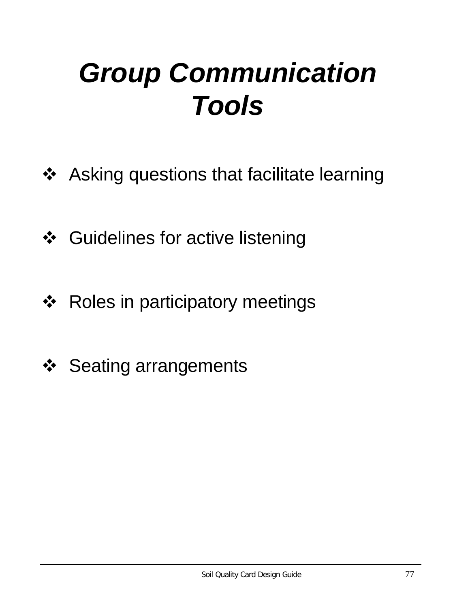## *Group Communication Tools*

- ❖ Asking questions that facilitate learning
- ❖ Guidelines for active listening
- ❖ Roles in participatory meetings
- ❖ Seating arrangements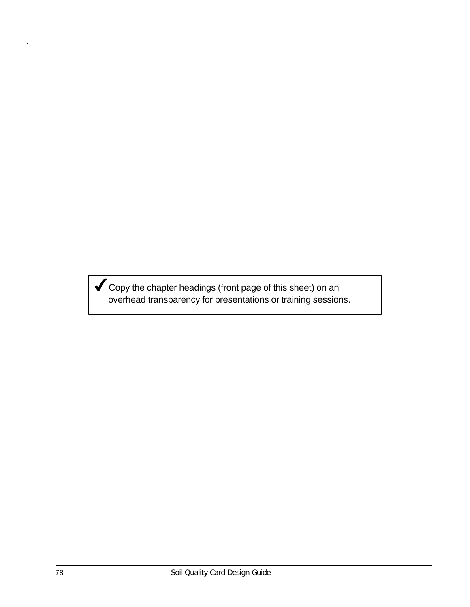$\blacktriangledown$  Copy the chapter headings (front page of this sheet) on an overhead transparency for presentations or training sessions.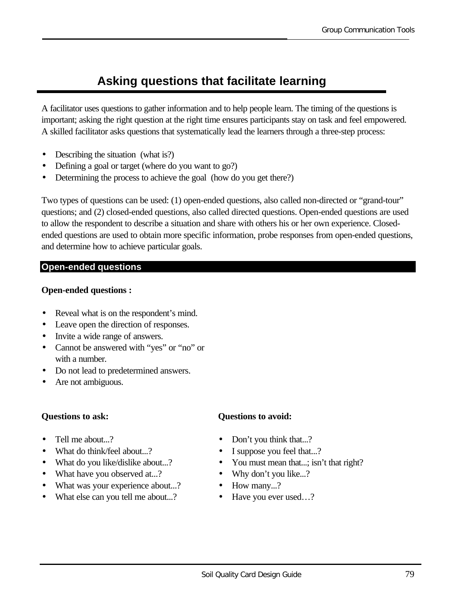## **Asking questions that facilitate learning**

A facilitator uses questions to gather information and to help people learn. The timing of the questions is important; asking the right question at the right time ensures participants stay on task and feel empowered. A skilled facilitator asks questions that systematically lead the learners through a three-step process:

- Describing the situation (what is?)
- Defining a goal or target (where do you want to go?)
- Determining the process to achieve the goal (how do you get there?)

Two types of questions can be used: (1) open-ended questions, also called non-directed or "grand-tour" questions; and (2) closed-ended questions, also called directed questions. Open-ended questions are used to allow the respondent to describe a situation and share with others his or her own experience. Closedended questions are used to obtain more specific information, probe responses from open-ended questions, and determine how to achieve particular goals.

#### **Open-ended questions**

#### **Open-ended questions :**

- Reveal what is on the respondent's mind.
- Leave open the direction of responses.
- Invite a wide range of answers.
- Cannot be answered with "yes" or "no" or with a number.
- Do not lead to predetermined answers.
- Are not ambiguous.

#### **Questions to ask:**

- Tell me about...?
- What do think/feel about...?
- What do you like/dislike about...?
- What have you observed at...?
- What was your experience about...?
- What else can you tell me about...?

#### **Questions to avoid:**

- Don't you think that...?
- I suppose you feel that...?
- You must mean that...; isn't that right?
- Why don't you like...?
- How many...?
- Have you ever used...?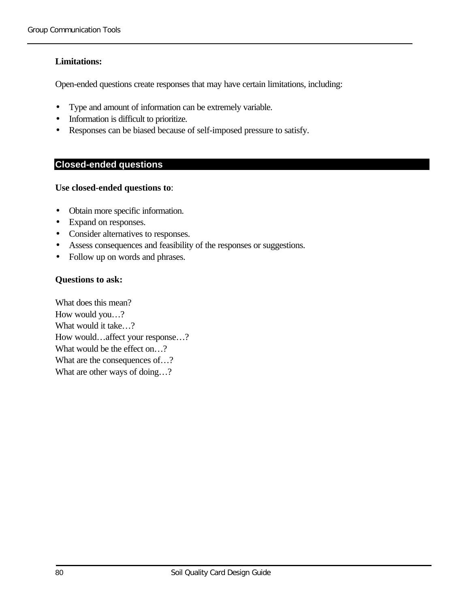#### **Limitations:**

Open-ended questions create responses that may have certain limitations, including:

- Type and amount of information can be extremely variable.
- Information is difficult to prioritize.
- Responses can be biased because of self-imposed pressure to satisfy.

#### **Closed-ended questions**

#### **Use closed-ended questions to**:

- Obtain more specific information.
- Expand on responses.
- Consider alternatives to responses.
- Assess consequences and feasibility of the responses or suggestions.
- Follow up on words and phrases.

#### **Questions to ask:**

What does this mean? How would you…? What would it take…? How would…affect your response…? What would be the effect on...? What are the consequences of...? What are other ways of doing...?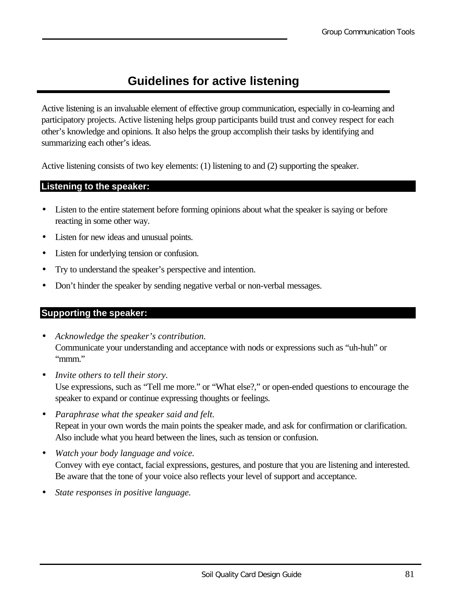## **Guidelines for active listening**

Active listening is an invaluable element of effective group communication, especially in co-learning and participatory projects. Active listening helps group participants build trust and convey respect for each other's knowledge and opinions. It also helps the group accomplish their tasks by identifying and summarizing each other's ideas.

Active listening consists of two key elements: (1) listening to and (2) supporting the speaker.

#### **Listening to the speaker:**

- Listen to the entire statement before forming opinions about what the speaker is saying or before reacting in some other way.
- Listen for new ideas and unusual points.
- Listen for underlying tension or confusion.
- Try to understand the speaker's perspective and intention.
- Don't hinder the speaker by sending negative verbal or non-verbal messages.

#### **Supporting the speaker:**

- *Acknowledge the speaker's contribution.* Communicate your understanding and acceptance with nods or expressions such as "uh-huh" or "mmm."
- *Invite others to tell their story.* Use expressions, such as "Tell me more." or "What else?," or open-ended questions to encourage the speaker to expand or continue expressing thoughts or feelings.
- *Paraphrase what the speaker said and felt.* Repeat in your own words the main points the speaker made, and ask for confirmation or clarification. Also include what you heard between the lines, such as tension or confusion.
- *Watch your body language and voice.* Convey with eye contact, facial expressions, gestures, and posture that you are listening and interested. Be aware that the tone of your voice also reflects your level of support and acceptance.
- *State responses in positive language.*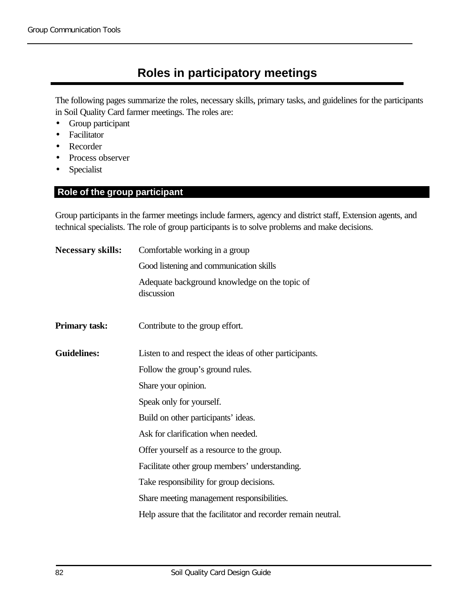## **Roles in participatory meetings**

The following pages summarize the roles, necessary skills, primary tasks, and guidelines for the participants in Soil Quality Card farmer meetings. The roles are:

- Group participant
- Facilitator
- Recorder
- Process observer
- Specialist

#### **Role of the group participant**

Group participants in the farmer meetings include farmers, agency and district staff, Extension agents, and technical specialists. The role of group participants is to solve problems and make decisions.

| <b>Necessary skills:</b> | Comfortable working in a group                                |  |
|--------------------------|---------------------------------------------------------------|--|
|                          | Good listening and communication skills                       |  |
|                          | Adequate background knowledge on the topic of<br>discussion   |  |
| <b>Primary task:</b>     | Contribute to the group effort.                               |  |
| <b>Guidelines:</b>       | Listen to and respect the ideas of other participants.        |  |
|                          | Follow the group's ground rules.                              |  |
|                          | Share your opinion.                                           |  |
|                          | Speak only for yourself.                                      |  |
|                          | Build on other participants' ideas.                           |  |
|                          | Ask for clarification when needed.                            |  |
|                          | Offer yourself as a resource to the group.                    |  |
|                          | Facilitate other group members' understanding.                |  |
|                          | Take responsibility for group decisions.                      |  |
|                          | Share meeting management responsibilities.                    |  |
|                          | Help assure that the facilitator and recorder remain neutral. |  |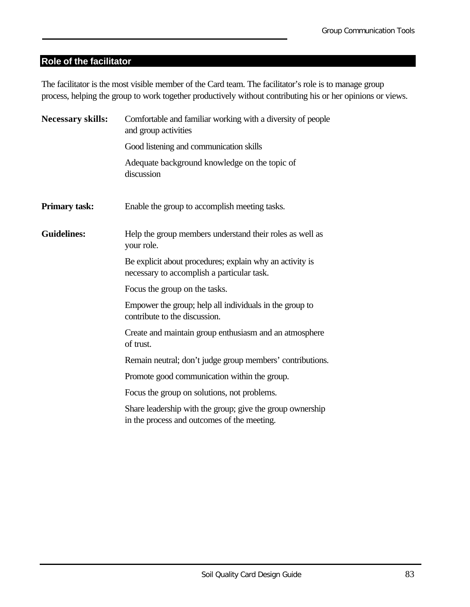#### **Role of the facilitator**

The facilitator is the most visible member of the Card team. The facilitator's role is to manage group process, helping the group to work together productively without contributing his or her opinions or views.

| <b>Necessary skills:</b> | Comfortable and familiar working with a diversity of people<br>and group activities                      |
|--------------------------|----------------------------------------------------------------------------------------------------------|
|                          | Good listening and communication skills                                                                  |
|                          | Adequate background knowledge on the topic of<br>discussion                                              |
| <b>Primary task:</b>     | Enable the group to accomplish meeting tasks.                                                            |
| <b>Guidelines:</b>       | Help the group members understand their roles as well as<br>your role.                                   |
|                          | Be explicit about procedures; explain why an activity is<br>necessary to accomplish a particular task.   |
|                          | Focus the group on the tasks.                                                                            |
|                          | Empower the group; help all individuals in the group to<br>contribute to the discussion.                 |
|                          | Create and maintain group enthusiasm and an atmosphere<br>of trust.                                      |
|                          | Remain neutral; don't judge group members' contributions.                                                |
|                          | Promote good communication within the group.                                                             |
|                          | Focus the group on solutions, not problems.                                                              |
|                          | Share leadership with the group; give the group ownership<br>in the process and outcomes of the meeting. |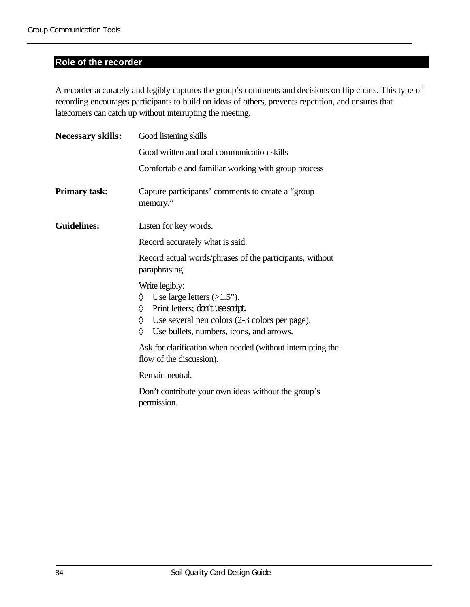#### **Role of the recorder**

A recorder accurately and legibly captures the group's comments and decisions on flip charts. This type of recording encourages participants to build on ideas of others, prevents repetition, and ensures that latecomers can catch up without interrupting the meeting.

| <b>Necessary skills:</b> | Good listening skills                                                                                                                                                                               |  |
|--------------------------|-----------------------------------------------------------------------------------------------------------------------------------------------------------------------------------------------------|--|
|                          | Good written and oral communication skills                                                                                                                                                          |  |
|                          | Comfortable and familiar working with group process                                                                                                                                                 |  |
| Primary task:            | Capture participants' comments to create a "group"<br>memory."                                                                                                                                      |  |
| <b>Guidelines:</b>       | Listen for key words.                                                                                                                                                                               |  |
|                          | Record accurately what is said.                                                                                                                                                                     |  |
|                          | Record actual words/phrases of the participants, without<br>paraphrasing.                                                                                                                           |  |
|                          | Write legibly:<br>Use large letters $(>1.5)$ .<br>♦<br>Print letters; don't use script.<br>♦<br>Use several pen colors (2-3 colors per page).<br>♦<br>♦<br>Use bullets, numbers, icons, and arrows. |  |
|                          | Ask for clarification when needed (without interrupting the<br>flow of the discussion).                                                                                                             |  |
|                          | Remain neutral.                                                                                                                                                                                     |  |
|                          | Don't contribute your own ideas without the group's<br>permission.                                                                                                                                  |  |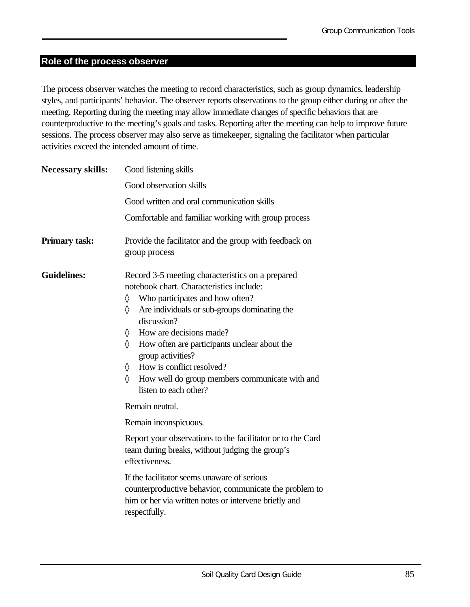#### **Role of the process observer**

The process observer watches the meeting to record characteristics, such as group dynamics, leadership styles, and participants' behavior. The observer reports observations to the group either during or after the meeting. Reporting during the meeting may allow immediate changes of specific behaviors that are counterproductive to the meeting's goals and tasks. Reporting after the meeting can help to improve future sessions. The process observer may also serve as timekeeper, signaling the facilitator when particular activities exceed the intended amount of time.

| <b>Necessary skills:</b> | Good listening skills                                                                                                                                                                                                                                                                                                                                                                                                                |  |
|--------------------------|--------------------------------------------------------------------------------------------------------------------------------------------------------------------------------------------------------------------------------------------------------------------------------------------------------------------------------------------------------------------------------------------------------------------------------------|--|
|                          | Good observation skills                                                                                                                                                                                                                                                                                                                                                                                                              |  |
|                          | Good written and oral communication skills                                                                                                                                                                                                                                                                                                                                                                                           |  |
|                          | Comfortable and familiar working with group process                                                                                                                                                                                                                                                                                                                                                                                  |  |
| <b>Primary task:</b>     | Provide the facilitator and the group with feedback on<br>group process                                                                                                                                                                                                                                                                                                                                                              |  |
| <b>Guidelines:</b>       | Record 3-5 meeting characteristics on a prepared<br>notebook chart. Characteristics include:<br>♦<br>Who participates and how often?<br>♦<br>Are individuals or sub-groups dominating the<br>discussion?<br>How are decisions made?<br>♦<br>♦<br>How often are participants unclear about the<br>group activities?<br>How is conflict resolved?<br>♦<br>♦<br>How well do group members communicate with and<br>listen to each other? |  |
|                          | Remain neutral.                                                                                                                                                                                                                                                                                                                                                                                                                      |  |
|                          | Remain inconspicuous.                                                                                                                                                                                                                                                                                                                                                                                                                |  |
|                          | Report your observations to the facilitator or to the Card<br>team during breaks, without judging the group's<br>effectiveness.                                                                                                                                                                                                                                                                                                      |  |
|                          | If the facilitator seems unaware of serious<br>counterproductive behavior, communicate the problem to<br>him or her via written notes or intervene briefly and<br>respectfully.                                                                                                                                                                                                                                                      |  |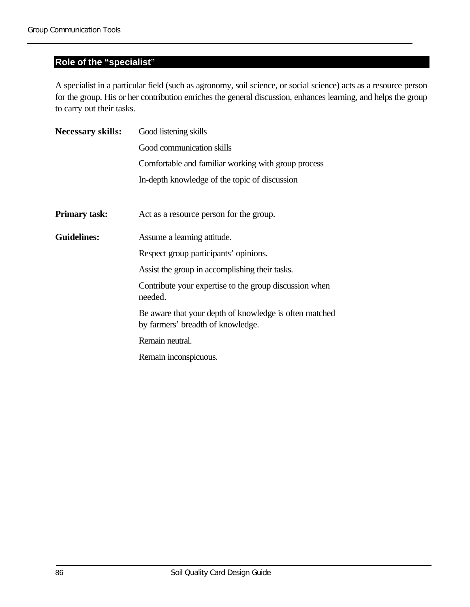#### **Role of the "specialist**"

A specialist in a particular field (such as agronomy, soil science, or social science) acts as a resource person for the group. His or her contribution enriches the general discussion, enhances learning, and helps the group to carry out their tasks.

| <b>Necessary skills:</b> | Good listening skills                                                                       |
|--------------------------|---------------------------------------------------------------------------------------------|
|                          | Good communication skills                                                                   |
|                          | Comfortable and familiar working with group process                                         |
|                          | In-depth knowledge of the topic of discussion                                               |
| <b>Primary task:</b>     | Act as a resource person for the group.                                                     |
| <b>Guidelines:</b>       | Assume a learning attitude.                                                                 |
|                          | Respect group participants' opinions.                                                       |
|                          | Assist the group in accomplishing their tasks.                                              |
|                          | Contribute your expertise to the group discussion when<br>needed.                           |
|                          | Be aware that your depth of knowledge is often matched<br>by farmers' breadth of knowledge. |
|                          | Remain neutral.                                                                             |
|                          | Remain inconspicuous.                                                                       |
|                          |                                                                                             |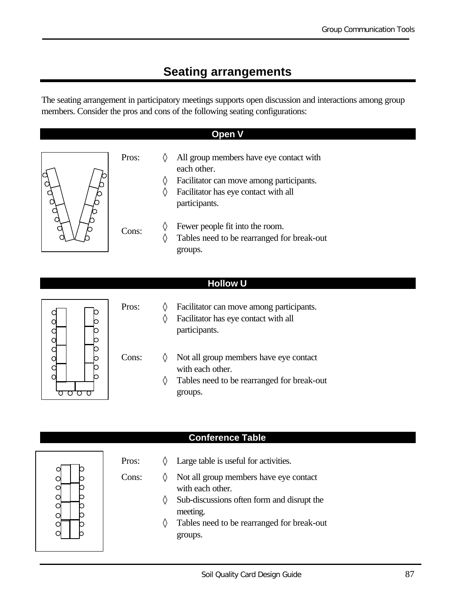## **Seating arrangements**

The seating arrangement in participatory meetings supports open discussion and interactions among group members. Consider the pros and cons of the following seating configurations:

#### **Open V**

| Pros: |   | All group members have eye contact with<br>each other. |
|-------|---|--------------------------------------------------------|
|       | ♦ | Facilitator can move among participants.               |
|       | ♦ | Facilitator has eye contact with all                   |
|       |   | participants.                                          |
| Cons: |   | Fewer people fit into the room.                        |
|       | ♦ | Tables need to be rearranged for break-out             |
|       |   | groups.                                                |

#### **Hollow U**



| Pros: | Facilitator can move among participants. |
|-------|------------------------------------------|
|       | Facilitator has eye contact with all     |
|       | participants.                            |

- Cons: ◊ Not all group members have eye contact with each other.
	- ◊ Tables need to be rearranged for break-out groups.



#### **Conference Table**

- Pros:  $\Diamond$  Large table is useful for activities.
- Cons:  $\Diamond$  Not all group members have eye contact with each other.
	- ◊ Sub-discussions often form and disrupt the meeting.
	- ◊ Tables need to be rearranged for break-out groups.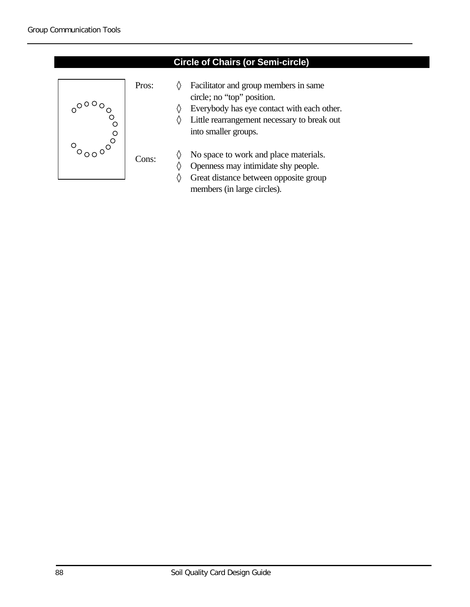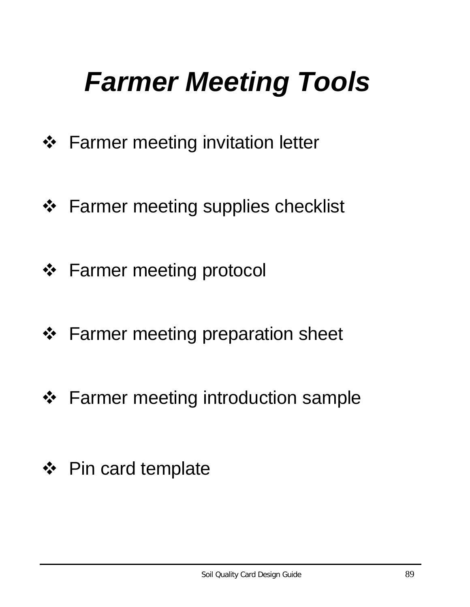## *Farmer Meeting Tools*

- ❖ Farmer meeting invitation letter
- ❖ Farmer meeting supplies checklist
- ❖ Farmer meeting protocol
- ❖ Farmer meeting preparation sheet
- ❖ Farmer meeting introduction sample
- ❖ Pin card template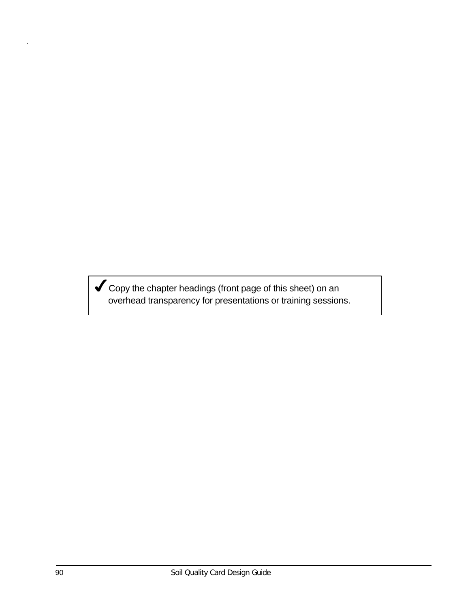Gopy the chapter headings (front page of this sheet) on an overhead transparency for presentations or training sessions.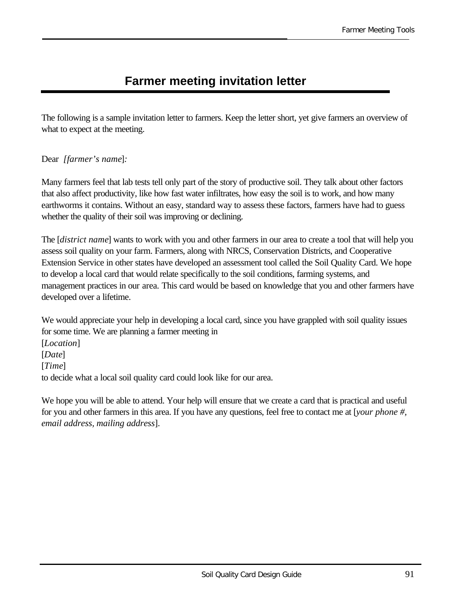## **Farmer meeting invitation letter**

The following is a sample invitation letter to farmers. Keep the letter short, yet give farmers an overview of what to expect at the meeting.

#### Dear *[farmer's name*]*:*

Many farmers feel that lab tests tell only part of the story of productive soil. They talk about other factors that also affect productivity, like how fast water infiltrates, how easy the soil is to work, and how many earthworms it contains. Without an easy, standard way to assess these factors, farmers have had to guess whether the quality of their soil was improving or declining.

The [*district name*] wants to work with you and other farmers in our area to create a tool that will help you assess soil quality on your farm. Farmers, along with NRCS, Conservation Districts, and Cooperative Extension Service in other states have developed an assessment tool called the Soil Quality Card. We hope to develop a local card that would relate specifically to the soil conditions, farming systems, and management practices in our area*.* This card would be based on knowledge that you and other farmers have developed over a lifetime.

We would appreciate your help in developing a local card, since you have grappled with soil quality issues for some time. We are planning a farmer meeting in

[*Location*] [*Date*] [*Time*] to decide what a local soil quality card could look like for our area.

We hope you will be able to attend. Your help will ensure that we create a card that is practical and useful for you and other farmers in this area. If you have any questions, feel free to contact me at [*your phone #, email address, mailing address*].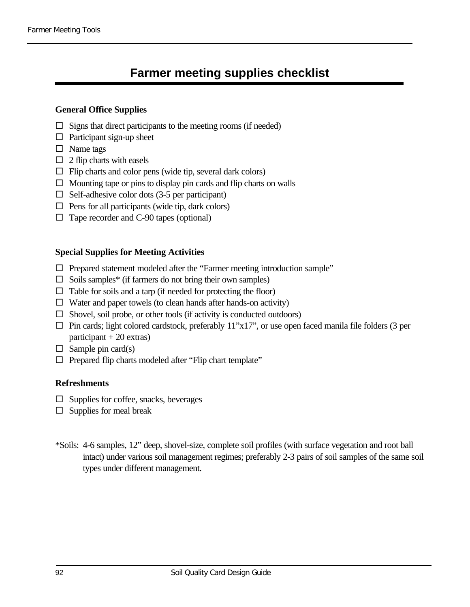## **Farmer meeting supplies checklist**

#### **General Office Supplies**

- $\square$  Signs that direct participants to the meeting rooms (if needed)
- $\square$  Participant sign-up sheet
- $\square$  Name tags
- $\square$  2 flip charts with easels
- $\Box$  Flip charts and color pens (wide tip, several dark colors)
- $\Box$  Mounting tape or pins to display pin cards and flip charts on walls
- $\Box$  Self-adhesive color dots (3-5 per participant)
- $\Box$  Pens for all participants (wide tip, dark colors)
- $\Box$  Tape recorder and C-90 tapes (optional)

#### **Special Supplies for Meeting Activities**

- $\square$  Prepared statement modeled after the "Farmer meeting introduction sample"
- $\square$  Soils samples\* (if farmers do not bring their own samples)
- $\Box$  Table for soils and a tarp (if needed for protecting the floor)
- $\Box$  Water and paper towels (to clean hands after hands-on activity)
- $\square$  Shovel, soil probe, or other tools (if activity is conducted outdoors)
- $\Box$  Pin cards; light colored cardstock, preferably 11"x17", or use open faced manila file folders (3 per  $participant + 20 \text{ extras}$
- $\square$  Sample pin card(s)
- $\Box$  Prepared flip charts modeled after "Flip chart template"

#### **Refreshments**

- $\square$  Supplies for coffee, snacks, beverages
- $\square$  Supplies for meal break
- \*Soils: 4-6 samples, 12" deep, shovel-size, complete soil profiles (with surface vegetation and root ball intact) under various soil management regimes; preferably 2-3 pairs of soil samples of the same soil types under different management.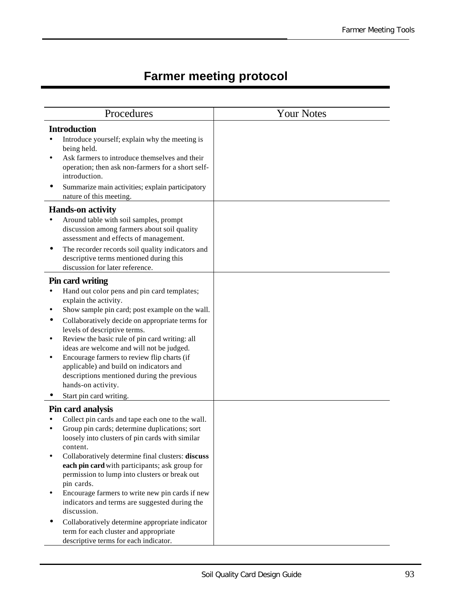## **Farmer meeting protocol**

| Procedures                                                                                                                                                                                                                                                                                                                                                                                                                                                                                                                                                                                                          | <b>Your Notes</b> |
|---------------------------------------------------------------------------------------------------------------------------------------------------------------------------------------------------------------------------------------------------------------------------------------------------------------------------------------------------------------------------------------------------------------------------------------------------------------------------------------------------------------------------------------------------------------------------------------------------------------------|-------------------|
| <b>Introduction</b><br>Introduce yourself; explain why the meeting is<br>being held.<br>Ask farmers to introduce themselves and their<br>operation; then ask non-farmers for a short self-<br>introduction.<br>Summarize main activities; explain participatory<br>nature of this meeting.<br><b>Hands-on activity</b><br>Around table with soil samples, prompt<br>discussion among farmers about soil quality<br>assessment and effects of management.<br>The recorder records soil quality indicators and<br>descriptive terms mentioned during this                                                             |                   |
| discussion for later reference.<br><b>Pin card writing</b><br>Hand out color pens and pin card templates;<br>explain the activity.<br>Show sample pin card; post example on the wall.<br>Collaboratively decide on appropriate terms for<br>levels of descriptive terms.<br>Review the basic rule of pin card writing: all<br>ideas are welcome and will not be judged.<br>Encourage farmers to review flip charts (if<br>applicable) and build on indicators and<br>descriptions mentioned during the previous<br>hands-on activity.<br>Start pin card writing.                                                    |                   |
| Pin card analysis<br>Collect pin cards and tape each one to the wall.<br>Group pin cards; determine duplications; sort<br>loosely into clusters of pin cards with similar<br>content.<br>Collaboratively determine final clusters: discuss<br>each pin card with participants; ask group for<br>permission to lump into clusters or break out<br>pin cards.<br>Encourage farmers to write new pin cards if new<br>indicators and terms are suggested during the<br>discussion.<br>Collaboratively determine appropriate indicator<br>term for each cluster and appropriate<br>descriptive terms for each indicator. |                   |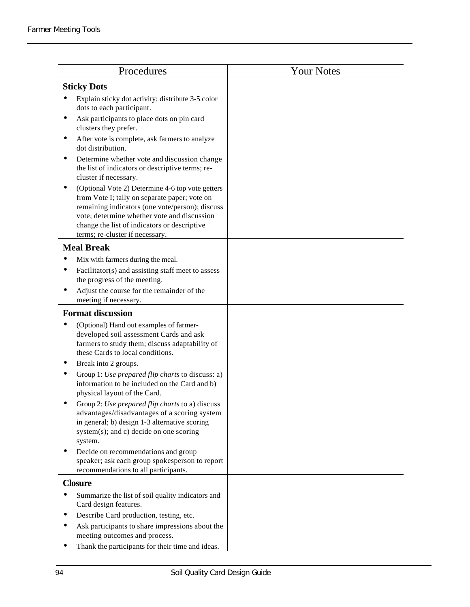| Procedures                                                                                                                                                                                                                                                                             | <b>Your Notes</b> |
|----------------------------------------------------------------------------------------------------------------------------------------------------------------------------------------------------------------------------------------------------------------------------------------|-------------------|
| <b>Sticky Dots</b>                                                                                                                                                                                                                                                                     |                   |
| Explain sticky dot activity; distribute 3-5 color<br>dots to each participant.                                                                                                                                                                                                         |                   |
| Ask participants to place dots on pin card<br>clusters they prefer.                                                                                                                                                                                                                    |                   |
| After vote is complete, ask farmers to analyze<br>dot distribution.                                                                                                                                                                                                                    |                   |
| Determine whether vote and discussion change<br>the list of indicators or descriptive terms; re-<br>cluster if necessary.                                                                                                                                                              |                   |
| (Optional Vote 2) Determine 4-6 top vote getters<br>from Vote I; tally on separate paper; vote on<br>remaining indicators (one vote/person); discuss<br>vote; determine whether vote and discussion<br>change the list of indicators or descriptive<br>terms; re-cluster if necessary. |                   |
| <b>Meal Break</b>                                                                                                                                                                                                                                                                      |                   |
| Mix with farmers during the meal.<br>Facilitator(s) and assisting staff meet to assess<br>the progress of the meeting.<br>Adjust the course for the remainder of the<br>meeting if necessary.                                                                                          |                   |
| <b>Format discussion</b>                                                                                                                                                                                                                                                               |                   |
| (Optional) Hand out examples of farmer-<br>developed soil assessment Cards and ask<br>farmers to study them; discuss adaptability of<br>these Cards to local conditions.                                                                                                               |                   |
| Break into 2 groups.<br>Group 1: Use prepared flip charts to discuss: a)<br>information to be included on the Card and b)<br>physical layout of the Card.                                                                                                                              |                   |
| Group 2: Use prepared flip charts to a) discuss<br>advantages/disadvantages of a scoring system<br>in general; b) design 1-3 alternative scoring<br>system(s); and c) decide on one scoring<br>system.                                                                                 |                   |
| Decide on recommendations and group<br>speaker; ask each group spokesperson to report<br>recommendations to all participants.                                                                                                                                                          |                   |
| <b>Closure</b>                                                                                                                                                                                                                                                                         |                   |
| Summarize the list of soil quality indicators and<br>Card design features.                                                                                                                                                                                                             |                   |
| Describe Card production, testing, etc.                                                                                                                                                                                                                                                |                   |
| Ask participants to share impressions about the<br>meeting outcomes and process.                                                                                                                                                                                                       |                   |
| Thank the participants for their time and ideas.                                                                                                                                                                                                                                       |                   |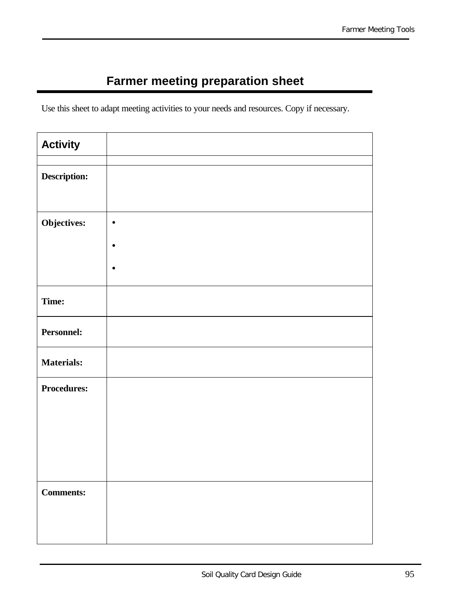## **Farmer meeting preparation sheet**

Use this sheet to adapt meeting activities to your needs and resources. Copy if necessary.

| <b>Activity</b>    |           |
|--------------------|-----------|
|                    |           |
| Description:       |           |
|                    |           |
| Objectives:        | $\bullet$ |
|                    | $\bullet$ |
|                    | $\bullet$ |
| Time:              |           |
| Personnel:         |           |
| <b>Materials:</b>  |           |
| <b>Procedures:</b> |           |
|                    |           |
|                    |           |
|                    |           |
| <b>Comments:</b>   |           |
|                    |           |
|                    |           |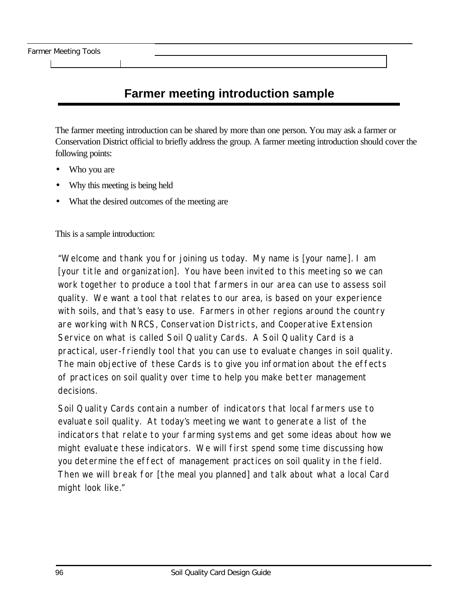### **Farmer meeting introduction sample**

The farmer meeting introduction can be shared by more than one person. You may ask a farmer or Conservation District official to briefly address the group. A farmer meeting introduction should cover the following points:

- Who you are
- Why this meeting is being held
- What the desired outcomes of the meeting are

This is a sample introduction:

"Welcome and thank you for joining us today. My name is [*your name*]. I am [*your title and organization*]. You have been invited to this meeting so we can work together to produce a tool that farmers in our area can use to assess soil quality. We want a tool that relates to our area, is based on your experience with soils, and that's easy to use. Farmers in other regions around the country are working with NRCS, Conservation Districts, and Cooperative Extension Service on what is called Soil Quality Cards. A Soil Quality Card is a practical, user-friendly tool that you can use to evaluate changes in soil quality. The main objective of these Cards is to give you information about the effects of practices on soil quality over time to help you make better management decisions.

Soil Quality Cards contain a number of indicators that local farmers use to evaluate soil quality. At today's meeting we want to generate a list of the indicators that relate to your farming systems and get some ideas about how we might evaluate these indicators. We will first spend some time discussing how you determine the effect of management practices on soil quality in the field. Then we will break for [*the meal you planned*] and talk about what a local Card might look like."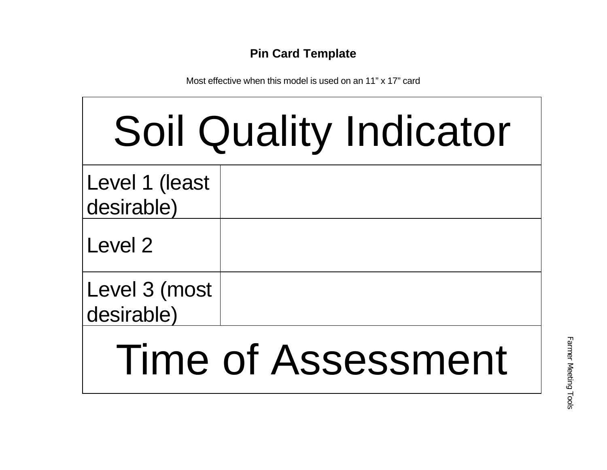### **Pin Card Template**

Most effective when this model is used on an 11" x 17" card

| <b>Soil Quality Indicator</b> |  |  |
|-------------------------------|--|--|
| Level 1 (least<br>desirable)  |  |  |
| Level 2                       |  |  |
| Level 3 (most<br>desirable)   |  |  |
|                               |  |  |

# Time of Assessment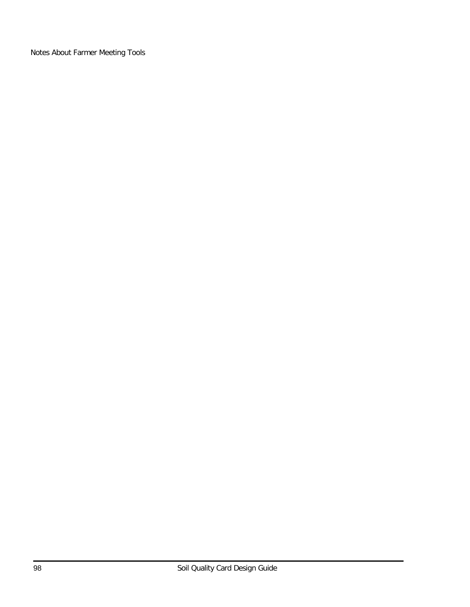Notes About Farmer Meeting Tools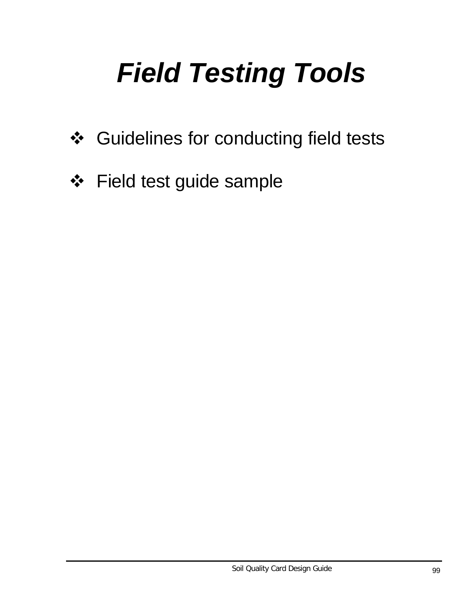# *Field Testing Tools*

- ❖ Guidelines for conducting field tests
- ❖ Field test guide sample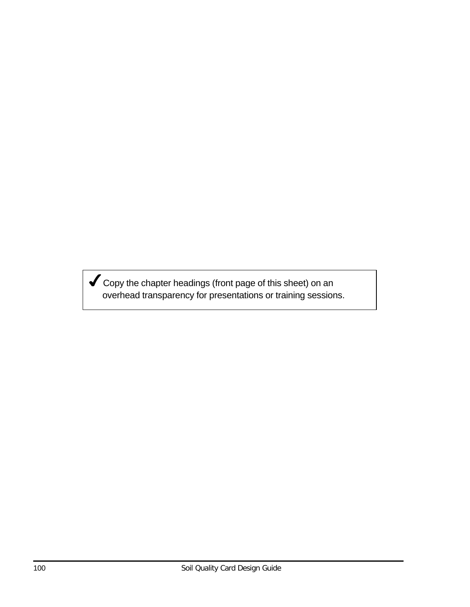$\blacktriangledown$  Copy the chapter headings (front page of this sheet) on an overhead transparency for presentations or training sessions.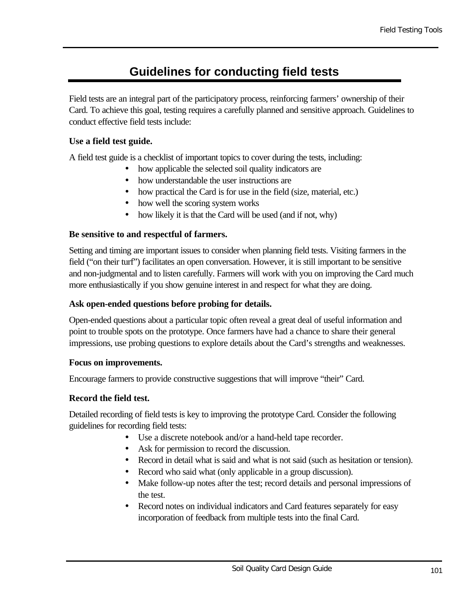## **Guidelines for conducting field tests**

Field tests are an integral part of the participatory process, reinforcing farmers' ownership of their Card. To achieve this goal, testing requires a carefully planned and sensitive approach. Guidelines to conduct effective field tests include:

#### **Use a field test guide.**

A field test guide is a checklist of important topics to cover during the tests, including:

- how applicable the selected soil quality indicators are
- how understandable the user instructions are
- how practical the Card is for use in the field (size, material, etc.)
- how well the scoring system works
- how likely it is that the Card will be used (and if not, why)

#### **Be sensitive to and respectful of farmers.**

Setting and timing are important issues to consider when planning field tests. Visiting farmers in the field ("on their turf") facilitates an open conversation. However, it is still important to be sensitive and non-judgmental and to listen carefully. Farmers will work with you on improving the Card much more enthusiastically if you show genuine interest in and respect for what they are doing.

#### **Ask open-ended questions before probing for details.**

Open-ended questions about a particular topic often reveal a great deal of useful information and point to trouble spots on the prototype. Once farmers have had a chance to share their general impressions, use probing questions to explore details about the Card's strengths and weaknesses.

#### **Focus on improvements.**

Encourage farmers to provide constructive suggestions that will improve "their" Card.

#### **Record the field test.**

Detailed recording of field tests is key to improving the prototype Card. Consider the following guidelines for recording field tests:

- Use a discrete notebook and/or a hand-held tape recorder.
- Ask for permission to record the discussion.
- Record in detail what is said and what is not said (such as hesitation or tension).
- Record who said what (only applicable in a group discussion).
- Make follow-up notes after the test; record details and personal impressions of the test.
- Record notes on individual indicators and Card features separately for easy incorporation of feedback from multiple tests into the final Card.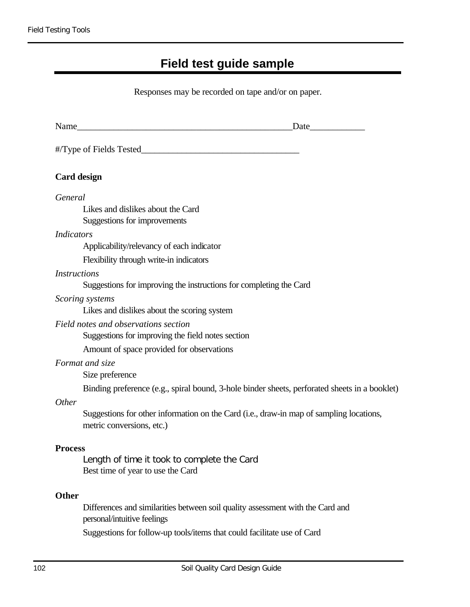# **Field test guide sample**

Responses may be recorded on tape and/or on paper.

| Name                | <u> 1980 - Johann John Harry, margin fransk kongresser (d. 1980)</u>                                                 |
|---------------------|----------------------------------------------------------------------------------------------------------------------|
|                     | #Type of Fields Tested                                                                                               |
| <b>Card design</b>  |                                                                                                                      |
| General             |                                                                                                                      |
|                     | Likes and dislikes about the Card<br>Suggestions for improvements                                                    |
| <i>Indicators</i>   |                                                                                                                      |
|                     | Applicability/relevancy of each indicator                                                                            |
|                     | Flexibility through write-in indicators                                                                              |
| <i>Instructions</i> |                                                                                                                      |
|                     | Suggestions for improving the instructions for completing the Card                                                   |
| Scoring systems     | Likes and dislikes about the scoring system                                                                          |
|                     | Field notes and observations section                                                                                 |
|                     | Suggestions for improving the field notes section                                                                    |
|                     | Amount of space provided for observations                                                                            |
| Format and size     | Size preference                                                                                                      |
|                     | Binding preference (e.g., spiral bound, 3-hole binder sheets, perforated sheets in a booklet)                        |
| <b>Other</b>        |                                                                                                                      |
|                     | Suggestions for other information on the Card (i.e., draw-in map of sampling locations,<br>metric conversions, etc.) |
| <b>Process</b>      |                                                                                                                      |
|                     | Length of time it took to complete the Card<br>Best time of year to use the Card                                     |
| <b>Other</b>        |                                                                                                                      |
|                     | Differences and similarities between soil quality assessment with the Card and<br>personal/intuitive feelings        |
|                     | Suggestions for follow-up tools/items that could facilitate use of Card                                              |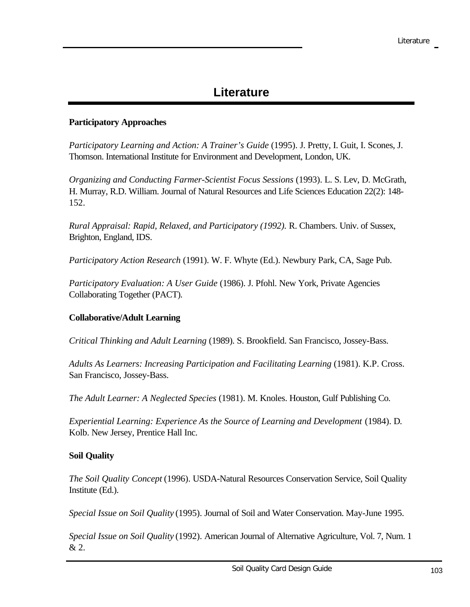## **Literature**

#### **Participatory Approaches**

*Participatory Learning and Action: A Trainer's Guide* (1995). J. Pretty, I. Guit, I. Scones, J. Thomson. International Institute for Environment and Development, London, UK.

*Organizing and Conducting Farmer-Scientist Focus Sessions* (1993). L. S. Lev, D. McGrath, H. Murray, R.D. William. Journal of Natural Resources and Life Sciences Education 22(2): 148- 152.

*Rural Appraisal: Rapid, Relaxed, and Participatory (1992).* R. Chambers. Univ. of Sussex, Brighton, England, IDS.

*Participatory Action Research* (1991). W. F. Whyte (Ed.). Newbury Park, CA, Sage Pub.

*Participatory Evaluation: A User Guide* (1986). J. Pfohl. New York, Private Agencies Collaborating Together (PACT).

#### **Collaborative/Adult Learning**

*Critical Thinking and Adult Learning* (1989). S. Brookfield. San Francisco, Jossey-Bass.

*Adults As Learners: Increasing Participation and Facilitating Learning* (1981). K.P. Cross. San Francisco, Jossey-Bass.

*The Adult Learner: A Neglected Species* (1981). M. Knoles. Houston, Gulf Publishing Co.

*Experiential Learning: Experience As the Source of Learning and Development* (1984). D. Kolb. New Jersey, Prentice Hall Inc.

#### **Soil Quality**

*The Soil Quality Concept* (1996). USDA-Natural Resources Conservation Service, Soil Quality Institute (Ed.).

*Special Issue on Soil Quality* (1995). Journal of Soil and Water Conservation. May-June 1995.

*Special Issue on Soil Quality* (1992). American Journal of Alternative Agriculture, Vol. 7, Num. 1 & 2.